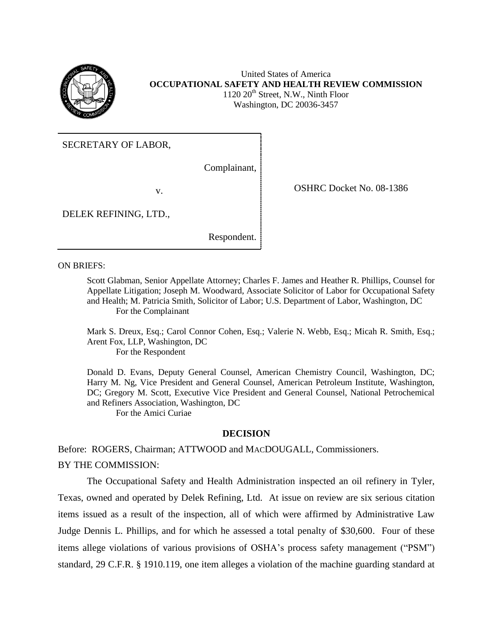

United States of America **OCCUPATIONAL SAFETY AND HEALTH REVIEW COMMISSION**  $1120 20<sup>th</sup>$  Street, N.W., Ninth Floor Washington, DC 20036-3457

SECRETARY OF LABOR,

Complainant,

v. COSHRC Docket No. 08-1386

DELEK REFINING, LTD.,

Respondent.

ON BRIEFS:

Scott Glabman, Senior Appellate Attorney; Charles F. James and Heather R. Phillips, Counsel for Appellate Litigation; Joseph M. Woodward, Associate Solicitor of Labor for Occupational Safety and Health; M. Patricia Smith, Solicitor of Labor; U.S. Department of Labor, Washington, DC For the Complainant

Mark S. Dreux, Esq.; Carol Connor Cohen, Esq.; Valerie N. Webb, Esq.; Micah R. Smith, Esq.; Arent Fox, LLP, Washington, DC For the Respondent

Donald D. Evans, Deputy General Counsel, American Chemistry Council, Washington, DC; Harry M. Ng, Vice President and General Counsel, American Petroleum Institute, Washington, DC; Gregory M. Scott, Executive Vice President and General Counsel, National Petrochemical and Refiners Association, Washington, DC

For the Amici Curiae

## **DECISION**

Before: ROGERS, Chairman; ATTWOOD and MACDOUGALL, Commissioners. BY THE COMMISSION:

The Occupational Safety and Health Administration inspected an oil refinery in Tyler, Texas, owned and operated by Delek Refining, Ltd. At issue on review are six serious citation items issued as a result of the inspection, all of which were affirmed by Administrative Law Judge Dennis L. Phillips, and for which he assessed a total penalty of \$30,600. Four of these items allege violations of various provisions of OSHA's process safety management ("PSM") standard, 29 C.F.R. § 1910.119, one item alleges a violation of the machine guarding standard at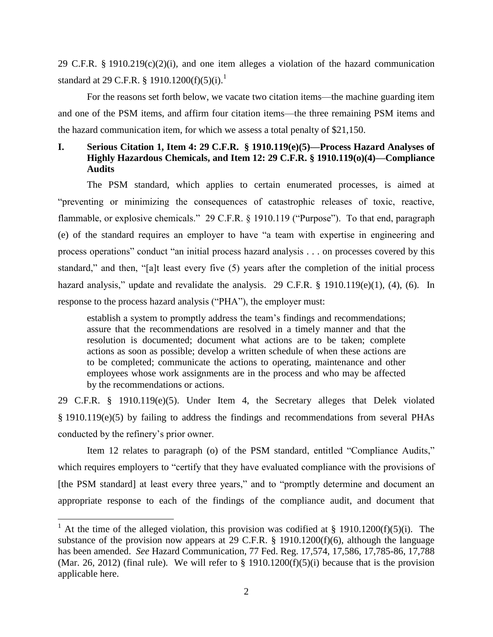29 C.F.R. § 1910.219 $(c)(2)(i)$ , and one item alleges a violation of the hazard communication standard at 29 C.F.R.  $$1910.1200(f)(5)(i).<sup>1</sup>$ 

For the reasons set forth below, we vacate two citation items—the machine guarding item and one of the PSM items, and affirm four citation items—the three remaining PSM items and the hazard communication item, for which we assess a total penalty of \$21,150.

# **I. Serious Citation 1, Item 4: 29 C.F.R. § 1910.119(e)(5)—Process Hazard Analyses of Highly Hazardous Chemicals, and Item 12: 29 C.F.R. § 1910.119(o)(4)—Compliance Audits**

The PSM standard, which applies to certain enumerated processes, is aimed at "preventing or minimizing the consequences of catastrophic releases of toxic, reactive, flammable, or explosive chemicals." 29 C.F.R. § 1910.119 ("Purpose"). To that end, paragraph (e) of the standard requires an employer to have "a team with expertise in engineering and process operations" conduct "an initial process hazard analysis . . . on processes covered by this standard," and then, "[a]t least every five (5) years after the completion of the initial process hazard analysis," update and revalidate the analysis. 29 C.F.R. § 1910.119(e)(1), (4), (6). In response to the process hazard analysis ("PHA"), the employer must:

establish a system to promptly address the team's findings and recommendations; assure that the recommendations are resolved in a timely manner and that the resolution is documented; document what actions are to be taken; complete actions as soon as possible; develop a written schedule of when these actions are to be completed; communicate the actions to operating, maintenance and other employees whose work assignments are in the process and who may be affected by the recommendations or actions.

29 C.F.R. § 1910.119(e)(5). Under Item 4, the Secretary alleges that Delek violated § 1910.119(e)(5) by failing to address the findings and recommendations from several PHAs conducted by the refinery's prior owner.

Item 12 relates to paragraph (o) of the PSM standard, entitled "Compliance Audits," which requires employers to "certify that they have evaluated compliance with the provisions of [the PSM standard] at least every three years," and to "promptly determine and document an appropriate response to each of the findings of the compliance audit, and document that

l

<sup>&</sup>lt;sup>1</sup> At the time of the alleged violation, this provision was codified at § 1910.1200(f)(5)(i). The substance of the provision now appears at 29 C.F.R. § 1910.1200(f)(6), although the language has been amended. *See* Hazard Communication, 77 Fed. Reg. 17,574, 17,586, 17,785-86, 17,788 (Mar. 26, 2012) (final rule). We will refer to  $\S$  1910.1200(f)(5)(i) because that is the provision applicable here.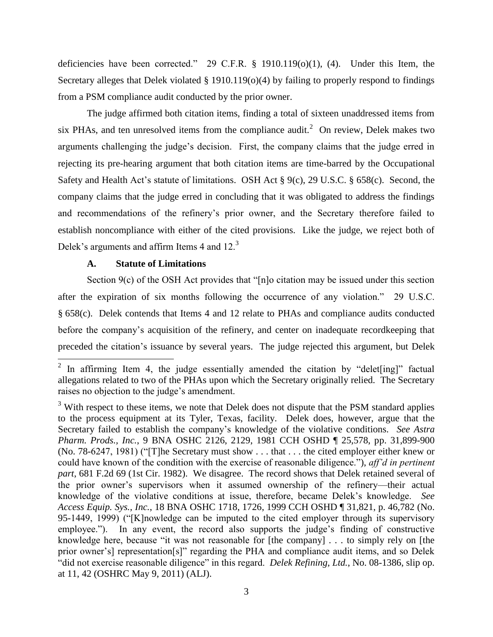deficiencies have been corrected." 29 C.F.R. § 1910.119(o)(1), (4). Under this Item, the Secretary alleges that Delek violated § 1910.119(o)(4) by failing to properly respond to findings from a PSM compliance audit conducted by the prior owner.

The judge affirmed both citation items, finding a total of sixteen unaddressed items from six PHAs, and ten unresolved items from the compliance audit.<sup>2</sup> On review, Delek makes two arguments challenging the judge's decision. First, the company claims that the judge erred in rejecting its pre-hearing argument that both citation items are time-barred by the Occupational Safety and Health Act's statute of limitations. OSH Act § 9(c), 29 U.S.C. § 658(c). Second, the company claims that the judge erred in concluding that it was obligated to address the findings and recommendations of the refinery's prior owner, and the Secretary therefore failed to establish noncompliance with either of the cited provisions. Like the judge, we reject both of Delek's arguments and affirm Items 4 and 12.<sup>3</sup>

# **A. Statute of Limitations**

Section 9(c) of the OSH Act provides that "[n]o citation may be issued under this section after the expiration of six months following the occurrence of any violation." 29 U.S.C. § 658(c). Delek contends that Items 4 and 12 relate to PHAs and compliance audits conducted before the company's acquisition of the refinery, and center on inadequate recordkeeping that preceded the citation's issuance by several years. The judge rejected this argument, but Delek

<sup>&</sup>lt;sup>2</sup> In affirming Item 4, the judge essentially amended the citation by "delet[ing]" factual allegations related to two of the PHAs upon which the Secretary originally relied. The Secretary raises no objection to the judge's amendment.

 $3\,\mathrm{With}$  respect to these items, we note that Delek does not dispute that the PSM standard applies to the process equipment at its Tyler, Texas, facility. Delek does, however, argue that the Secretary failed to establish the company's knowledge of the violative conditions. *See Astra Pharm. Prods., Inc.*, 9 BNA OSHC 2126, 2129, 1981 CCH OSHD ¶ 25,578, pp. 31,899-900 (No. 78-6247, 1981) ("[T]he Secretary must show . . . that . . . the cited employer either knew or could have known of the condition with the exercise of reasonable diligence."), *aff'd in pertinent part*, 681 F.2d 69 (1st Cir. 1982). We disagree. The record shows that Delek retained several of the prior owner's supervisors when it assumed ownership of the refinery—their actual knowledge of the violative conditions at issue, therefore, became Delek's knowledge. *See Access Equip. Sys., Inc.*, 18 BNA OSHC 1718, 1726, 1999 CCH OSHD ¶ 31,821, p. 46,782 (No. 95-1449, 1999) ("[K]nowledge can be imputed to the cited employer through its supervisory employee."). In any event, the record also supports the judge's finding of constructive knowledge here, because "it was not reasonable for [the company] . . . to simply rely on [the prior owner's] representation[s]" regarding the PHA and compliance audit items, and so Delek "did not exercise reasonable diligence" in this regard. *Delek Refining, Ltd.*, No. 08-1386, slip op. at 11, 42 (OSHRC May 9, 2011) (ALJ).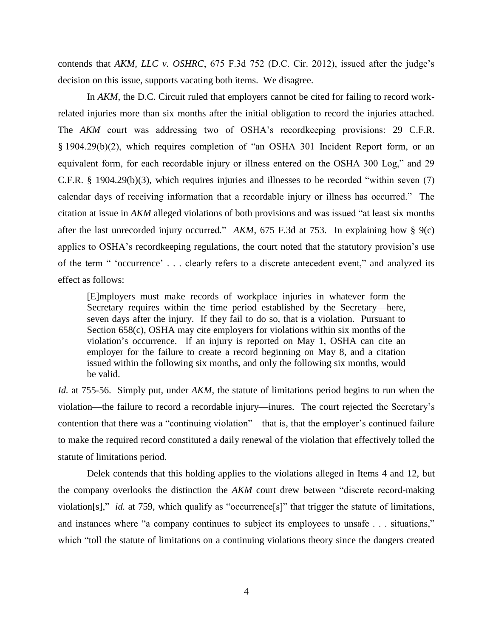contends that *AKM, LLC v. OSHRC*, 675 F.3d 752 (D.C. Cir. 2012), issued after the judge's decision on this issue, supports vacating both items. We disagree.

In *AKM*, the D.C. Circuit ruled that employers cannot be cited for failing to record workrelated injuries more than six months after the initial obligation to record the injuries attached. The *AKM* court was addressing two of OSHA's recordkeeping provisions: 29 C.F.R. § 1904.29(b)(2), which requires completion of "an OSHA 301 Incident Report form, or an equivalent form, for each recordable injury or illness entered on the OSHA 300 Log," and 29 C.F.R. § 1904.29(b)(3), which requires injuries and illnesses to be recorded "within seven (7) calendar days of receiving information that a recordable injury or illness has occurred." The citation at issue in *AKM* alleged violations of both provisions and was issued "at least six months after the last unrecorded injury occurred." *AKM*, 675 F.3d at 753. In explaining how § 9(c) applies to OSHA's recordkeeping regulations, the court noted that the statutory provision's use of the term " 'occurrence' . . . clearly refers to a discrete antecedent event," and analyzed its effect as follows:

[E]mployers must make records of workplace injuries in whatever form the Secretary requires within the time period established by the Secretary—here, seven days after the injury. If they fail to do so, that is a violation. Pursuant to Section 658(c), OSHA may cite employers for violations within six months of the violation's occurrence. If an injury is reported on May 1, OSHA can cite an employer for the failure to create a record beginning on May 8, and a citation issued within the following six months, and only the following six months, would be valid.

*Id.* at 755-56. Simply put, under *AKM*, the statute of limitations period begins to run when the violation—the failure to record a recordable injury—inures. The court rejected the Secretary's contention that there was a "continuing violation"—that is, that the employer's continued failure to make the required record constituted a daily renewal of the violation that effectively tolled the statute of limitations period.

Delek contends that this holding applies to the violations alleged in Items 4 and 12, but the company overlooks the distinction the *AKM* court drew between "discrete record-making violation[s]," *id.* at 759, which qualify as "occurrence[s]" that trigger the statute of limitations, and instances where "a company continues to subject its employees to unsafe . . . situations," which "toll the statute of limitations on a continuing violations theory since the dangers created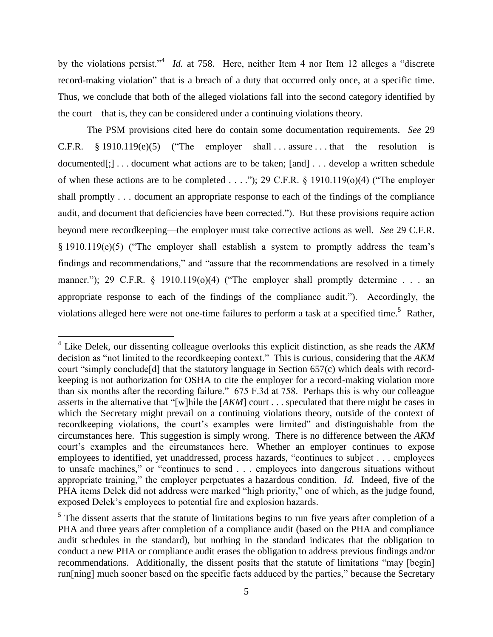by the violations persist."<sup>4</sup> *Id.* at 758. Here, neither Item 4 nor Item 12 alleges a "discrete" record-making violation" that is a breach of a duty that occurred only once, at a specific time. Thus, we conclude that both of the alleged violations fall into the second category identified by the court—that is, they can be considered under a continuing violations theory.

The PSM provisions cited here do contain some documentation requirements. *See* 29 C.F.R.  $§ 1910.119(e)(5)$  ("The employer shall ... assure ... that the resolution is documented[;]... document what actions are to be taken; [and]... develop a written schedule of when these actions are to be completed . . . ."); 29 C.F.R.  $\S$  1910.119(o)(4) ("The employer shall promptly . . . document an appropriate response to each of the findings of the compliance audit, and document that deficiencies have been corrected."). But these provisions require action beyond mere recordkeeping—the employer must take corrective actions as well. *See* 29 C.F.R. § 1910.119(e)(5) ("The employer shall establish a system to promptly address the team's findings and recommendations," and "assure that the recommendations are resolved in a timely manner."); 29 C.F.R.  $\S$  1910.119(o)(4) ("The employer shall promptly determine . . . an appropriate response to each of the findings of the compliance audit."). Accordingly, the violations alleged here were not one-time failures to perform a task at a specified time.<sup>5</sup> Rather,

 4 Like Delek, our dissenting colleague overlooks this explicit distinction, as she reads the *AKM* decision as "not limited to the recordkeeping context." This is curious, considering that the *AKM* court "simply conclude[d] that the statutory language in Section 657(c) which deals with recordkeeping is not authorization for OSHA to cite the employer for a record-making violation more than six months after the recording failure." 675 F.3d at 758. Perhaps this is why our colleague asserts in the alternative that "[w]hile the [*AKM*] court . . . speculated that there might be cases in which the Secretary might prevail on a continuing violations theory, outside of the context of recordkeeping violations, the court's examples were limited" and distinguishable from the circumstances here. This suggestion is simply wrong. There is no difference between the *AKM* court's examples and the circumstances here. Whether an employer continues to expose employees to identified, yet unaddressed, process hazards, "continues to subject . . . employees to unsafe machines," or "continues to send . . . employees into dangerous situations without appropriate training," the employer perpetuates a hazardous condition. *Id.* Indeed, five of the PHA items Delek did not address were marked "high priority," one of which, as the judge found, exposed Delek's employees to potential fire and explosion hazards.

 $<sup>5</sup>$  The dissent asserts that the statute of limitations begins to run five years after completion of a</sup> PHA and three years after completion of a compliance audit (based on the PHA and compliance audit schedules in the standard), but nothing in the standard indicates that the obligation to conduct a new PHA or compliance audit erases the obligation to address previous findings and/or recommendations. Additionally, the dissent posits that the statute of limitations "may [begin] run[ning] much sooner based on the specific facts adduced by the parties," because the Secretary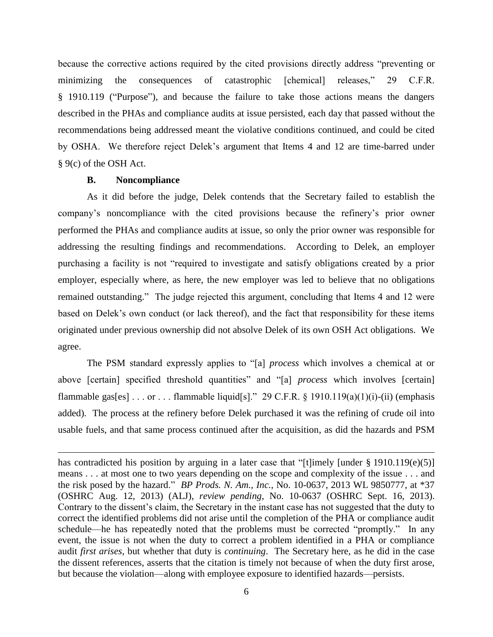because the corrective actions required by the cited provisions directly address "preventing or minimizing the consequences of catastrophic [chemical] releases," 29 C.F.R. § 1910.119 ("Purpose"), and because the failure to take those actions means the dangers described in the PHAs and compliance audits at issue persisted, each day that passed without the recommendations being addressed meant the violative conditions continued, and could be cited by OSHA. We therefore reject Delek's argument that Items 4 and 12 are time-barred under § 9(c) of the OSH Act.

#### **B. Noncompliance**

l

As it did before the judge, Delek contends that the Secretary failed to establish the company's noncompliance with the cited provisions because the refinery's prior owner performed the PHAs and compliance audits at issue, so only the prior owner was responsible for addressing the resulting findings and recommendations. According to Delek, an employer purchasing a facility is not "required to investigate and satisfy obligations created by a prior employer, especially where, as here, the new employer was led to believe that no obligations remained outstanding." The judge rejected this argument, concluding that Items 4 and 12 were based on Delek's own conduct (or lack thereof), and the fact that responsibility for these items originated under previous ownership did not absolve Delek of its own OSH Act obligations. We agree.

The PSM standard expressly applies to "[a] *process* which involves a chemical at or above [certain] specified threshold quantities" and "[a] *process* which involves [certain] flammable gas[es] . . . or . . . flammable liquid[s]." 29 C.F.R. § 1910.119(a)(1)(i)-(ii) (emphasis added). The process at the refinery before Delek purchased it was the refining of crude oil into usable fuels, and that same process continued after the acquisition, as did the hazards and PSM

has contradicted his position by arguing in a later case that "[t]imely [under § 1910.119(e)(5)] means . . . at most one to two years depending on the scope and complexity of the issue . . . and the risk posed by the hazard." *BP Prods. N. Am., Inc.*, No. 10-0637, 2013 WL 9850777, at \*37 (OSHRC Aug. 12, 2013) (ALJ), *review pending*, No. 10-0637 (OSHRC Sept. 16, 2013). Contrary to the dissent's claim, the Secretary in the instant case has not suggested that the duty to correct the identified problems did not arise until the completion of the PHA or compliance audit schedule—he has repeatedly noted that the problems must be corrected "promptly." In any event, the issue is not when the duty to correct a problem identified in a PHA or compliance audit *first arises*, but whether that duty is *continuing*. The Secretary here, as he did in the case the dissent references, asserts that the citation is timely not because of when the duty first arose, but because the violation—along with employee exposure to identified hazards—persists.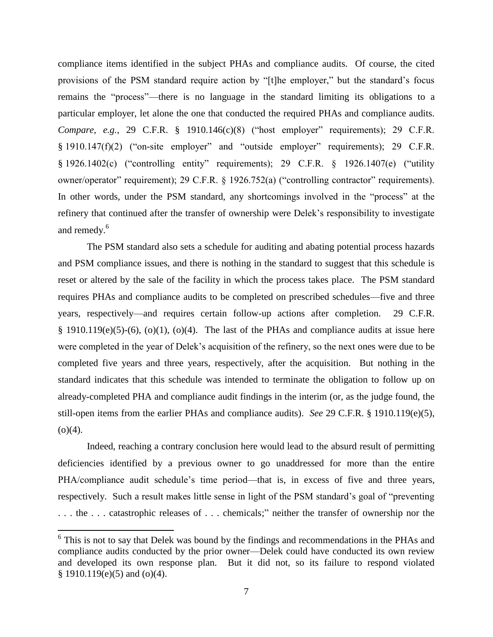compliance items identified in the subject PHAs and compliance audits. Of course, the cited provisions of the PSM standard require action by "[t]he employer," but the standard's focus remains the "process"—there is no language in the standard limiting its obligations to a particular employer, let alone the one that conducted the required PHAs and compliance audits. *Compare, e.g.*, 29 C.F.R. § 1910.146(c)(8) ("host employer" requirements); 29 C.F.R. § 1910.147(f)(2) ("on-site employer" and "outside employer" requirements); 29 C.F.R. § 1926.1402(c) ("controlling entity" requirements); 29 C.F.R. § 1926.1407(e) ("utility owner/operator" requirement); 29 C.F.R. § 1926.752(a) ("controlling contractor" requirements). In other words, under the PSM standard, any shortcomings involved in the "process" at the refinery that continued after the transfer of ownership were Delek's responsibility to investigate and remedy. 6

The PSM standard also sets a schedule for auditing and abating potential process hazards and PSM compliance issues, and there is nothing in the standard to suggest that this schedule is reset or altered by the sale of the facility in which the process takes place. The PSM standard requires PHAs and compliance audits to be completed on prescribed schedules—five and three years, respectively—and requires certain follow-up actions after completion. 29 C.F.R. § 1910.119(e)(5)-(6), (o)(1), (o)(4). The last of the PHAs and compliance audits at issue here were completed in the year of Delek's acquisition of the refinery, so the next ones were due to be completed five years and three years, respectively, after the acquisition. But nothing in the standard indicates that this schedule was intended to terminate the obligation to follow up on already-completed PHA and compliance audit findings in the interim (or, as the judge found, the still-open items from the earlier PHAs and compliance audits). *See* 29 C.F.R. § 1910.119(e)(5),  $(o)(4)$ .

Indeed, reaching a contrary conclusion here would lead to the absurd result of permitting deficiencies identified by a previous owner to go unaddressed for more than the entire PHA/compliance audit schedule's time period—that is, in excess of five and three years, respectively. Such a result makes little sense in light of the PSM standard's goal of "preventing . . . the . . . catastrophic releases of . . . chemicals;" neither the transfer of ownership nor the

 $\overline{a}$ 

<sup>&</sup>lt;sup>6</sup> This is not to say that Delek was bound by the findings and recommendations in the PHAs and compliance audits conducted by the prior owner—Delek could have conducted its own review and developed its own response plan. But it did not, so its failure to respond violated § 1910.119(e)(5) and (o)(4).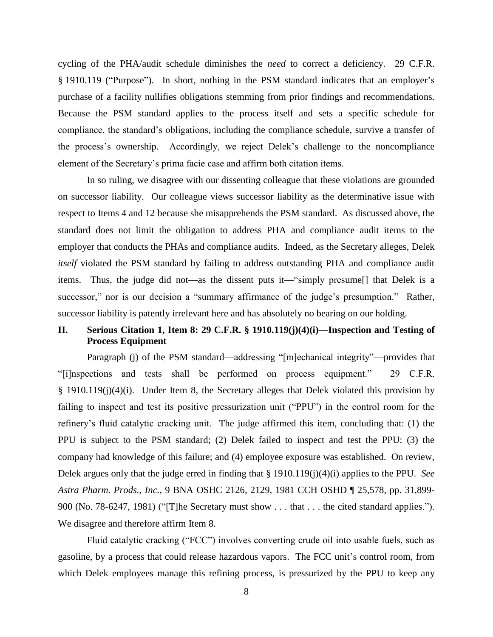cycling of the PHA/audit schedule diminishes the *need* to correct a deficiency. 29 C.F.R. § 1910.119 ("Purpose"). In short, nothing in the PSM standard indicates that an employer's purchase of a facility nullifies obligations stemming from prior findings and recommendations. Because the PSM standard applies to the process itself and sets a specific schedule for compliance, the standard's obligations, including the compliance schedule, survive a transfer of the process's ownership. Accordingly, we reject Delek's challenge to the noncompliance element of the Secretary's prima facie case and affirm both citation items.

In so ruling, we disagree with our dissenting colleague that these violations are grounded on successor liability. Our colleague views successor liability as the determinative issue with respect to Items 4 and 12 because she misapprehends the PSM standard. As discussed above, the standard does not limit the obligation to address PHA and compliance audit items to the employer that conducts the PHAs and compliance audits. Indeed, as the Secretary alleges, Delek *itself* violated the PSM standard by failing to address outstanding PHA and compliance audit items. Thus, the judge did not—as the dissent puts it—"simply presume[] that Delek is a successor," nor is our decision a "summary affirmance of the judge's presumption." Rather, successor liability is patently irrelevant here and has absolutely no bearing on our holding.

# **II. Serious Citation 1, Item 8: 29 C.F.R. § 1910.119(j)(4)(i)—Inspection and Testing of Process Equipment**

Paragraph (j) of the PSM standard—addressing "[m]echanical integrity"—provides that "[i]nspections and tests shall be performed on process equipment." 29 C.F.R. § 1910.119(j)(4)(i). Under Item 8, the Secretary alleges that Delek violated this provision by failing to inspect and test its positive pressurization unit ("PPU") in the control room for the refinery's fluid catalytic cracking unit. The judge affirmed this item, concluding that: (1) the PPU is subject to the PSM standard; (2) Delek failed to inspect and test the PPU: (3) the company had knowledge of this failure; and (4) employee exposure was established. On review, Delek argues only that the judge erred in finding that § 1910.119(j)(4)(i) applies to the PPU. *See Astra Pharm. Prods., Inc.*, 9 BNA OSHC 2126, 2129, 1981 CCH OSHD ¶ 25,578, pp. 31,899- 900 (No. 78-6247, 1981) ("[T]he Secretary must show . . . that . . . the cited standard applies."). We disagree and therefore affirm Item 8.

Fluid catalytic cracking ("FCC") involves converting crude oil into usable fuels, such as gasoline, by a process that could release hazardous vapors. The FCC unit's control room, from which Delek employees manage this refining process, is pressurized by the PPU to keep any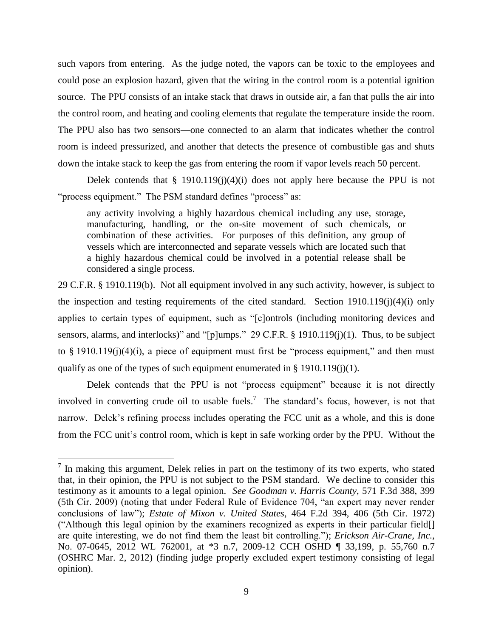such vapors from entering. As the judge noted, the vapors can be toxic to the employees and could pose an explosion hazard, given that the wiring in the control room is a potential ignition source. The PPU consists of an intake stack that draws in outside air, a fan that pulls the air into the control room, and heating and cooling elements that regulate the temperature inside the room. The PPU also has two sensors—one connected to an alarm that indicates whether the control room is indeed pressurized, and another that detects the presence of combustible gas and shuts down the intake stack to keep the gas from entering the room if vapor levels reach 50 percent.

Delek contends that  $\S$  1910.119(j)(4)(i) does not apply here because the PPU is not "process equipment." The PSM standard defines "process" as:

any activity involving a highly hazardous chemical including any use, storage, manufacturing, handling, or the on-site movement of such chemicals, or combination of these activities. For purposes of this definition, any group of vessels which are interconnected and separate vessels which are located such that a highly hazardous chemical could be involved in a potential release shall be considered a single process.

29 C.F.R. § 1910.119(b). Not all equipment involved in any such activity, however, is subject to the inspection and testing requirements of the cited standard. Section 1910.119(j)(4)(i) only applies to certain types of equipment, such as "[c]ontrols (including monitoring devices and sensors, alarms, and interlocks)" and "[p]umps." 29 C.F.R. § 1910.119(j)(1). Thus, to be subject to  $\S$  1910.119(j)(4)(i), a piece of equipment must first be "process equipment," and then must qualify as one of the types of such equipment enumerated in  $\S$  1910.119(j)(1).

Delek contends that the PPU is not "process equipment" because it is not directly involved in converting crude oil to usable fuels.<sup>7</sup> The standard's focus, however, is not that narrow. Delek's refining process includes operating the FCC unit as a whole, and this is done from the FCC unit's control room, which is kept in safe working order by the PPU. Without the

<sup>&</sup>lt;sup>7</sup> In making this argument, Delek relies in part on the testimony of its two experts, who stated that, in their opinion, the PPU is not subject to the PSM standard. We decline to consider this testimony as it amounts to a legal opinion. *See Goodman v. Harris County*, 571 F.3d 388, 399 (5th Cir. 2009) (noting that under Federal Rule of Evidence 704, "an expert may never render conclusions of law"); *Estate of Mixon v. United States*, 464 F.2d 394, 406 (5th Cir. 1972) ("Although this legal opinion by the examiners recognized as experts in their particular field[] are quite interesting, we do not find them the least bit controlling."); *Erickson Air-Crane, Inc.*, No. 07-0645, 2012 WL 762001, at \*3 n.7, 2009-12 CCH OSHD ¶ 33,199, p. 55,760 n.7 (OSHRC Mar. 2, 2012) (finding judge properly excluded expert testimony consisting of legal opinion).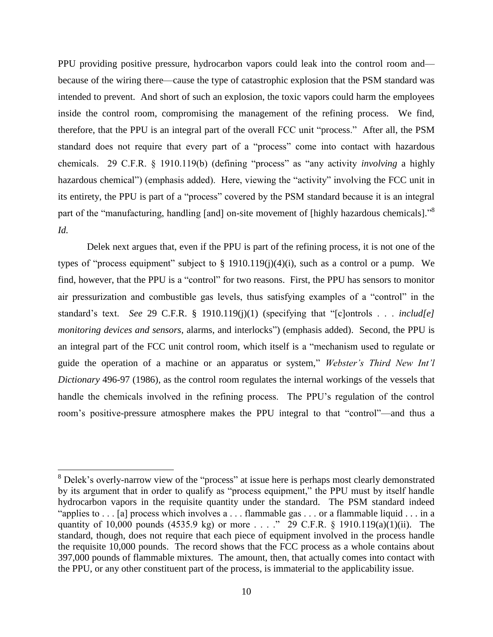PPU providing positive pressure, hydrocarbon vapors could leak into the control room and because of the wiring there—cause the type of catastrophic explosion that the PSM standard was intended to prevent. And short of such an explosion, the toxic vapors could harm the employees inside the control room, compromising the management of the refining process. We find, therefore, that the PPU is an integral part of the overall FCC unit "process." After all, the PSM standard does not require that every part of a "process" come into contact with hazardous chemicals. 29 C.F.R. § 1910.119(b) (defining "process" as "any activity *involving* a highly hazardous chemical") (emphasis added). Here, viewing the "activity" involving the FCC unit in its entirety, the PPU is part of a "process" covered by the PSM standard because it is an integral part of the "manufacturing, handling [and] on-site movement of [highly hazardous chemicals]."<sup>8</sup> *Id.*

Delek next argues that, even if the PPU is part of the refining process, it is not one of the types of "process equipment" subject to  $\S$  1910.119(j)(4)(i), such as a control or a pump. We find, however, that the PPU is a "control" for two reasons. First, the PPU has sensors to monitor air pressurization and combustible gas levels, thus satisfying examples of a "control" in the standard's text. *See* 29 C.F.R. § 1910.119(j)(1) (specifying that "[c]ontrols . . . *includ[e] monitoring devices and sensors*, alarms, and interlocks") (emphasis added). Second, the PPU is an integral part of the FCC unit control room, which itself is a "mechanism used to regulate or guide the operation of a machine or an apparatus or system," *Webster's Third New Int'l Dictionary* 496-97 (1986), as the control room regulates the internal workings of the vessels that handle the chemicals involved in the refining process. The PPU's regulation of the control room's positive-pressure atmosphere makes the PPU integral to that "control"—and thus a

 $\overline{a}$ 

 $8$  Delek's overly-narrow view of the "process" at issue here is perhaps most clearly demonstrated by its argument that in order to qualify as "process equipment," the PPU must by itself handle hydrocarbon vapors in the requisite quantity under the standard. The PSM standard indeed "applies to . . . [a] process which involves a . . . flammable gas . . . or a flammable liquid . . . in a quantity of 10,000 pounds (4535.9 kg) or more . . . ." 29 C.F.R. § 1910.119(a)(1)(ii). The standard, though, does not require that each piece of equipment involved in the process handle the requisite 10,000 pounds. The record shows that the FCC process as a whole contains about 397,000 pounds of flammable mixtures. The amount, then, that actually comes into contact with the PPU, or any other constituent part of the process, is immaterial to the applicability issue.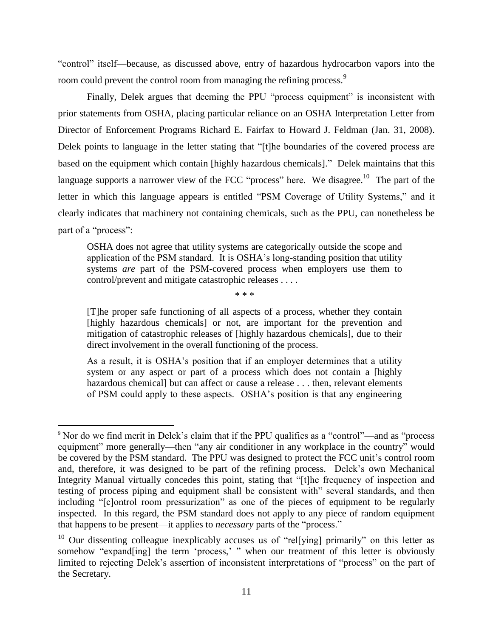"control" itself—because, as discussed above, entry of hazardous hydrocarbon vapors into the room could prevent the control room from managing the refining process.<sup>9</sup>

Finally, Delek argues that deeming the PPU "process equipment" is inconsistent with prior statements from OSHA, placing particular reliance on an OSHA Interpretation Letter from Director of Enforcement Programs Richard E. Fairfax to Howard J. Feldman (Jan. 31, 2008). Delek points to language in the letter stating that "[t]he boundaries of the covered process are based on the equipment which contain [highly hazardous chemicals]." Delek maintains that this language supports a narrower view of the FCC "process" here. We disagree.<sup>10</sup> The part of the letter in which this language appears is entitled "PSM Coverage of Utility Systems," and it clearly indicates that machinery not containing chemicals, such as the PPU, can nonetheless be part of a "process":

OSHA does not agree that utility systems are categorically outside the scope and application of the PSM standard. It is OSHA's long-standing position that utility systems *are* part of the PSM-covered process when employers use them to control/prevent and mitigate catastrophic releases . . . .

\* \* \*

[T]he proper safe functioning of all aspects of a process, whether they contain [highly hazardous chemicals] or not, are important for the prevention and mitigation of catastrophic releases of [highly hazardous chemicals], due to their direct involvement in the overall functioning of the process.

As a result, it is OSHA's position that if an employer determines that a utility system or any aspect or part of a process which does not contain a [highly hazardous chemical] but can affect or cause a release . . . then, relevant elements of PSM could apply to these aspects. OSHA's position is that any engineering

 $\overline{\phantom{a}}$ 

<sup>9</sup> Nor do we find merit in Delek's claim that if the PPU qualifies as a "control"—and as "process equipment" more generally—then "any air conditioner in any workplace in the country" would be covered by the PSM standard. The PPU was designed to protect the FCC unit's control room and, therefore, it was designed to be part of the refining process. Delek's own Mechanical Integrity Manual virtually concedes this point, stating that "[t]he frequency of inspection and testing of process piping and equipment shall be consistent with" several standards, and then including "[c]ontrol room pressurization" as one of the pieces of equipment to be regularly inspected. In this regard, the PSM standard does not apply to any piece of random equipment that happens to be present—it applies to *necessary* parts of the "process."

<sup>&</sup>lt;sup>10</sup> Our dissenting colleague inexplicably accuses us of "rel[ying] primarily" on this letter as somehow "expand[ing] the term 'process,' " when our treatment of this letter is obviously limited to rejecting Delek's assertion of inconsistent interpretations of "process" on the part of the Secretary.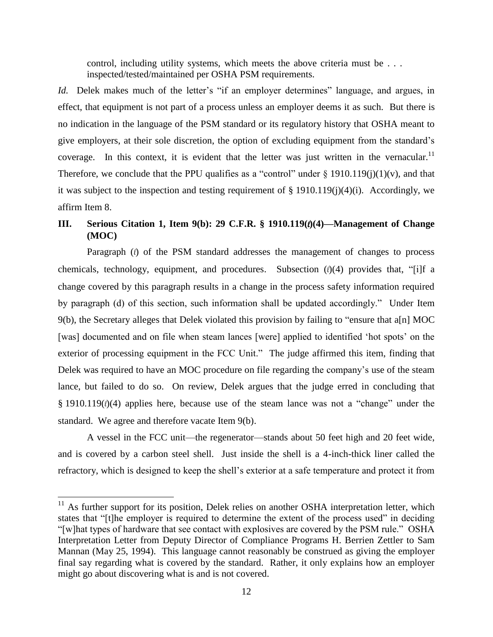control, including utility systems, which meets the above criteria must be . . . inspected/tested/maintained per OSHA PSM requirements.

*Id.* Delek makes much of the letter's "if an employer determines" language, and argues, in effect, that equipment is not part of a process unless an employer deems it as such. But there is no indication in the language of the PSM standard or its regulatory history that OSHA meant to give employers, at their sole discretion, the option of excluding equipment from the standard's coverage. In this context, it is evident that the letter was just written in the vernacular.<sup>11</sup> Therefore, we conclude that the PPU qualifies as a "control" under  $\S$  1910.119(j)(1)(v), and that it was subject to the inspection and testing requirement of § 1910.119(j)(4)(i). Accordingly, we affirm Item 8.

# **III.** Serious Citation 1, Item 9(b): 29 C.F.R. § 1910.119( $\theta$ )(4)—Management of Change **(MOC)**

Paragraph  $(l)$  of the PSM standard addresses the management of changes to process chemicals, technology, equipment, and procedures. Subsection  $(\ell)(4)$  provides that, "[i]f a change covered by this paragraph results in a change in the process safety information required by paragraph (d) of this section, such information shall be updated accordingly." Under Item 9(b), the Secretary alleges that Delek violated this provision by failing to "ensure that a[n] MOC [was] documented and on file when steam lances [were] applied to identified 'hot spots' on the exterior of processing equipment in the FCC Unit." The judge affirmed this item, finding that Delek was required to have an MOC procedure on file regarding the company's use of the steam lance, but failed to do so. On review, Delek argues that the judge erred in concluding that  $§$  1910.119 $(\ell)(4)$  applies here, because use of the steam lance was not a "change" under the standard. We agree and therefore vacate Item 9(b).

A vessel in the FCC unit—the regenerator—stands about 50 feet high and 20 feet wide, and is covered by a carbon steel shell. Just inside the shell is a 4-inch-thick liner called the refractory, which is designed to keep the shell's exterior at a safe temperature and protect it from

 $\overline{\phantom{a}}$ 

 $11$  As further support for its position, Delek relies on another OSHA interpretation letter, which states that "[t]he employer is required to determine the extent of the process used" in deciding "[w]hat types of hardware that see contact with explosives are covered by the PSM rule." OSHA Interpretation Letter from Deputy Director of Compliance Programs H. Berrien Zettler to Sam Mannan (May 25, 1994). This language cannot reasonably be construed as giving the employer final say regarding what is covered by the standard. Rather, it only explains how an employer might go about discovering what is and is not covered.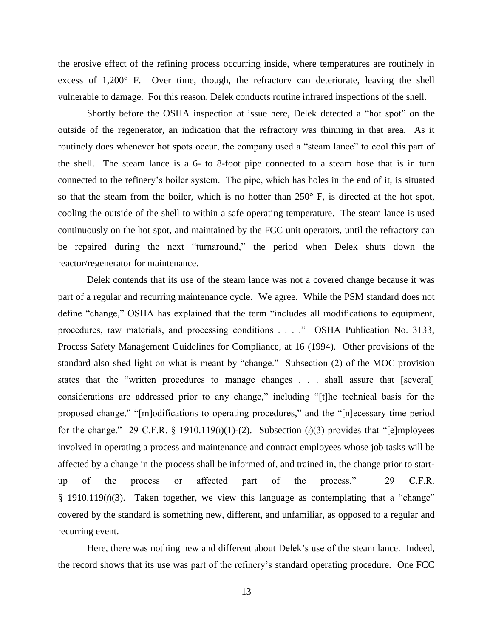the erosive effect of the refining process occurring inside, where temperatures are routinely in excess of 1,200° F. Over time, though, the refractory can deteriorate, leaving the shell vulnerable to damage. For this reason, Delek conducts routine infrared inspections of the shell.

Shortly before the OSHA inspection at issue here, Delek detected a "hot spot" on the outside of the regenerator, an indication that the refractory was thinning in that area. As it routinely does whenever hot spots occur, the company used a "steam lance" to cool this part of the shell. The steam lance is a 6- to 8-foot pipe connected to a steam hose that is in turn connected to the refinery's boiler system. The pipe, which has holes in the end of it, is situated so that the steam from the boiler, which is no hotter than 250° F, is directed at the hot spot, cooling the outside of the shell to within a safe operating temperature. The steam lance is used continuously on the hot spot, and maintained by the FCC unit operators, until the refractory can be repaired during the next "turnaround," the period when Delek shuts down the reactor/regenerator for maintenance.

Delek contends that its use of the steam lance was not a covered change because it was part of a regular and recurring maintenance cycle. We agree. While the PSM standard does not define "change," OSHA has explained that the term "includes all modifications to equipment, procedures, raw materials, and processing conditions . . . ." OSHA Publication No. 3133, Process Safety Management Guidelines for Compliance, at 16 (1994). Other provisions of the standard also shed light on what is meant by "change." Subsection (2) of the MOC provision states that the "written procedures to manage changes . . . shall assure that [several] considerations are addressed prior to any change," including "[t]he technical basis for the proposed change," "[m]odifications to operating procedures," and the "[n]ecessary time period for the change." 29 C.F.R. § 1910.119( $\ell$ )(1)-(2). Subsection ( $\ell$ )(3) provides that "[e]mployees involved in operating a process and maintenance and contract employees whose job tasks will be affected by a change in the process shall be informed of, and trained in, the change prior to startup of the process or affected part of the process." 29 C.F.R. § 1910.119 $(\ell)(3)$ . Taken together, we view this language as contemplating that a "change" covered by the standard is something new, different, and unfamiliar, as opposed to a regular and recurring event.

Here, there was nothing new and different about Delek's use of the steam lance. Indeed, the record shows that its use was part of the refinery's standard operating procedure. One FCC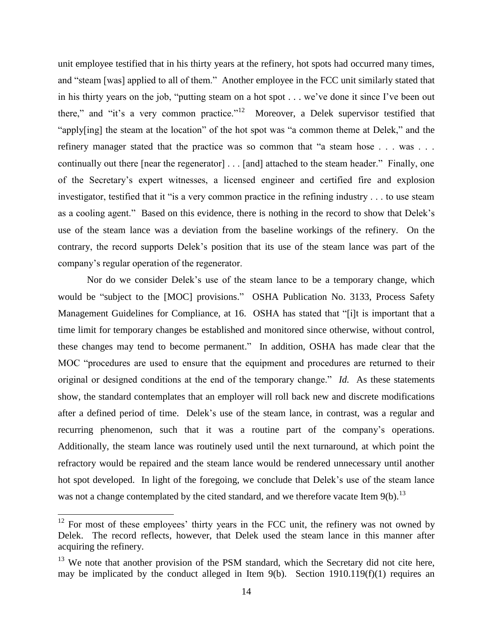unit employee testified that in his thirty years at the refinery, hot spots had occurred many times, and "steam [was] applied to all of them." Another employee in the FCC unit similarly stated that in his thirty years on the job, "putting steam on a hot spot . . . we've done it since I've been out there," and "it's a very common practice."<sup>12</sup> Moreover, a Delek supervisor testified that "apply[ing] the steam at the location" of the hot spot was "a common theme at Delek," and the refinery manager stated that the practice was so common that "a steam hose . . . was . . . continually out there [near the regenerator] . . . [and] attached to the steam header." Finally, one of the Secretary's expert witnesses, a licensed engineer and certified fire and explosion investigator, testified that it "is a very common practice in the refining industry . . . to use steam as a cooling agent." Based on this evidence, there is nothing in the record to show that Delek's use of the steam lance was a deviation from the baseline workings of the refinery. On the contrary, the record supports Delek's position that its use of the steam lance was part of the company's regular operation of the regenerator.

Nor do we consider Delek's use of the steam lance to be a temporary change, which would be "subject to the [MOC] provisions." OSHA Publication No. 3133, Process Safety Management Guidelines for Compliance, at 16. OSHA has stated that "[i]t is important that a time limit for temporary changes be established and monitored since otherwise, without control, these changes may tend to become permanent." In addition, OSHA has made clear that the MOC "procedures are used to ensure that the equipment and procedures are returned to their original or designed conditions at the end of the temporary change." *Id.* As these statements show, the standard contemplates that an employer will roll back new and discrete modifications after a defined period of time. Delek's use of the steam lance, in contrast, was a regular and recurring phenomenon, such that it was a routine part of the company's operations. Additionally, the steam lance was routinely used until the next turnaround, at which point the refractory would be repaired and the steam lance would be rendered unnecessary until another hot spot developed. In light of the foregoing, we conclude that Delek's use of the steam lance was not a change contemplated by the cited standard, and we therefore vacate Item 9(b).<sup>13</sup>

l

 $12$  For most of these employees' thirty years in the FCC unit, the refinery was not owned by Delek. The record reflects, however, that Delek used the steam lance in this manner after acquiring the refinery.

 $13$  We note that another provision of the PSM standard, which the Secretary did not cite here, may be implicated by the conduct alleged in Item 9(b). Section 1910.119(f)(1) requires an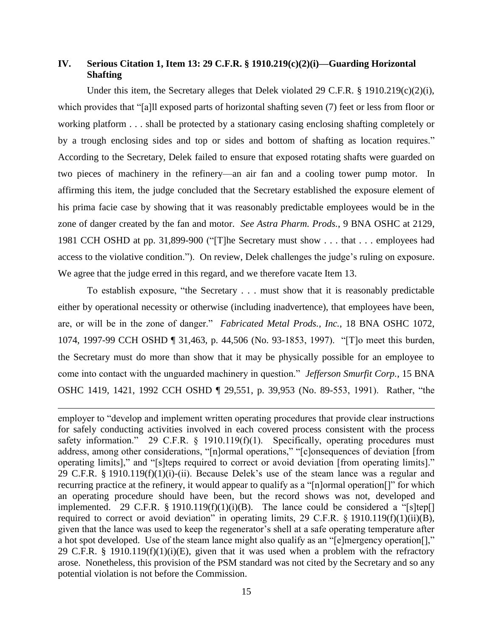# **IV. Serious Citation 1, Item 13: 29 C.F.R. § 1910.219(c)(2)(i)—Guarding Horizontal Shafting**

Under this item, the Secretary alleges that Delek violated 29 C.F.R.  $\S$  1910.219(c)(2)(i), which provides that "[a]ll exposed parts of horizontal shafting seven (7) feet or less from floor or working platform . . . shall be protected by a stationary casing enclosing shafting completely or by a trough enclosing sides and top or sides and bottom of shafting as location requires." According to the Secretary, Delek failed to ensure that exposed rotating shafts were guarded on two pieces of machinery in the refinery—an air fan and a cooling tower pump motor. In affirming this item, the judge concluded that the Secretary established the exposure element of his prima facie case by showing that it was reasonably predictable employees would be in the zone of danger created by the fan and motor. *See Astra Pharm. Prods.*, 9 BNA OSHC at 2129, 1981 CCH OSHD at pp. 31,899-900 ("[T]he Secretary must show . . . that . . . employees had access to the violative condition."). On review, Delek challenges the judge's ruling on exposure. We agree that the judge erred in this regard, and we therefore vacate Item 13.

To establish exposure, "the Secretary . . . must show that it is reasonably predictable either by operational necessity or otherwise (including inadvertence), that employees have been, are, or will be in the zone of danger." *Fabricated Metal Prods., Inc.*, 18 BNA OSHC 1072, 1074, 1997-99 CCH OSHD ¶ 31,463, p. 44,506 (No. 93-1853, 1997). "[T]o meet this burden, the Secretary must do more than show that it may be physically possible for an employee to come into contact with the unguarded machinery in question." *Jefferson Smurfit Corp.*, 15 BNA OSHC 1419, 1421, 1992 CCH OSHD ¶ 29,551, p. 39,953 (No. 89-553, 1991). Rather, "the

 $\overline{a}$ 

employer to "develop and implement written operating procedures that provide clear instructions for safely conducting activities involved in each covered process consistent with the process safety information." 29 C.F.R. § 1910.119(f)(1). Specifically, operating procedures must address, among other considerations, "[n]ormal operations," "[c]onsequences of deviation [from operating limits]," and "[s]teps required to correct or avoid deviation [from operating limits]." 29 C.F.R. § 1910.119(f)(1)(i)-(ii). Because Delek's use of the steam lance was a regular and recurring practice at the refinery, it would appear to qualify as a "[n]ormal operation[]" for which an operating procedure should have been, but the record shows was not, developed and implemented. 29 C.F.R. § 1910.119(f)(1)(i)(B). The lance could be considered a "[s]tep[] required to correct or avoid deviation" in operating limits, 29 C.F.R.  $\S$  1910.119(f)(1)(ii)(B), given that the lance was used to keep the regenerator's shell at a safe operating temperature after a hot spot developed. Use of the steam lance might also qualify as an "[e]mergency operation[]," 29 C.F.R. § 1910.119(f)(1)(i)(E), given that it was used when a problem with the refractory arose. Nonetheless, this provision of the PSM standard was not cited by the Secretary and so any potential violation is not before the Commission.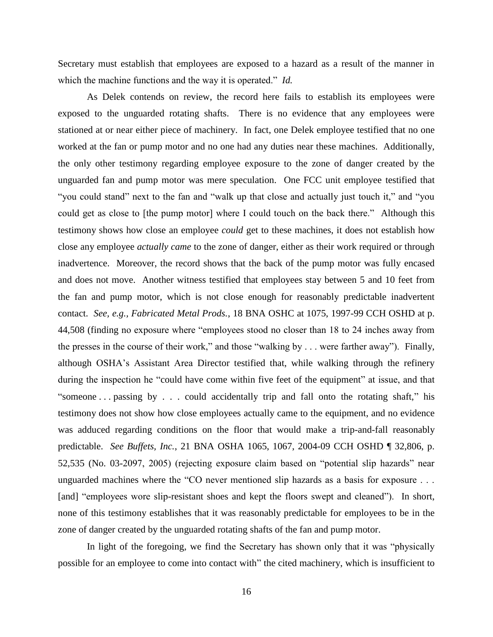Secretary must establish that employees are exposed to a hazard as a result of the manner in which the machine functions and the way it is operated." *Id.*

As Delek contends on review, the record here fails to establish its employees were exposed to the unguarded rotating shafts. There is no evidence that any employees were stationed at or near either piece of machinery. In fact, one Delek employee testified that no one worked at the fan or pump motor and no one had any duties near these machines. Additionally, the only other testimony regarding employee exposure to the zone of danger created by the unguarded fan and pump motor was mere speculation. One FCC unit employee testified that "you could stand" next to the fan and "walk up that close and actually just touch it," and "you could get as close to [the pump motor] where I could touch on the back there." Although this testimony shows how close an employee *could* get to these machines, it does not establish how close any employee *actually came* to the zone of danger, either as their work required or through inadvertence. Moreover, the record shows that the back of the pump motor was fully encased and does not move. Another witness testified that employees stay between 5 and 10 feet from the fan and pump motor, which is not close enough for reasonably predictable inadvertent contact. *See, e.g., Fabricated Metal Prods.*, 18 BNA OSHC at 1075, 1997-99 CCH OSHD at p. 44,508 (finding no exposure where "employees stood no closer than 18 to 24 inches away from the presses in the course of their work," and those "walking by . . . were farther away"). Finally, although OSHA's Assistant Area Director testified that, while walking through the refinery during the inspection he "could have come within five feet of the equipment" at issue, and that "someone . . . passing by . . . could accidentally trip and fall onto the rotating shaft," his testimony does not show how close employees actually came to the equipment, and no evidence was adduced regarding conditions on the floor that would make a trip-and-fall reasonably predictable. *See Buffets, Inc.*, 21 BNA OSHA 1065, 1067, 2004-09 CCH OSHD ¶ 32,806, p. 52,535 (No. 03-2097, 2005) (rejecting exposure claim based on "potential slip hazards" near unguarded machines where the "CO never mentioned slip hazards as a basis for exposure . . . [and] "employees wore slip-resistant shoes and kept the floors swept and cleaned"). In short, none of this testimony establishes that it was reasonably predictable for employees to be in the zone of danger created by the unguarded rotating shafts of the fan and pump motor.

In light of the foregoing, we find the Secretary has shown only that it was "physically possible for an employee to come into contact with" the cited machinery, which is insufficient to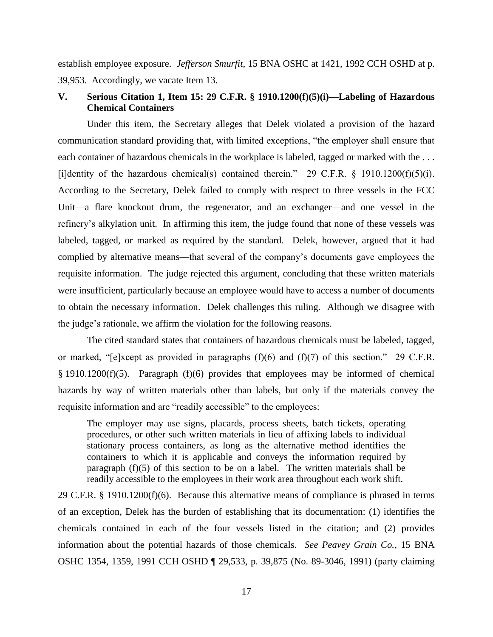establish employee exposure. *Jefferson Smurfit*, 15 BNA OSHC at 1421, 1992 CCH OSHD at p. 39,953. Accordingly, we vacate Item 13.

# **V. Serious Citation 1, Item 15: 29 C.F.R. § 1910.1200(f)(5)(i)—Labeling of Hazardous Chemical Containers**

Under this item, the Secretary alleges that Delek violated a provision of the hazard communication standard providing that, with limited exceptions, "the employer shall ensure that each container of hazardous chemicals in the workplace is labeled, tagged or marked with the ... [i]dentity of the hazardous chemical(s) contained therein." 29 C.F.R.  $\S$  1910.1200(f)(5)(i). According to the Secretary, Delek failed to comply with respect to three vessels in the FCC Unit—a flare knockout drum, the regenerator, and an exchanger—and one vessel in the refinery's alkylation unit. In affirming this item, the judge found that none of these vessels was labeled, tagged, or marked as required by the standard. Delek, however, argued that it had complied by alternative means—that several of the company's documents gave employees the requisite information. The judge rejected this argument, concluding that these written materials were insufficient, particularly because an employee would have to access a number of documents to obtain the necessary information. Delek challenges this ruling. Although we disagree with the judge's rationale, we affirm the violation for the following reasons.

The cited standard states that containers of hazardous chemicals must be labeled, tagged, or marked, "[e]xcept as provided in paragraphs (f)(6) and (f)(7) of this section." 29 C.F.R. § 1910.1200(f)(5). Paragraph (f)(6) provides that employees may be informed of chemical hazards by way of written materials other than labels, but only if the materials convey the requisite information and are "readily accessible" to the employees:

The employer may use signs, placards, process sheets, batch tickets, operating procedures, or other such written materials in lieu of affixing labels to individual stationary process containers, as long as the alternative method identifies the containers to which it is applicable and conveys the information required by paragraph (f)(5) of this section to be on a label. The written materials shall be readily accessible to the employees in their work area throughout each work shift.

29 C.F.R. § 1910.1200(f)(6). Because this alternative means of compliance is phrased in terms of an exception, Delek has the burden of establishing that its documentation: (1) identifies the chemicals contained in each of the four vessels listed in the citation; and (2) provides information about the potential hazards of those chemicals. *See Peavey Grain Co.*, 15 BNA OSHC 1354, 1359, 1991 CCH OSHD ¶ 29,533, p. 39,875 (No. 89-3046, 1991) (party claiming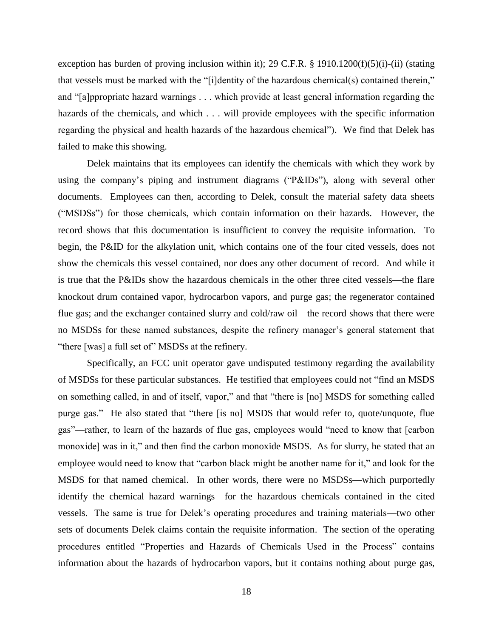exception has burden of proving inclusion within it); 29 C.F.R. § 1910.1200(f)(5)(i)-(ii) (stating that vessels must be marked with the "[i]dentity of the hazardous chemical(s) contained therein," and "[a]ppropriate hazard warnings . . . which provide at least general information regarding the hazards of the chemicals, and which . . . will provide employees with the specific information regarding the physical and health hazards of the hazardous chemical"). We find that Delek has failed to make this showing.

Delek maintains that its employees can identify the chemicals with which they work by using the company's piping and instrument diagrams ("P&IDs"), along with several other documents. Employees can then, according to Delek, consult the material safety data sheets ("MSDSs") for those chemicals, which contain information on their hazards. However, the record shows that this documentation is insufficient to convey the requisite information. To begin, the P&ID for the alkylation unit, which contains one of the four cited vessels, does not show the chemicals this vessel contained, nor does any other document of record. And while it is true that the P&IDs show the hazardous chemicals in the other three cited vessels—the flare knockout drum contained vapor, hydrocarbon vapors, and purge gas; the regenerator contained flue gas; and the exchanger contained slurry and cold/raw oil—the record shows that there were no MSDSs for these named substances, despite the refinery manager's general statement that "there [was] a full set of" MSDSs at the refinery.

Specifically, an FCC unit operator gave undisputed testimony regarding the availability of MSDSs for these particular substances. He testified that employees could not "find an MSDS on something called, in and of itself, vapor," and that "there is [no] MSDS for something called purge gas." He also stated that "there [is no] MSDS that would refer to, quote/unquote, flue gas"—rather, to learn of the hazards of flue gas, employees would "need to know that [carbon monoxide] was in it," and then find the carbon monoxide MSDS. As for slurry, he stated that an employee would need to know that "carbon black might be another name for it," and look for the MSDS for that named chemical. In other words, there were no MSDSs—which purportedly identify the chemical hazard warnings—for the hazardous chemicals contained in the cited vessels. The same is true for Delek's operating procedures and training materials—two other sets of documents Delek claims contain the requisite information. The section of the operating procedures entitled "Properties and Hazards of Chemicals Used in the Process" contains information about the hazards of hydrocarbon vapors, but it contains nothing about purge gas,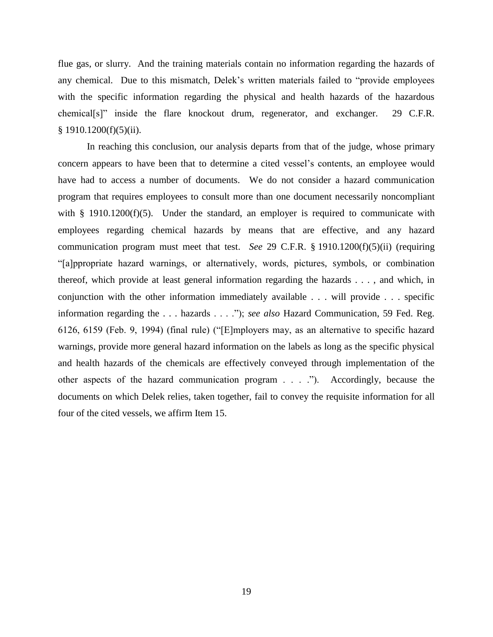flue gas, or slurry. And the training materials contain no information regarding the hazards of any chemical. Due to this mismatch, Delek's written materials failed to "provide employees with the specific information regarding the physical and health hazards of the hazardous chemical[s]" inside the flare knockout drum, regenerator, and exchanger. 29 C.F.R.  $§ 1910.1200(f)(5)(ii).$ 

In reaching this conclusion, our analysis departs from that of the judge, whose primary concern appears to have been that to determine a cited vessel's contents, an employee would have had to access a number of documents. We do not consider a hazard communication program that requires employees to consult more than one document necessarily noncompliant with § 1910.1200(f)(5). Under the standard, an employer is required to communicate with employees regarding chemical hazards by means that are effective, and any hazard communication program must meet that test. *See* 29 C.F.R. § 1910.1200(f)(5)(ii) (requiring "[a]ppropriate hazard warnings, or alternatively, words, pictures, symbols, or combination thereof, which provide at least general information regarding the hazards . . . , and which, in conjunction with the other information immediately available . . . will provide . . . specific information regarding the . . . hazards . . . ."); *see also* Hazard Communication, 59 Fed. Reg. 6126, 6159 (Feb. 9, 1994) (final rule) ("[E]mployers may, as an alternative to specific hazard warnings, provide more general hazard information on the labels as long as the specific physical and health hazards of the chemicals are effectively conveyed through implementation of the other aspects of the hazard communication program . . . ."). Accordingly, because the documents on which Delek relies, taken together, fail to convey the requisite information for all four of the cited vessels, we affirm Item 15.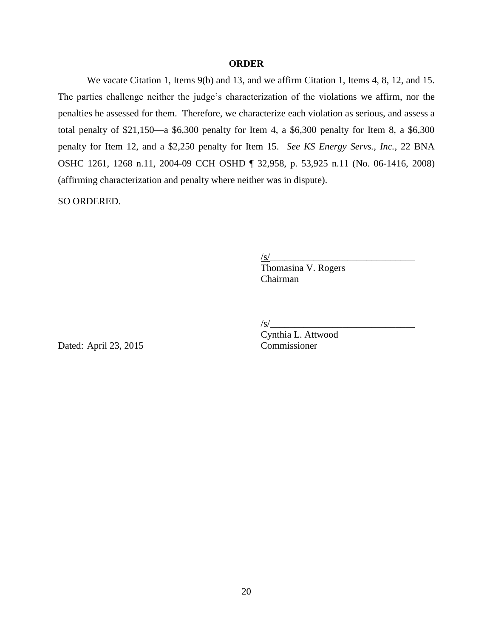### **ORDER**

We vacate Citation 1, Items 9(b) and 13, and we affirm Citation 1, Items 4, 8, 12, and 15. The parties challenge neither the judge's characterization of the violations we affirm, nor the penalties he assessed for them. Therefore, we characterize each violation as serious, and assess a total penalty of \$21,150—a \$6,300 penalty for Item 4, a \$6,300 penalty for Item 8, a \$6,300 penalty for Item 12, and a \$2,250 penalty for Item 15. *See KS Energy Servs., Inc.*, 22 BNA OSHC 1261, 1268 n.11, 2004-09 CCH OSHD ¶ 32,958, p. 53,925 n.11 (No. 06-1416, 2008) (affirming characterization and penalty where neither was in dispute).

SO ORDERED.

 $\sqrt{s}$ /

Thomasina V. Rogers Chairman

/s/\_\_\_\_\_\_\_\_\_\_\_\_\_\_\_\_\_\_\_\_\_\_\_\_\_\_\_\_\_\_

Dated: April 23, 2015 Commissioner

Cynthia L. Attwood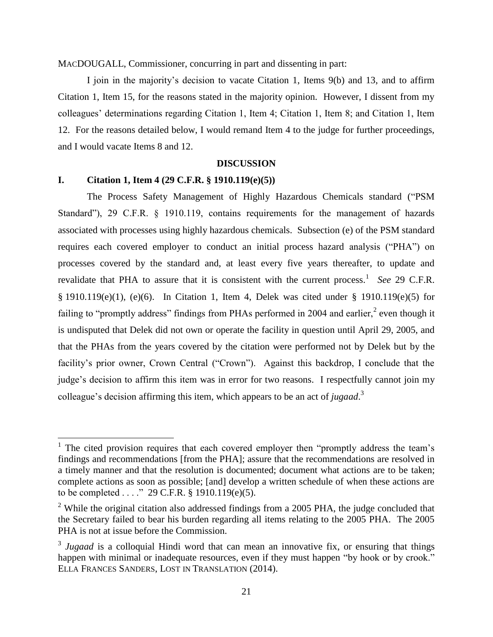MACDOUGALL, Commissioner, concurring in part and dissenting in part:

I join in the majority's decision to vacate Citation 1, Items 9(b) and 13, and to affirm Citation 1, Item 15, for the reasons stated in the majority opinion. However, I dissent from my colleagues' determinations regarding Citation 1, Item 4; Citation 1, Item 8; and Citation 1, Item 12. For the reasons detailed below, I would remand Item 4 to the judge for further proceedings, and I would vacate Items 8 and 12.

#### **DISCUSSION**

#### **I. Citation 1, Item 4 (29 C.F.R. § 1910.119(e)(5))**

l

The Process Safety Management of Highly Hazardous Chemicals standard ("PSM Standard"), 29 C.F.R. § 1910.119, contains requirements for the management of hazards associated with processes using highly hazardous chemicals. Subsection (e) of the PSM standard requires each covered employer to conduct an initial process hazard analysis ("PHA") on processes covered by the standard and, at least every five years thereafter, to update and revalidate that PHA to assure that it is consistent with the current process.<sup>1</sup> See 29 C.F.R. § 1910.119(e)(1), (e)(6). In Citation 1, Item 4, Delek was cited under § 1910.119(e)(5) for failing to "promptly address" findings from PHAs performed in 2004 and earlier, $\alpha$  even though it is undisputed that Delek did not own or operate the facility in question until April 29, 2005, and that the PHAs from the years covered by the citation were performed not by Delek but by the facility's prior owner, Crown Central ("Crown"). Against this backdrop, I conclude that the judge's decision to affirm this item was in error for two reasons. I respectfully cannot join my colleague's decision affirming this item, which appears to be an act of *jugaad*. 3

<sup>&</sup>lt;sup>1</sup> The cited provision requires that each covered employer then "promptly address the team's findings and recommendations [from the PHA]; assure that the recommendations are resolved in a timely manner and that the resolution is documented; document what actions are to be taken; complete actions as soon as possible; [and] develop a written schedule of when these actions are to be completed . . . ." 29 C.F.R. § 1910.119(e)(5).

<sup>&</sup>lt;sup>2</sup> While the original citation also addressed findings from a 2005 PHA, the judge concluded that the Secretary failed to bear his burden regarding all items relating to the 2005 PHA. The 2005 PHA is not at issue before the Commission.

<sup>&</sup>lt;sup>3</sup> Jugaad is a colloquial Hindi word that can mean an innovative fix, or ensuring that things happen with minimal or inadequate resources, even if they must happen "by hook or by crook." ELLA FRANCES SANDERS, LOST IN TRANSLATION (2014).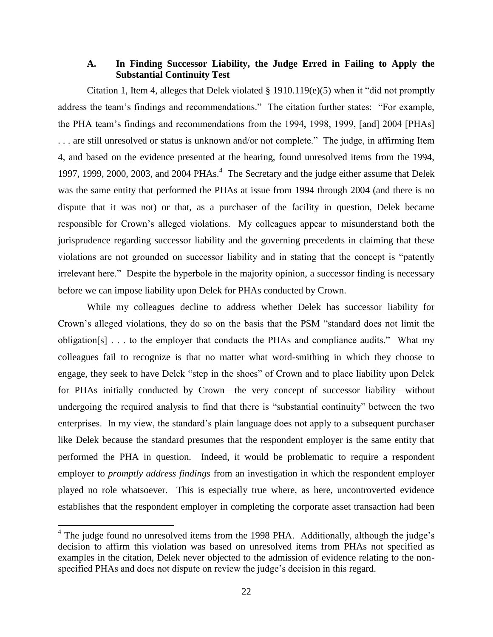## **A. In Finding Successor Liability, the Judge Erred in Failing to Apply the Substantial Continuity Test**

Citation 1, Item 4, alleges that Delek violated § 1910.119(e)(5) when it "did not promptly address the team's findings and recommendations." The citation further states: "For example, the PHA team's findings and recommendations from the 1994, 1998, 1999, [and] 2004 [PHAs] . . . are still unresolved or status is unknown and/or not complete." The judge, in affirming Item 4, and based on the evidence presented at the hearing, found unresolved items from the 1994, 1997, 1999, 2000, 2003, and 2004 PHAs.<sup>4</sup> The Secretary and the judge either assume that Delek was the same entity that performed the PHAs at issue from 1994 through 2004 (and there is no dispute that it was not) or that, as a purchaser of the facility in question, Delek became responsible for Crown's alleged violations. My colleagues appear to misunderstand both the jurisprudence regarding successor liability and the governing precedents in claiming that these violations are not grounded on successor liability and in stating that the concept is "patently irrelevant here." Despite the hyperbole in the majority opinion, a successor finding is necessary before we can impose liability upon Delek for PHAs conducted by Crown.

While my colleagues decline to address whether Delek has successor liability for Crown's alleged violations, they do so on the basis that the PSM "standard does not limit the obligation[s] . . . to the employer that conducts the PHAs and compliance audits." What my colleagues fail to recognize is that no matter what word-smithing in which they choose to engage, they seek to have Delek "step in the shoes" of Crown and to place liability upon Delek for PHAs initially conducted by Crown—the very concept of successor liability—without undergoing the required analysis to find that there is "substantial continuity" between the two enterprises. In my view, the standard's plain language does not apply to a subsequent purchaser like Delek because the standard presumes that the respondent employer is the same entity that performed the PHA in question. Indeed, it would be problematic to require a respondent employer to *promptly address findings* from an investigation in which the respondent employer played no role whatsoever. This is especially true where, as here, uncontroverted evidence establishes that the respondent employer in completing the corporate asset transaction had been

 $\overline{a}$ 

<sup>&</sup>lt;sup>4</sup> The judge found no unresolved items from the 1998 PHA. Additionally, although the judge's decision to affirm this violation was based on unresolved items from PHAs not specified as examples in the citation, Delek never objected to the admission of evidence relating to the nonspecified PHAs and does not dispute on review the judge's decision in this regard.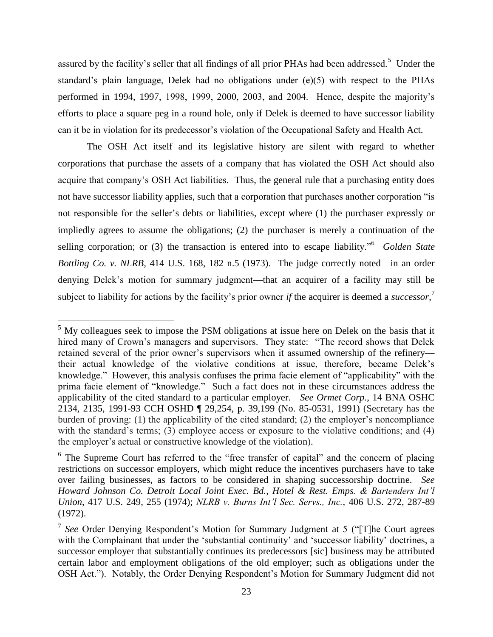assured by the facility's seller that all findings of all prior PHAs had been addressed.<sup>5</sup> Under the standard's plain language, Delek had no obligations under (e)(5) with respect to the PHAs performed in 1994, 1997, 1998, 1999, 2000, 2003, and 2004. Hence, despite the majority's efforts to place a square peg in a round hole, only if Delek is deemed to have successor liability can it be in violation for its predecessor's violation of the Occupational Safety and Health Act.

The OSH Act itself and its legislative history are silent with regard to whether corporations that purchase the assets of a company that has violated the OSH Act should also acquire that company's OSH Act liabilities. Thus, the general rule that a purchasing entity does not have successor liability applies, such that a corporation that purchases another corporation "is not responsible for the seller's debts or liabilities, except where (1) the purchaser expressly or impliedly agrees to assume the obligations; (2) the purchaser is merely a continuation of the selling corporation; or (3) the transaction is entered into to escape liability."<sup>6</sup> *Golden State Bottling Co. v. NLRB*, 414 U.S. 168, 182 n.5 (1973). The judge correctly noted—in an order denying Delek's motion for summary judgment—that an acquirer of a facility may still be subject to liability for actions by the facility's prior owner *if* the acquirer is deemed a *successor*, 7

 $\overline{\phantom{a}}$ 

 $<sup>5</sup>$  My colleagues seek to impose the PSM obligations at issue here on Delek on the basis that it</sup> hired many of Crown's managers and supervisors. They state: "The record shows that Delek retained several of the prior owner's supervisors when it assumed ownership of the refinery their actual knowledge of the violative conditions at issue, therefore, became Delek's knowledge." However, this analysis confuses the prima facie element of "applicability" with the prima facie element of "knowledge." Such a fact does not in these circumstances address the applicability of the cited standard to a particular employer. *See Ormet Corp.*, 14 BNA OSHC 2134, 2135, 1991-93 CCH OSHD ¶ 29,254, p. 39,199 (No. 85-0531, 1991) (Secretary has the burden of proving: (1) the applicability of the cited standard; (2) the employer's noncompliance with the standard's terms; (3) employee access or exposure to the violative conditions; and (4) the employer's actual or constructive knowledge of the violation).

<sup>&</sup>lt;sup>6</sup> The Supreme Court has referred to the "free transfer of capital" and the concern of placing restrictions on successor employers, which might reduce the incentives purchasers have to take over failing businesses, as factors to be considered in shaping successorship doctrine. *See Howard Johnson Co. Detroit Local Joint Exec. Bd., Hotel & Rest. Emps. & Bartenders Int'l Union*, 417 U.S. 249, 255 (1974); *NLRB v. Burns Int'l Sec. Servs., Inc.*, 406 U.S. 272, 287-89 (1972).

<sup>&</sup>lt;sup>7</sup> See Order Denying Respondent's Motion for Summary Judgment at 5 ("[T]he Court agrees with the Complainant that under the 'substantial continuity' and 'successor liability' doctrines, a successor employer that substantially continues its predecessors [sic] business may be attributed certain labor and employment obligations of the old employer; such as obligations under the OSH Act."). Notably, the Order Denying Respondent's Motion for Summary Judgment did not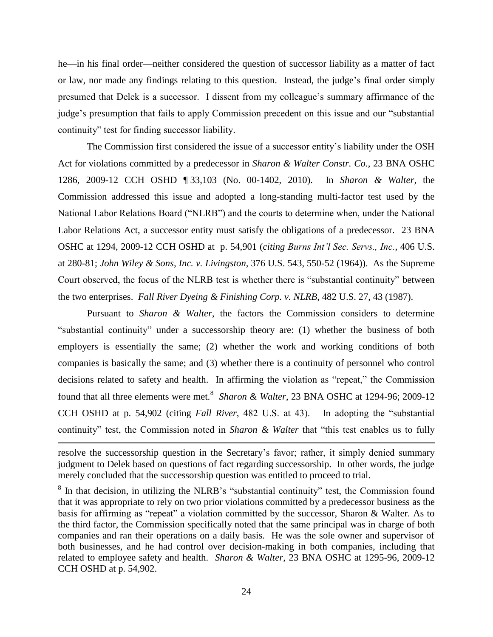he—in his final order—neither considered the question of successor liability as a matter of fact or law, nor made any findings relating to this question. Instead, the judge's final order simply presumed that Delek is a successor. I dissent from my colleague's summary affirmance of the judge's presumption that fails to apply Commission precedent on this issue and our "substantial continuity" test for finding successor liability.

The Commission first considered the issue of a successor entity's liability under the OSH Act for violations committed by a predecessor in *Sharon & Walter Constr. Co.*, 23 BNA OSHC 1286, 2009-12 CCH OSHD ¶ 33,103 (No. 00-1402, 2010). In *Sharon & Walter*, the Commission addressed this issue and adopted a long-standing multi-factor test used by the National Labor Relations Board ("NLRB") and the courts to determine when, under the National Labor Relations Act, a successor entity must satisfy the obligations of a predecessor. 23 BNA OSHC at 1294, 2009-12 CCH OSHD at p. 54,901 (*citing Burns Int'l Sec. Servs., Inc.*, 406 U.S. at 280-81; *John Wiley & Sons, Inc. v. Livingston*, 376 U.S. 543, 550-52 (1964)). As the Supreme Court observed, the focus of the NLRB test is whether there is "substantial continuity" between the two enterprises. *Fall River Dyeing & Finishing Corp. v. NLRB*, 482 U.S. 27, 43 (1987).

Pursuant to *Sharon & Walter*, the factors the Commission considers to determine "substantial continuity" under a successorship theory are: (1) whether the business of both employers is essentially the same; (2) whether the work and working conditions of both companies is basically the same; and (3) whether there is a continuity of personnel who control decisions related to safety and health. In affirming the violation as "repeat," the Commission found that all three elements were met.<sup>8</sup> Sharon & Walter, 23 BNA OSHC at 1294-96; 2009-12 CCH OSHD at p. 54,902 (citing *Fall River*, 482 U.S. at 43). In adopting the "substantial continuity" test, the Commission noted in *Sharon & Walter* that "this test enables us to fully

l

resolve the successorship question in the Secretary's favor; rather, it simply denied summary judgment to Delek based on questions of fact regarding successorship. In other words, the judge merely concluded that the successorship question was entitled to proceed to trial.

 $8$  In that decision, in utilizing the NLRB's "substantial continuity" test, the Commission found that it was appropriate to rely on two prior violations committed by a predecessor business as the basis for affirming as "repeat" a violation committed by the successor, Sharon & Walter. As to the third factor, the Commission specifically noted that the same principal was in charge of both companies and ran their operations on a daily basis. He was the sole owner and supervisor of both businesses, and he had control over decision-making in both companies, including that related to employee safety and health. *Sharon & Walter*, 23 BNA OSHC at 1295-96, 2009-12 CCH OSHD at p. 54,902.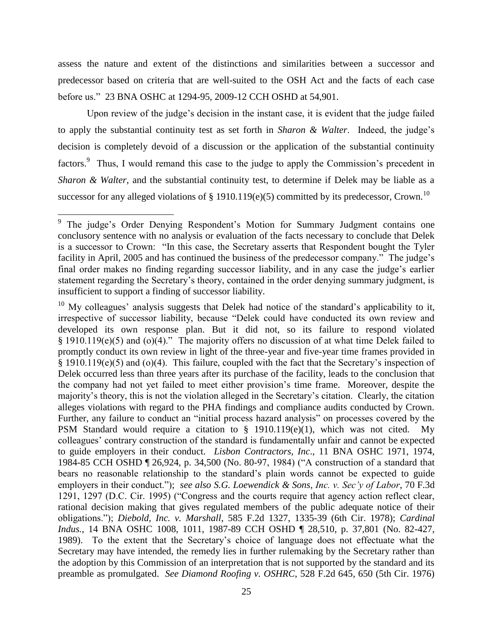assess the nature and extent of the distinctions and similarities between a successor and predecessor based on criteria that are well-suited to the OSH Act and the facts of each case before us." 23 BNA OSHC at 1294-95, 2009-12 CCH OSHD at 54,901.

Upon review of the judge's decision in the instant case, it is evident that the judge failed to apply the substantial continuity test as set forth in *Sharon & Walter*. Indeed, the judge's decision is completely devoid of a discussion or the application of the substantial continuity factors.<sup>9</sup> Thus, I would remand this case to the judge to apply the Commission's precedent in *Sharon & Walter*, and the substantial continuity test, to determine if Delek may be liable as a successor for any alleged violations of § 1910.119(e)(5) committed by its predecessor, Crown.<sup>10</sup>

<sup>&</sup>lt;sup>9</sup> The judge's Order Denying Respondent's Motion for Summary Judgment contains one conclusory sentence with no analysis or evaluation of the facts necessary to conclude that Delek is a successor to Crown: "In this case, the Secretary asserts that Respondent bought the Tyler facility in April, 2005 and has continued the business of the predecessor company." The judge's final order makes no finding regarding successor liability, and in any case the judge's earlier statement regarding the Secretary's theory, contained in the order denying summary judgment, is insufficient to support a finding of successor liability.

 $10$  My colleagues' analysis suggests that Delek had notice of the standard's applicability to it, irrespective of successor liability, because "Delek could have conducted its own review and developed its own response plan. But it did not, so its failure to respond violated § 1910.119(e)(5) and (o)(4)." The majority offers no discussion of at what time Delek failed to promptly conduct its own review in light of the three-year and five-year time frames provided in § 1910.119(e)(5) and (o)(4). This failure, coupled with the fact that the Secretary's inspection of Delek occurred less than three years after its purchase of the facility, leads to the conclusion that the company had not yet failed to meet either provision's time frame. Moreover, despite the majority's theory, this is not the violation alleged in the Secretary's citation. Clearly, the citation alleges violations with regard to the PHA findings and compliance audits conducted by Crown. Further, any failure to conduct an "initial process hazard analysis" on processes covered by the PSM Standard would require a citation to § 1910.119(e)(1), which was not cited. My colleagues' contrary construction of the standard is fundamentally unfair and cannot be expected to guide employers in their conduct. *Lisbon Contractors, Inc*., 11 BNA OSHC 1971, 1974, 1984-85 CCH OSHD ¶ 26,924, p. 34,500 (No. 80-97, 1984) ("A construction of a standard that bears no reasonable relationship to the standard's plain words cannot be expected to guide employers in their conduct."); *see also S.G. Loewendick & Sons, Inc. v. Sec'y of Labor*, 70 F.3d 1291, 1297 (D.C. Cir. 1995) ("Congress and the courts require that agency action reflect clear, rational decision making that gives regulated members of the public adequate notice of their obligations."); *Diebold, Inc. v. Marshall*, 585 F.2d 1327, 1335-39 (6th Cir. 1978); *Cardinal Indus.*, 14 BNA OSHC 1008, 1011, 1987-89 CCH OSHD ¶ 28,510, p. 37,801 (No. 82-427, 1989). To the extent that the Secretary's choice of language does not effectuate what the Secretary may have intended, the remedy lies in further rulemaking by the Secretary rather than the adoption by this Commission of an interpretation that is not supported by the standard and its preamble as promulgated. *See Diamond Roofing v. OSHRC*, 528 F.2d 645, 650 (5th Cir. 1976)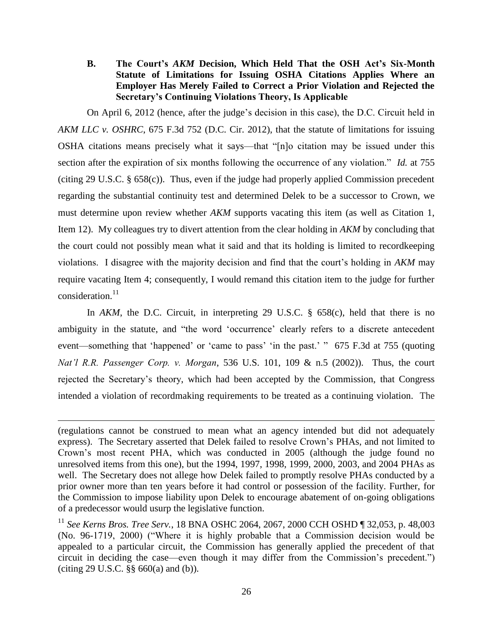**B. The Court's** *AKM* **Decision, Which Held That the OSH Act's Six-Month Statute of Limitations for Issuing OSHA Citations Applies Where an Employer Has Merely Failed to Correct a Prior Violation and Rejected the Secretary's Continuing Violations Theory, Is Applicable**

On April 6, 2012 (hence, after the judge's decision in this case), the D.C. Circuit held in *AKM LLC v. OSHRC*, 675 F.3d 752 (D.C. Cir. 2012), that the statute of limitations for issuing OSHA citations means precisely what it says—that "[n]o citation may be issued under this section after the expiration of six months following the occurrence of any violation." *Id.* at 755 (citing 29 U.S.C. § 658(c)). Thus, even if the judge had properly applied Commission precedent regarding the substantial continuity test and determined Delek to be a successor to Crown, we must determine upon review whether *AKM* supports vacating this item (as well as Citation 1, Item 12). My colleagues try to divert attention from the clear holding in *AKM* by concluding that the court could not possibly mean what it said and that its holding is limited to recordkeeping violations. I disagree with the majority decision and find that the court's holding in *AKM* may require vacating Item 4; consequently, I would remand this citation item to the judge for further consideration.<sup>11</sup>

In *AKM*, the D.C. Circuit, in interpreting 29 U.S.C. § 658(c), held that there is no ambiguity in the statute, and "the word 'occurrence' clearly refers to a discrete antecedent event—something that 'happened' or 'came to pass' 'in the past.' " 675 F.3d at 755 (quoting *Nat'l R.R. Passenger Corp. v. Morgan*, 536 U.S. 101, 109 & n.5 (2002)). Thus, the court rejected the Secretary's theory, which had been accepted by the Commission, that Congress intended a violation of recordmaking requirements to be treated as a continuing violation. The

 $\overline{\phantom{a}}$ 

<sup>(</sup>regulations cannot be construed to mean what an agency intended but did not adequately express). The Secretary asserted that Delek failed to resolve Crown's PHAs, and not limited to Crown's most recent PHA, which was conducted in 2005 (although the judge found no unresolved items from this one), but the 1994, 1997, 1998, 1999, 2000, 2003, and 2004 PHAs as well. The Secretary does not allege how Delek failed to promptly resolve PHAs conducted by a prior owner more than ten years before it had control or possession of the facility. Further, for the Commission to impose liability upon Delek to encourage abatement of on-going obligations of a predecessor would usurp the legislative function.

<sup>11</sup> *See Kerns Bros. Tree Serv.*, 18 BNA OSHC 2064, 2067, 2000 CCH OSHD ¶ 32,053, p. 48,003 (No. 96-1719, 2000) ("Where it is highly probable that a Commission decision would be appealed to a particular circuit, the Commission has generally applied the precedent of that circuit in deciding the case—even though it may differ from the Commission's precedent.") (citing 29 U.S.C. §§ 660(a) and (b)).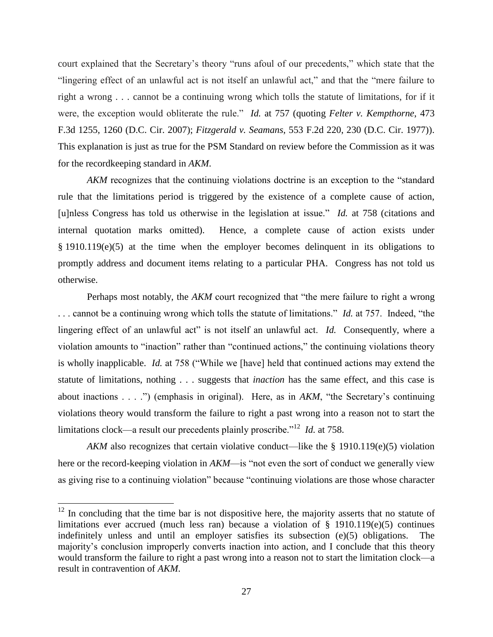court explained that the Secretary's theory "runs afoul of our precedents," which state that the "lingering effect of an unlawful act is not itself an unlawful act," and that the "mere failure to right a wrong . . . cannot be a continuing wrong which tolls the statute of limitations, for if it were, the exception would obliterate the rule." *Id.* at 757 (quoting *Felter v. Kempthorne*, 473 F.3d 1255, 1260 (D.C. Cir. 2007); *Fitzgerald v. Seamans*, 553 F.2d 220, 230 (D.C. Cir. 1977)). This explanation is just as true for the PSM Standard on review before the Commission as it was for the recordkeeping standard in *AKM*.

*AKM* recognizes that the continuing violations doctrine is an exception to the "standard rule that the limitations period is triggered by the existence of a complete cause of action, [u]nless Congress has told us otherwise in the legislation at issue." *Id.* at 758 (citations and internal quotation marks omitted). Hence, a complete cause of action exists under § 1910.119(e)(5) at the time when the employer becomes delinquent in its obligations to promptly address and document items relating to a particular PHA. Congress has not told us otherwise.

Perhaps most notably, the *AKM* court recognized that "the mere failure to right a wrong . . . cannot be a continuing wrong which tolls the statute of limitations." *Id.* at 757. Indeed, "the lingering effect of an unlawful act" is not itself an unlawful act. *Id.* Consequently, where a violation amounts to "inaction" rather than "continued actions," the continuing violations theory is wholly inapplicable. *Id.* at 758 ("While we [have] held that continued actions may extend the statute of limitations, nothing . . . suggests that *inaction* has the same effect, and this case is about inactions . . . .") (emphasis in original). Here, as in *AKM*, "the Secretary's continuing violations theory would transform the failure to right a past wrong into a reason not to start the limitations clock—a result our precedents plainly proscribe."<sup>12</sup> *Id.* at 758.

*AKM* also recognizes that certain violative conduct—like the § 1910.119(e)(5) violation here or the record-keeping violation in *AKM*—is "not even the sort of conduct we generally view as giving rise to a continuing violation" because "continuing violations are those whose character

 $\overline{\phantom{a}}$ 

 $12$  In concluding that the time bar is not dispositive here, the majority asserts that no statute of limitations ever accrued (much less ran) because a violation of § 1910.119(e)(5) continues indefinitely unless and until an employer satisfies its subsection (e)(5) obligations. The majority's conclusion improperly converts inaction into action, and I conclude that this theory would transform the failure to right a past wrong into a reason not to start the limitation clock—a result in contravention of *AKM*.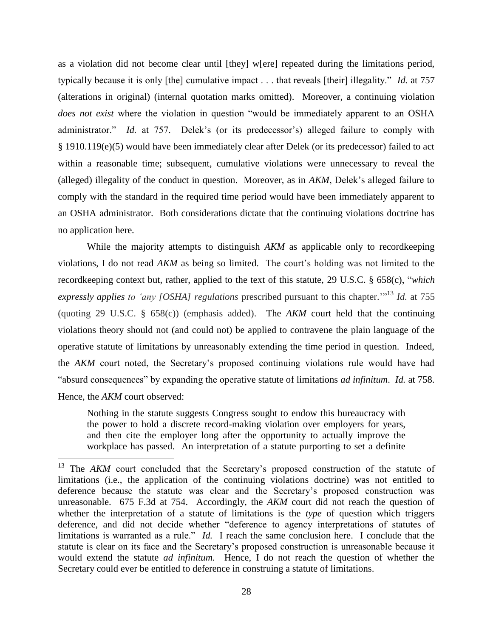as a violation did not become clear until [they] w[ere] repeated during the limitations period, typically because it is only [the] cumulative impact . . . that reveals [their] illegality." *Id.* at 757 (alterations in original) (internal quotation marks omitted). Moreover, a continuing violation *does not exist* where the violation in question "would be immediately apparent to an OSHA administrator." *Id.* at 757. Delek's (or its predecessor's) alleged failure to comply with § 1910.119(e)(5) would have been immediately clear after Delek (or its predecessor) failed to act within a reasonable time; subsequent, cumulative violations were unnecessary to reveal the (alleged) illegality of the conduct in question. Moreover, as in *AKM*, Delek's alleged failure to comply with the standard in the required time period would have been immediately apparent to an OSHA administrator. Both considerations dictate that the continuing violations doctrine has no application here.

While the majority attempts to distinguish AKM as applicable only to recordkeeping violations, I do not read *AKM* as being so limited. The court's holding was not limited to the recordkeeping context but, rather, applied to the text of this statute, 29 U.S.C. § 658(c), "*which expressly applies to 'any [OSHA] regulations* prescribed pursuant to this chapter.'" <sup>13</sup> *Id.* at 755 (quoting 29 U.S.C. § 658(c)) (emphasis added). The *AKM* court held that the continuing violations theory should not (and could not) be applied to contravene the plain language of the operative statute of limitations by unreasonably extending the time period in question. Indeed, the *AKM* court noted, the Secretary's proposed continuing violations rule would have had "absurd consequences" by expanding the operative statute of limitations *ad infinitum*. *Id.* at 758. Hence, the *AKM* court observed:

Nothing in the statute suggests Congress sought to endow this bureaucracy with the power to hold a discrete record-making violation over employers for years, and then cite the employer long after the opportunity to actually improve the workplace has passed. An interpretation of a statute purporting to set a definite

 $\overline{a}$ 

<sup>&</sup>lt;sup>13</sup> The *AKM* court concluded that the Secretary's proposed construction of the statute of limitations (i.e., the application of the continuing violations doctrine) was not entitled to deference because the statute was clear and the Secretary's proposed construction was unreasonable. 675 F.3d at 754. Accordingly, the *AKM* court did not reach the question of whether the interpretation of a statute of limitations is the *type* of question which triggers deference, and did not decide whether "deference to agency interpretations of statutes of limitations is warranted as a rule." *Id.* I reach the same conclusion here. I conclude that the statute is clear on its face and the Secretary's proposed construction is unreasonable because it would extend the statute *ad infinitum.* Hence, I do not reach the question of whether the Secretary could ever be entitled to deference in construing a statute of limitations.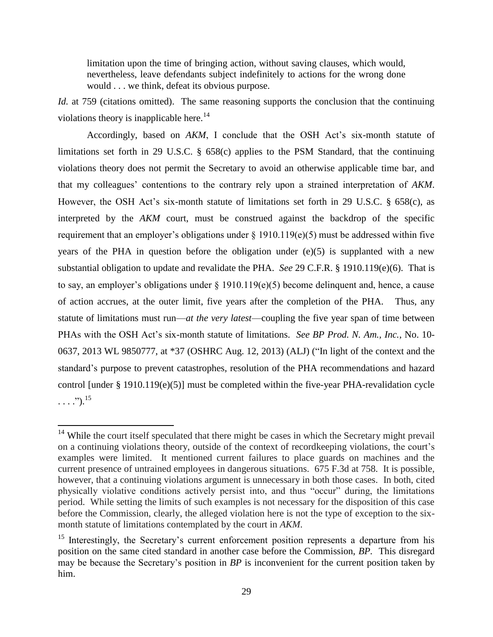limitation upon the time of bringing action, without saving clauses, which would, nevertheless, leave defendants subject indefinitely to actions for the wrong done would . . . we think, defeat its obvious purpose.

*Id.* at 759 (citations omitted). The same reasoning supports the conclusion that the continuing violations theory is inapplicable here.<sup>14</sup>

Accordingly, based on *AKM*, I conclude that the OSH Act's six-month statute of limitations set forth in 29 U.S.C. § 658(c) applies to the PSM Standard, that the continuing violations theory does not permit the Secretary to avoid an otherwise applicable time bar, and that my colleagues' contentions to the contrary rely upon a strained interpretation of *AKM*. However, the OSH Act's six-month statute of limitations set forth in 29 U.S.C. § 658(c), as interpreted by the *AKM* court, must be construed against the backdrop of the specific requirement that an employer's obligations under § 1910.119(e)(5) must be addressed within five years of the PHA in question before the obligation under (e)(5) is supplanted with a new substantial obligation to update and revalidate the PHA. *See* 29 C.F.R. § 1910.119(e)(6). That is to say, an employer's obligations under  $\S$  1910.119(e)(5) become delinquent and, hence, a cause of action accrues, at the outer limit, five years after the completion of the PHA. Thus, any statute of limitations must run—*at the very latest*—coupling the five year span of time between PHAs with the OSH Act's six-month statute of limitations. *See BP Prod. N. Am., Inc.*, No. 10- 0637, 2013 WL 9850777, at \*37 (OSHRC Aug. 12, 2013) (ALJ) ("In light of the context and the standard's purpose to prevent catastrophes, resolution of the PHA recommendations and hazard control [under § 1910.119(e)(5)] must be completed within the five-year PHA-revalidation cycle  $\ldots$ .").<sup>15</sup>

 $\overline{\phantom{a}}$ 

 $14$  While the court itself speculated that there might be cases in which the Secretary might prevail on a continuing violations theory, outside of the context of recordkeeping violations, the court's examples were limited. It mentioned current failures to place guards on machines and the current presence of untrained employees in dangerous situations. 675 F.3d at 758. It is possible, however, that a continuing violations argument is unnecessary in both those cases. In both, cited physically violative conditions actively persist into, and thus "occur" during, the limitations period. While setting the limits of such examples is not necessary for the disposition of this case before the Commission, clearly, the alleged violation here is not the type of exception to the sixmonth statute of limitations contemplated by the court in *AKM*.

<sup>&</sup>lt;sup>15</sup> Interestingly, the Secretary's current enforcement position represents a departure from his position on the same cited standard in another case before the Commission, *BP.* This disregard may be because the Secretary's position in *BP* is inconvenient for the current position taken by him.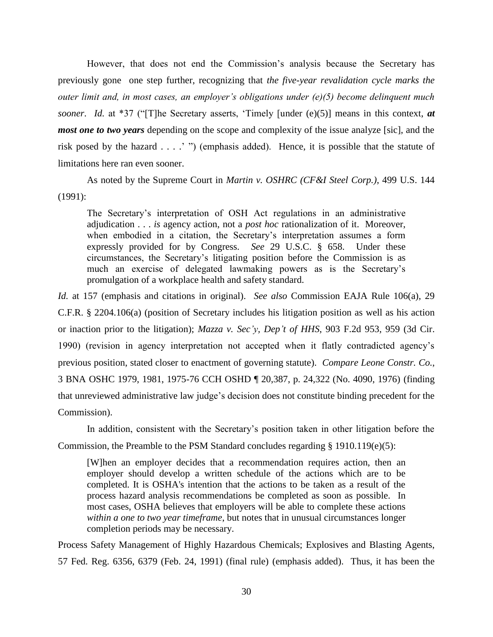However, that does not end the Commission's analysis because the Secretary has previously gone one step further, recognizing that *the five-year revalidation cycle marks the outer limit and, in most cases, an employer's obligations under (e)(5) become delinquent much sooner*. *Id.* at \*37 ("[T]he Secretary asserts, 'Timely [under (e)(5)] means in this context, *at most one to two years* depending on the scope and complexity of the issue analyze [sic], and the risk posed by the hazard . . . .' ") (emphasis added). Hence, it is possible that the statute of limitations here ran even sooner.

As noted by the Supreme Court in *Martin v. OSHRC (CF&I Steel Corp.)*, 499 U.S. 144 (1991):

The Secretary's interpretation of OSH Act regulations in an administrative adjudication . . . *is* agency action, not a *post hoc* rationalization of it. Moreover, when embodied in a citation, the Secretary's interpretation assumes a form expressly provided for by Congress. *See* 29 U.S.C. § 658. Under these circumstances, the Secretary's litigating position before the Commission is as much an exercise of delegated lawmaking powers as is the Secretary's promulgation of a workplace health and safety standard.

*Id.* at 157 (emphasis and citations in original). *See also* Commission EAJA Rule 106(a), 29 C.F.R. § 2204.106(a) (position of Secretary includes his litigation position as well as his action or inaction prior to the litigation); *Mazza v. Sec'y, Dep't of HHS*, 903 F.2d 953, 959 (3d Cir. 1990) (revision in agency interpretation not accepted when it flatly contradicted agency's previous position, stated closer to enactment of governing statute). *Compare Leone Constr. Co.*, 3 BNA OSHC 1979, 1981, 1975-76 CCH OSHD ¶ 20,387, p. 24,322 (No. 4090, 1976) (finding that unreviewed administrative law judge's decision does not constitute binding precedent for the Commission).

In addition, consistent with the Secretary's position taken in other litigation before the Commission, the Preamble to the PSM Standard concludes regarding § 1910.119(e)(5):

[W]hen an employer decides that a recommendation requires action, then an employer should develop a written schedule of the actions which are to be completed. It is OSHA's intention that the actions to be taken as a result of the process hazard analysis recommendations be completed as soon as possible. In most cases, OSHA believes that employers will be able to complete these actions *within a one to two year timeframe*, but notes that in unusual circumstances longer completion periods may be necessary.

Process Safety Management of Highly Hazardous Chemicals; Explosives and Blasting Agents, 57 Fed. Reg. 6356, 6379 (Feb. 24, 1991) (final rule) (emphasis added). Thus, it has been the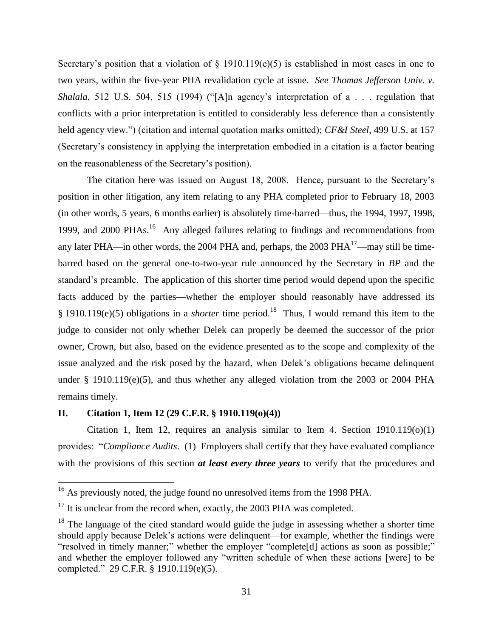Secretary's position that a violation of  $\S$  1910.119(e)(5) is established in most cases in one to two years, within the five-year PHA revalidation cycle at issue. *See Thomas Jefferson Univ. v. Shalala*, 512 U.S. 504, 515 (1994) ("[A]n agency's interpretation of a . . . regulation that conflicts with a prior interpretation is entitled to considerably less deference than a consistently held agency view.") (citation and internal quotation marks omitted); *CF&I Steel*, 499 U.S. at 157 (Secretary's consistency in applying the interpretation embodied in a citation is a factor bearing on the reasonableness of the Secretary's position).

The citation here was issued on August 18, 2008. Hence, pursuant to the Secretary's position in other litigation, any item relating to any PHA completed prior to February 18, 2003 (in other words, 5 years, 6 months earlier) is absolutely time-barred—thus, the 1994, 1997, 1998, 1999, and 2000 PHAs.<sup>16</sup> Any alleged failures relating to findings and recommendations from any later PHA—in other words, the 2004 PHA and, perhaps, the 2003 PHA $^{17}$ —may still be timebarred based on the general one-to-two-year rule announced by the Secretary in *BP* and the standard's preamble. The application of this shorter time period would depend upon the specific facts adduced by the parties—whether the employer should reasonably have addressed its  $\S 1910.119(e)(5)$  obligations in a *shorter* time period.<sup>18</sup> Thus, I would remand this item to the judge to consider not only whether Delek can properly be deemed the successor of the prior owner, Crown, but also, based on the evidence presented as to the scope and complexity of the issue analyzed and the risk posed by the hazard, when Delek's obligations became delinquent under § 1910.119(e)(5), and thus whether any alleged violation from the 2003 or 2004 PHA remains timely.

# **II. Citation 1, Item 12 (29 C.F.R. § 1910.119(o)(4))**

 $\overline{\phantom{a}}$ 

Citation 1, Item 12, requires an analysis similar to Item 4. Section  $1910.119(0)(1)$ provides: "*Compliance Audits*. (1) Employers shall certify that they have evaluated compliance with the provisions of this section *at least every three years* to verify that the procedures and

 $16$  As previously noted, the judge found no unresolved items from the 1998 PHA.

 $17$  It is unclear from the record when, exactly, the 2003 PHA was completed.

 $18$  The language of the cited standard would guide the judge in assessing whether a shorter time should apply because Delek's actions were delinquent—for example, whether the findings were "resolved in timely manner;" whether the employer "complete[d] actions as soon as possible;" and whether the employer followed any "written schedule of when these actions [were] to be completed." 29 C.F.R. § 1910.119(e)(5).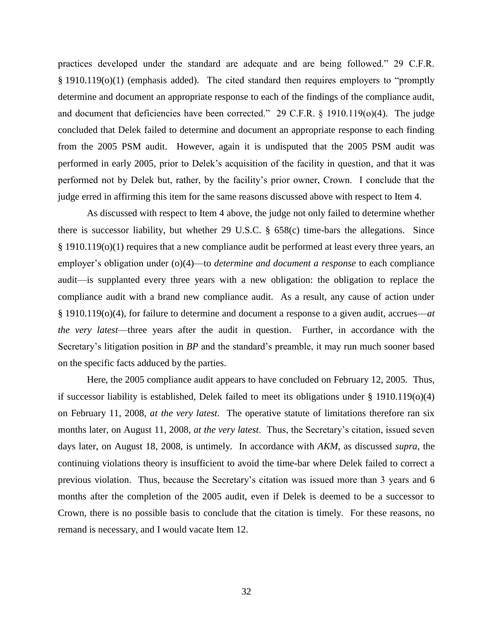practices developed under the standard are adequate and are being followed." 29 C.F.R. § 1910.119(o)(1) (emphasis added). The cited standard then requires employers to "promptly determine and document an appropriate response to each of the findings of the compliance audit, and document that deficiencies have been corrected." 29 C.F.R.  $\S$  1910.119( $o$ )(4). The judge concluded that Delek failed to determine and document an appropriate response to each finding from the 2005 PSM audit. However, again it is undisputed that the 2005 PSM audit was performed in early 2005, prior to Delek's acquisition of the facility in question, and that it was performed not by Delek but, rather, by the facility's prior owner, Crown. I conclude that the judge erred in affirming this item for the same reasons discussed above with respect to Item 4.

As discussed with respect to Item 4 above, the judge not only failed to determine whether there is successor liability, but whether 29 U.S.C. § 658(c) time-bars the allegations. Since  $§$  1910.119(o)(1) requires that a new compliance audit be performed at least every three years, an employer's obligation under (o)(4)—to *determine and document a response* to each compliance audit—is supplanted every three years with a new obligation: the obligation to replace the compliance audit with a brand new compliance audit. As a result, any cause of action under § 1910.119(o)(4), for failure to determine and document a response to a given audit, accrues—*at the very latest*—three years after the audit in question. Further, in accordance with the Secretary's litigation position in *BP* and the standard's preamble, it may run much sooner based on the specific facts adduced by the parties.

Here, the 2005 compliance audit appears to have concluded on February 12, 2005. Thus, if successor liability is established, Delek failed to meet its obligations under  $\S$  1910.119(o)(4) on February 11, 2008, *at the very latest*. The operative statute of limitations therefore ran six months later, on August 11, 2008, *at the very latest*. Thus, the Secretary's citation, issued seven days later, on August 18, 2008, is untimely. In accordance with *AKM*, as discussed *supra*, the continuing violations theory is insufficient to avoid the time-bar where Delek failed to correct a previous violation. Thus, because the Secretary's citation was issued more than 3 years and 6 months after the completion of the 2005 audit, even if Delek is deemed to be a successor to Crown, there is no possible basis to conclude that the citation is timely. For these reasons, no remand is necessary, and I would vacate Item 12.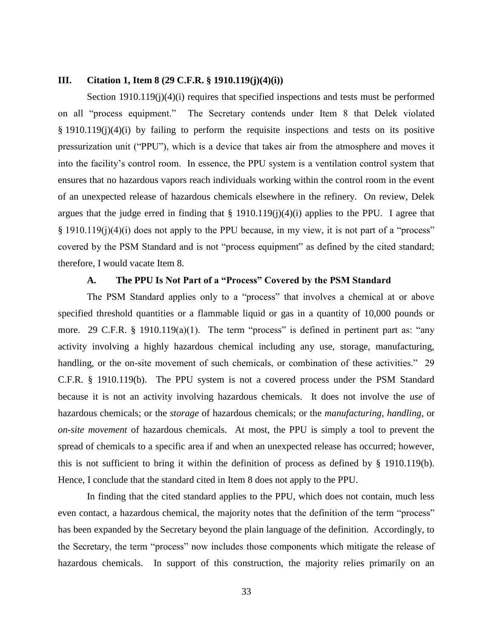## **III. Citation 1, Item 8 (29 C.F.R. § 1910.119(j)(4)(i))**

Section 1910.119(j)(4)(i) requires that specified inspections and tests must be performed on all "process equipment." The Secretary contends under Item 8 that Delek violated § 1910.119(j)(4)(i) by failing to perform the requisite inspections and tests on its positive pressurization unit ("PPU"), which is a device that takes air from the atmosphere and moves it into the facility's control room. In essence, the PPU system is a ventilation control system that ensures that no hazardous vapors reach individuals working within the control room in the event of an unexpected release of hazardous chemicals elsewhere in the refinery. On review, Delek argues that the judge erred in finding that  $\S$  1910.119(j)(4)(i) applies to the PPU. I agree that § 1910.119(j)(4)(i) does not apply to the PPU because, in my view, it is not part of a "process" covered by the PSM Standard and is not "process equipment" as defined by the cited standard; therefore, I would vacate Item 8.

## **A. The PPU Is Not Part of a "Process" Covered by the PSM Standard**

The PSM Standard applies only to a "process" that involves a chemical at or above specified threshold quantities or a flammable liquid or gas in a quantity of 10,000 pounds or more. 29 C.F.R. § 1910.119(a)(1). The term "process" is defined in pertinent part as: "any activity involving a highly hazardous chemical including any use, storage, manufacturing, handling, or the on-site movement of such chemicals, or combination of these activities." 29 C.F.R. § 1910.119(b). The PPU system is not a covered process under the PSM Standard because it is not an activity involving hazardous chemicals. It does not involve the *use* of hazardous chemicals; or the *storage* of hazardous chemicals; or the *manufacturing*, *handling*, or *on-site movement* of hazardous chemicals. At most, the PPU is simply a tool to prevent the spread of chemicals to a specific area if and when an unexpected release has occurred; however, this is not sufficient to bring it within the definition of process as defined by § 1910.119(b). Hence, I conclude that the standard cited in Item 8 does not apply to the PPU.

In finding that the cited standard applies to the PPU, which does not contain, much less even contact, a hazardous chemical, the majority notes that the definition of the term "process" has been expanded by the Secretary beyond the plain language of the definition. Accordingly, to the Secretary, the term "process" now includes those components which mitigate the release of hazardous chemicals. In support of this construction, the majority relies primarily on an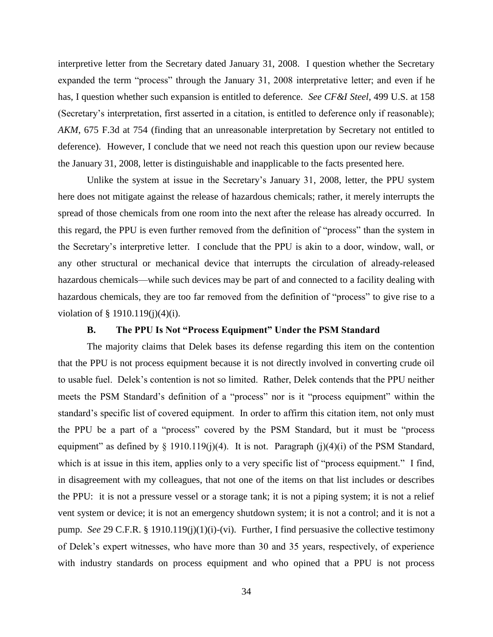interpretive letter from the Secretary dated January 31, 2008. I question whether the Secretary expanded the term "process" through the January 31, 2008 interpretative letter; and even if he has, I question whether such expansion is entitled to deference. *See CF&I Steel*, 499 U.S. at 158 (Secretary's interpretation, first asserted in a citation, is entitled to deference only if reasonable); *AKM*, 675 F.3d at 754 (finding that an unreasonable interpretation by Secretary not entitled to deference). However, I conclude that we need not reach this question upon our review because the January 31, 2008, letter is distinguishable and inapplicable to the facts presented here.

Unlike the system at issue in the Secretary's January 31, 2008, letter, the PPU system here does not mitigate against the release of hazardous chemicals; rather, it merely interrupts the spread of those chemicals from one room into the next after the release has already occurred. In this regard, the PPU is even further removed from the definition of "process" than the system in the Secretary's interpretive letter. I conclude that the PPU is akin to a door, window, wall, or any other structural or mechanical device that interrupts the circulation of already-released hazardous chemicals—while such devices may be part of and connected to a facility dealing with hazardous chemicals, they are too far removed from the definition of "process" to give rise to a violation of § 1910.119(j)(4)(i).

# **B. The PPU Is Not "Process Equipment" Under the PSM Standard**

The majority claims that Delek bases its defense regarding this item on the contention that the PPU is not process equipment because it is not directly involved in converting crude oil to usable fuel. Delek's contention is not so limited. Rather, Delek contends that the PPU neither meets the PSM Standard's definition of a "process" nor is it "process equipment" within the standard's specific list of covered equipment. In order to affirm this citation item, not only must the PPU be a part of a "process" covered by the PSM Standard, but it must be "process equipment" as defined by  $\S$  1910.119(j)(4). It is not. Paragraph (j)(4)(i) of the PSM Standard, which is at issue in this item, applies only to a very specific list of "process equipment." I find, in disagreement with my colleagues, that not one of the items on that list includes or describes the PPU: it is not a pressure vessel or a storage tank; it is not a piping system; it is not a relief vent system or device; it is not an emergency shutdown system; it is not a control; and it is not a pump. *See* 29 C.F.R. § 1910.119(j)(1)(i)-(vi). Further, I find persuasive the collective testimony of Delek's expert witnesses, who have more than 30 and 35 years, respectively, of experience with industry standards on process equipment and who opined that a PPU is not process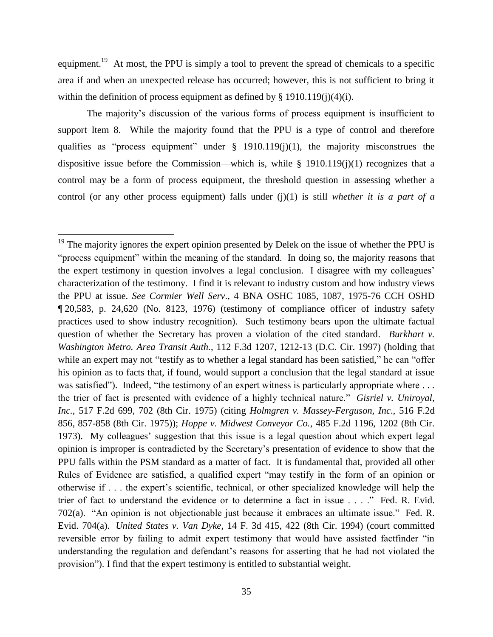equipment.<sup>19</sup> At most, the PPU is simply a tool to prevent the spread of chemicals to a specific area if and when an unexpected release has occurred; however, this is not sufficient to bring it within the definition of process equipment as defined by  $\S$  1910.119(j)(4)(i).

The majority's discussion of the various forms of process equipment is insufficient to support Item 8. While the majority found that the PPU is a type of control and therefore qualifies as "process equipment" under § 1910.119(j)(1), the majority misconstrues the dispositive issue before the Commission—which is, while § 1910.119(j)(1) recognizes that a control may be a form of process equipment, the threshold question in assessing whether a control (or any other process equipment) falls under (j)(1) is still *whether it is a part of a* 

 $\overline{\phantom{a}}$ 

 $19$  The majority ignores the expert opinion presented by Delek on the issue of whether the PPU is "process equipment" within the meaning of the standard. In doing so, the majority reasons that the expert testimony in question involves a legal conclusion. I disagree with my colleagues' characterization of the testimony. I find it is relevant to industry custom and how industry views the PPU at issue. *See Cormier Well Serv*., 4 BNA OSHC 1085, 1087, 1975-76 CCH OSHD ¶ 20,583, p. 24,620 (No. 8123, 1976) (testimony of compliance officer of industry safety practices used to show industry recognition). Such testimony bears upon the ultimate factual question of whether the Secretary has proven a violation of the cited standard. *Burkhart v. Washington Metro. Area Transit Auth.*, 112 F.3d 1207, 1212-13 (D.C. Cir. 1997) (holding that while an expert may not "testify as to whether a legal standard has been satisfied," he can "offer his opinion as to facts that, if found, would support a conclusion that the legal standard at issue was satisfied"). Indeed, "the testimony of an expert witness is particularly appropriate where ... the trier of fact is presented with evidence of a highly technical nature." *Gisriel v. Uniroyal, Inc.*, 517 F.2d 699, 702 (8th Cir. 1975) (citing *Holmgren v. Massey-Ferguson, Inc*., 516 F.2d 856, 857-858 (8th Cir. 1975)); *Hoppe v. Midwest Conveyor Co.*, 485 F.2d 1196, 1202 (8th Cir. 1973). My colleagues' suggestion that this issue is a legal question about which expert legal opinion is improper is contradicted by the Secretary's presentation of evidence to show that the PPU falls within the PSM standard as a matter of fact. It is fundamental that, provided all other Rules of Evidence are satisfied, a qualified expert "may testify in the form of an opinion or otherwise if . . . the expert's scientific, technical, or other specialized knowledge will help the trier of fact to understand the evidence or to determine a fact in issue . . . ." Fed. R. Evid. 702(a). "An opinion is not objectionable just because it embraces an ultimate issue." Fed. R. Evid. 704(a). *United States v. Van Dyke*, 14 F. 3d 415, 422 (8th Cir. 1994) (court committed reversible error by failing to admit expert testimony that would have assisted factfinder "in understanding the regulation and defendant's reasons for asserting that he had not violated the provision"). I find that the expert testimony is entitled to substantial weight.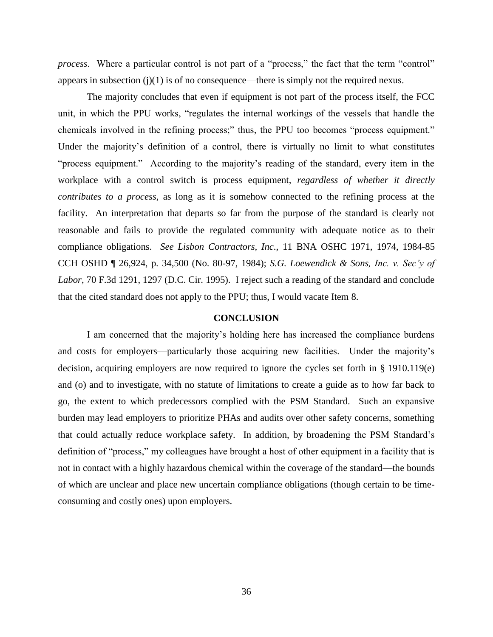*process*. Where a particular control is not part of a "process," the fact that the term "control" appears in subsection  $(j)(1)$  is of no consequence—there is simply not the required nexus.

The majority concludes that even if equipment is not part of the process itself, the FCC unit, in which the PPU works, "regulates the internal workings of the vessels that handle the chemicals involved in the refining process;" thus, the PPU too becomes "process equipment." Under the majority's definition of a control, there is virtually no limit to what constitutes "process equipment." According to the majority's reading of the standard, every item in the workplace with a control switch is process equipment, *regardless of whether it directly contributes to a process*, as long as it is somehow connected to the refining process at the facility. An interpretation that departs so far from the purpose of the standard is clearly not reasonable and fails to provide the regulated community with adequate notice as to their compliance obligations. *See Lisbon Contractors, Inc*., 11 BNA OSHC 1971, 1974, 1984-85 CCH OSHD ¶ 26,924, p. 34,500 (No. 80-97, 1984); *S.G. Loewendick & Sons, Inc. v. Sec'y of Labor*, 70 F.3d 1291, 1297 (D.C. Cir. 1995). I reject such a reading of the standard and conclude that the cited standard does not apply to the PPU; thus, I would vacate Item 8.

### **CONCLUSION**

I am concerned that the majority's holding here has increased the compliance burdens and costs for employers—particularly those acquiring new facilities. Under the majority's decision, acquiring employers are now required to ignore the cycles set forth in § 1910.119(e) and (o) and to investigate, with no statute of limitations to create a guide as to how far back to go, the extent to which predecessors complied with the PSM Standard. Such an expansive burden may lead employers to prioritize PHAs and audits over other safety concerns, something that could actually reduce workplace safety. In addition, by broadening the PSM Standard's definition of "process," my colleagues have brought a host of other equipment in a facility that is not in contact with a highly hazardous chemical within the coverage of the standard—the bounds of which are unclear and place new uncertain compliance obligations (though certain to be timeconsuming and costly ones) upon employers.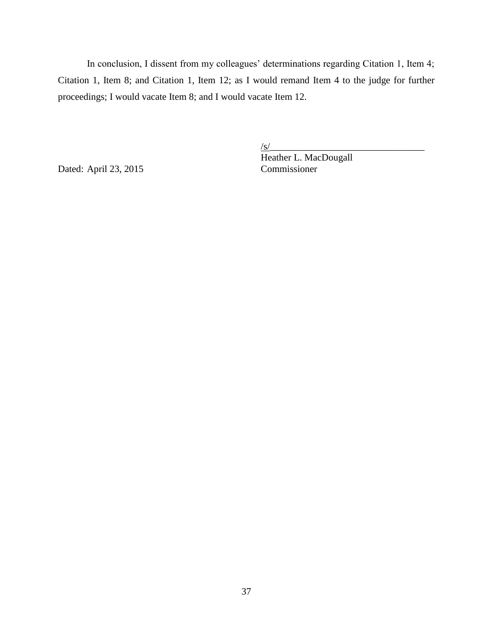In conclusion, I dissent from my colleagues' determinations regarding Citation 1, Item 4; Citation 1, Item 8; and Citation 1, Item 12; as I would remand Item 4 to the judge for further proceedings; I would vacate Item 8; and I would vacate Item 12.

Dated: April 23, 2015 Commissioner

 $\sqrt{s/}$ Heather L. MacDougall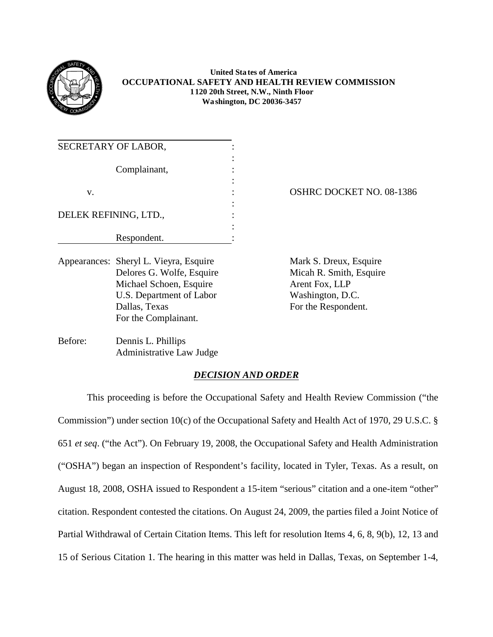

# **United Sta tes of America OCCUPATIONAL SAFETY AND HEALTH REVIEW COMMISSION 1120 20th Street, N.W., Ninth Floor Wa shington, DC 20036-3457**

| SECRETARY OF LABOR,   |  |
|-----------------------|--|
| Complainant,          |  |
|                       |  |
| v.                    |  |
| DELEK REFINING, LTD., |  |
|                       |  |
| Respondent.           |  |

Appearances: Sheryl L. Vieyra, Esquire Mark S. Dreux, Esquire Delores G. Wolfe, Esquire Micah R. Smith, Esquire Michael Schoen, Esquire Arent Fox, LLP U.S. Department of Labor Washington, D.C. Dallas, Texas For the Respondent. For the Complainant.

OSHRC DOCKET NO. 08-1386

Before: Dennis L. Phillips Administrative Law Judge

# *DECISION AND ORDER*

 This proceeding is before the Occupational Safety and Health Review Commission ("the 15 of Serious Citation 1. The hearing in this matter was held in Dallas, Texas, on September 1-4, Commission") under section 10(c) of the Occupational Safety and Health Act of 1970, 29 U.S.C. § 651 *et seq*. ("the Act"). On February 19, 2008, the Occupational Safety and Health Administration ("OSHA") began an inspection of Respondent's facility, located in Tyler, Texas. As a result, on August 18, 2008, OSHA issued to Respondent a 15-item "serious" citation and a one-item "other" citation. Respondent contested the citations. On August 24, 2009, the parties filed a Joint Notice of Partial Withdrawal of Certain Citation Items. This left for resolution Items 4, 6, 8, 9(b), 12, 13 and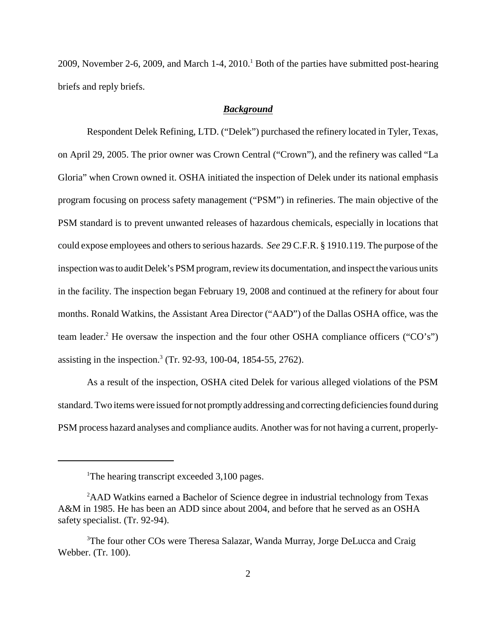2009, November 2-6, 2009, and March 1-4, 2010.<sup>1</sup> Both of the parties have submitted post-hearing briefs and reply briefs.

## *Background*

 could expose employees and others to serious hazards. *See* 29 C.F.R. § 1910.119. The purpose of the inspection was to audit Delek's PSM program, review its documentation, and inspect the various units Respondent Delek Refining, LTD. ("Delek") purchased the refinery located in Tyler, Texas, on April 29, 2005. The prior owner was Crown Central ("Crown"), and the refinery was called "La Gloria" when Crown owned it. OSHA initiated the inspection of Delek under its national emphasis program focusing on process safety management ("PSM") in refineries. The main objective of the PSM standard is to prevent unwanted releases of hazardous chemicals, especially in locations that in the facility. The inspection began February 19, 2008 and continued at the refinery for about four months. Ronald Watkins, the Assistant Area Director ("AAD") of the Dallas OSHA office, was the team leader.<sup>2</sup> He oversaw the inspection and the four other OSHA compliance officers ("CO's") assisting in the inspection.<sup>3</sup> (Tr. 92-93, 100-04, 1854-55, 2762).

 As a result of the inspection, OSHA cited Delek for various alleged violations of the PSM standard. Two items were issued for not promptlyaddressing and correcting deficiencies found during PSM process hazard analyses and compliance audits. Another was for not having a current, properly-

<sup>&</sup>lt;sup>1</sup>The hearing transcript exceeded 3,100 pages.

<sup>&</sup>lt;sup>2</sup>AAD Watkins earned a Bachelor of Science degree in industrial technology from Texas A&M in 1985. He has been an ADD since about 2004, and before that he served as an OSHA safety specialist. (Tr. 92-94).

<sup>&</sup>lt;sup>3</sup>The four other COs were Theresa Salazar, Wanda Murray, Jorge DeLucca and Craig Webber. (Tr. 100).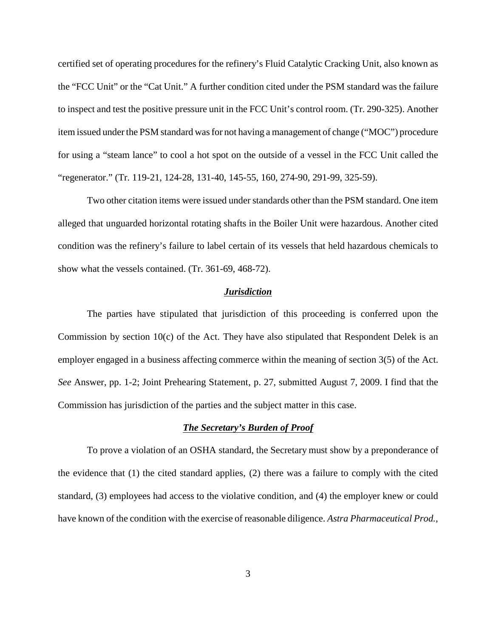certified set of operating procedures for the refinery's Fluid Catalytic Cracking Unit, also known as the "FCC Unit" or the "Cat Unit." A further condition cited under the PSM standard was the failure to inspect and test the positive pressure unit in the FCC Unit's control room. (Tr. 290-325). Another item issued under the PSM standard was for not having a management of change ("MOC") procedure for using a "steam lance" to cool a hot spot on the outside of a vessel in the FCC Unit called the "regenerator." (Tr. 119-21, 124-28, 131-40, 145-55, 160, 274-90, 291-99, 325-59).

 alleged that unguarded horizontal rotating shafts in the Boiler Unit were hazardous. Another cited condition was the refinery's failure to label certain of its vessels that held hazardous chemicals to Two other citation items were issued under standards other than the PSM standard. One item show what the vessels contained. (Tr. 361-69, 468-72).

#### *Jurisdiction*

 Commission by section 10(c) of the Act. They have also stipulated that Respondent Delek is an The parties have stipulated that jurisdiction of this proceeding is conferred upon the employer engaged in a business affecting commerce within the meaning of section 3(5) of the Act. *See* Answer, pp. 1-2; Joint Prehearing Statement, p. 27, submitted August 7, 2009. I find that the Commission has jurisdiction of the parties and the subject matter in this case.

## *The Secretary's Burden of Proof*

 the evidence that (1) the cited standard applies, (2) there was a failure to comply with the cited To prove a violation of an OSHA standard, the Secretary must show by a preponderance of standard, (3) employees had access to the violative condition, and (4) the employer knew or could have known of the condition with the exercise of reasonable diligence. *Astra Pharmaceutical Prod.*,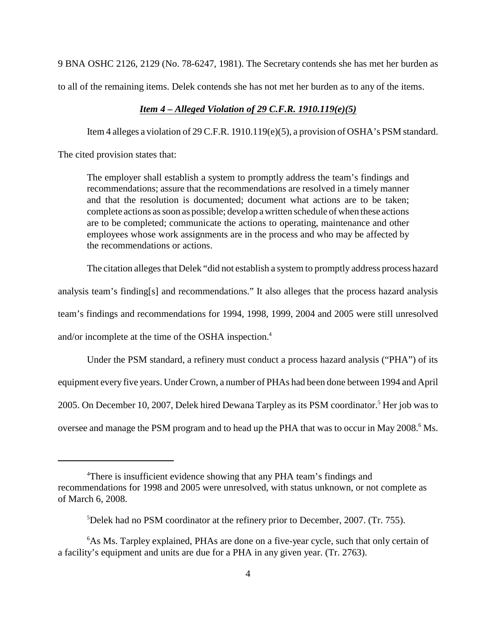9 BNA OSHC 2126, 2129 (No. 78-6247, 1981). The Secretary contends she has met her burden as

to all of the remaining items. Delek contends she has not met her burden as to any of the items.

## *Item 4 – Alleged Violation of 29 C.F.R. 1910.119(e)(5)*

Item 4 alleges a violation of 29 C.F.R. 1910.119(e)(5), a provision of OSHA's PSM standard.

The cited provision states that:

 are to be completed; communicate the actions to operating, maintenance and other The employer shall establish a system to promptly address the team's findings and recommendations; assure that the recommendations are resolved in a timely manner and that the resolution is documented; document what actions are to be taken; complete actions as soon as possible; develop a written schedule of when these actions employees whose work assignments are in the process and who may be affected by the recommendations or actions.

The citation alleges that Delek "did not establish a system to promptly address process hazard

analysis team's finding[s] and recommendations." It also alleges that the process hazard analysis

team's findings and recommendations for 1994, 1998, 1999, 2004 and 2005 were still unresolved

and/or incomplete at the time of the OSHA inspection.4

Under the PSM standard, a refinery must conduct a process hazard analysis ("PHA") of its

equipment every five years. Under Crown, a number of PHAs had been done between 1994 and April

2005. On December 10, 2007, Delek hired Dewana Tarpley as its PSM coordinator.<sup>5</sup> Her job was to

oversee and manage the PSM program and to head up the PHA that was to occur in May 2008.<sup>6</sup> Ms.

<sup>&</sup>lt;sup>4</sup>There is insufficient evidence showing that any PHA team's findings and recommendations for 1998 and 2005 were unresolved, with status unknown, or not complete as of March 6, 2008.

<sup>5</sup> Delek had no PSM coordinator at the refinery prior to December, 2007. (Tr. 755).

<sup>6</sup> As Ms. Tarpley explained, PHAs are done on a five-year cycle, such that only certain of a facility's equipment and units are due for a PHA in any given year. (Tr. 2763).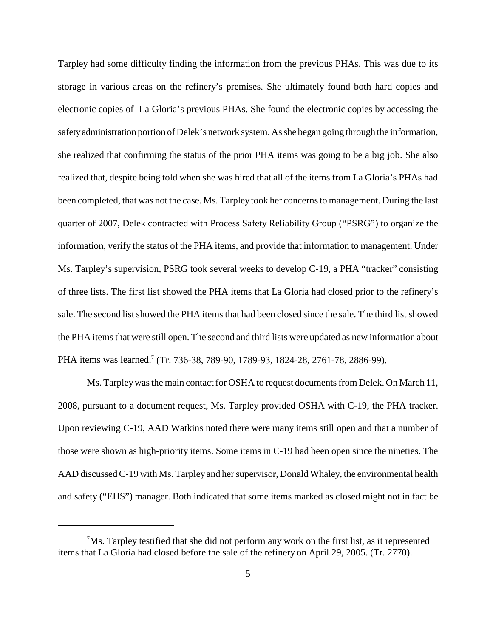Tarpley had some difficulty finding the information from the previous PHAs. This was due to its electronic copies of La Gloria's previous PHAs. She found the electronic copies by accessing the of three lists. The first list showed the PHA items that La Gloria had closed prior to the refinery's storage in various areas on the refinery's premises. She ultimately found both hard copies and safetyadministration portion of Delek's network system. As she began going through the information, she realized that confirming the status of the prior PHA items was going to be a big job. She also realized that, despite being told when she was hired that all of the items from La Gloria's PHAs had been completed, that was not the case. Ms. Tarpley took her concerns to management. During the last quarter of 2007, Delek contracted with Process Safety Reliability Group ("PSRG") to organize the information, verify the status of the PHA items, and provide that information to management. Under Ms. Tarpley's supervision, PSRG took several weeks to develop C-19, a PHA "tracker" consisting sale. The second list showed the PHA items that had been closed since the sale. The third list showed the PHA items that were still open. The second and third lists were updated as new information about PHA items was learned.<sup>7</sup> (Tr. 736-38, 789-90, 1789-93, 1824-28, 2761-78, 2886-99).

 2008, pursuant to a document request, Ms. Tarpley provided OSHA with C-19, the PHA tracker. Ms. Tarpley was the main contact for OSHA to request documents from Delek. On March 11, Upon reviewing C-19, AAD Watkins noted there were many items still open and that a number of those were shown as high-priority items. Some items in C-19 had been open since the nineties. The AAD discussed C-19 with Ms. Tarpleyand her supervisor, Donald Whaley, the environmental health and safety ("EHS") manager. Both indicated that some items marked as closed might not in fact be

 $7$ Ms. Tarpley testified that she did not perform any work on the first list, as it represented items that La Gloria had closed before the sale of the refinery on April 29, 2005. (Tr. 2770).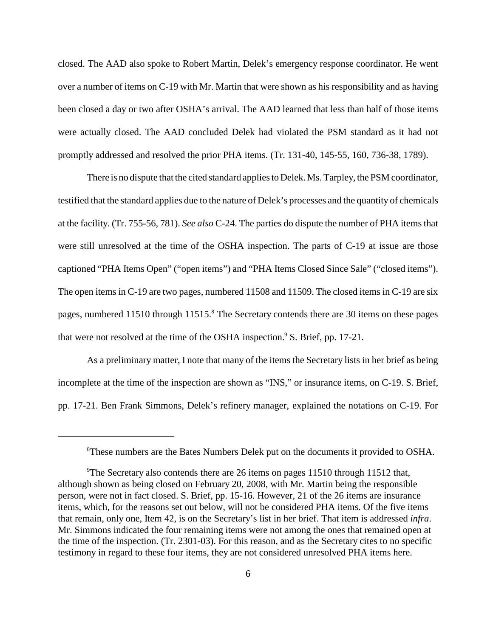closed. The AAD also spoke to Robert Martin, Delek's emergency response coordinator. He went were actually closed. The AAD concluded Delek had violated the PSM standard as it had not over a number of items on C-19 with Mr. Martin that were shown as his responsibility and as having been closed a day or two after OSHA's arrival. The AAD learned that less than half of those items promptly addressed and resolved the prior PHA items. (Tr. 131-40, 145-55, 160, 736-38, 1789).

pages, numbered 11510 through 11515.<sup>8</sup> The Secretary contends there are 30 items on these pages There is no dispute that the cited standard applies to Delek. Ms. Tarpley, the PSM coordinator, testified that the standard applies due to the nature of Delek's processes and the quantity of chemicals at the facility. (Tr. 755-56, 781). *See also* C-24. The parties do dispute the number of PHA items that were still unresolved at the time of the OSHA inspection. The parts of C-19 at issue are those captioned "PHA Items Open" ("open items") and "PHA Items Closed Since Sale" ("closed items"). The open items in C-19 are two pages, numbered 11508 and 11509. The closed items in C-19 are six that were not resolved at the time of the OSHA inspection.<sup>9</sup> S. Brief, pp. 17-21.

 As a preliminary matter, I note that many of the items the Secretary lists in her brief as being pp. 17-21. Ben Frank Simmons, Delek's refinery manager, explained the notations on C-19. For incomplete at the time of the inspection are shown as "INS," or insurance items, on C-19. S. Brief,

<sup>8</sup> These numbers are the Bates Numbers Delek put on the documents it provided to OSHA.

<sup>9</sup> The Secretary also contends there are 26 items on pages 11510 through 11512 that, although shown as being closed on February 20, 2008, with Mr. Martin being the responsible person, were not in fact closed. S. Brief, pp. 15-16. However, 21 of the 26 items are insurance items, which, for the reasons set out below, will not be considered PHA items. Of the five items that remain, only one, Item 42, is on the Secretary's list in her brief. That item is addressed *infra*. Mr. Simmons indicated the four remaining items were not among the ones that remained open at the time of the inspection. (Tr. 2301-03). For this reason, and as the Secretary cites to no specific testimony in regard to these four items, they are not considered unresolved PHA items here.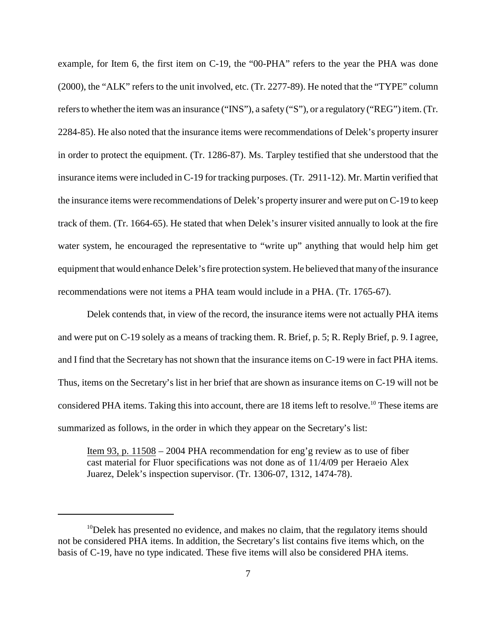in order to protect the equipment. (Tr. 1286-87). Ms. Tarpley testified that she understood that the water system, he encouraged the representative to "write up" anything that would help him get example, for Item 6, the first item on C-19, the "00-PHA" refers to the year the PHA was done (2000), the "ALK" refers to the unit involved, etc. (Tr. 2277-89). He noted that the "TYPE" column refers to whether the item was an insurance ("INS"), a safety ("S"), or a regulatory ("REG") item. (Tr. 2284-85). He also noted that the insurance items were recommendations of Delek's property insurer insurance items were included in C-19 for tracking purposes. (Tr. 2911-12). Mr. Martin verified that the insurance items were recommendations of Delek's property insurer and were put on C-19 to keep track of them. (Tr. 1664-65). He stated that when Delek's insurer visited annually to look at the fire equipment that would enhance Delek's fire protection system. He believed that manyof the insurance recommendations were not items a PHA team would include in a PHA. (Tr. 1765-67).

 and were put on C-19 solely as a means of tracking them. R. Brief, p. 5; R. Reply Brief, p. 9. I agree, Delek contends that, in view of the record, the insurance items were not actually PHA items and I find that the Secretary has not shown that the insurance items on C-19 were in fact PHA items. Thus, items on the Secretary's list in her brief that are shown as insurance items on C-19 will not be considered PHA items. Taking this into account, there are 18 items left to resolve.<sup>10</sup> These items are summarized as follows, in the order in which they appear on the Secretary's list:

 cast material for Fluor specifications was not done as of 11/4/09 per Heraeio Alex Item 93, p. 11508 – 2004 PHA recommendation for eng'g review as to use of fiber Juarez, Delek's inspection supervisor. (Tr. 1306-07, 1312, 1474-78).

 $10$  Delek has presented no evidence, and makes no claim, that the regulatory items should not be considered PHA items. In addition, the Secretary's list contains five items which, on the basis of C-19, have no type indicated. These five items will also be considered PHA items.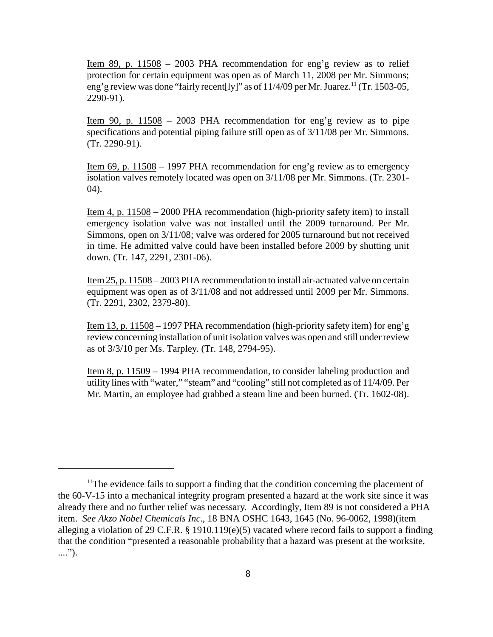Item 89, p. 11508 – 2003 PHA recommendation for eng'g review as to relief protection for certain equipment was open as of March 11, 2008 per Mr. Simmons; eng' g review was done "fairly recent [ly]" as of  $11/4/09$  per Mr. Juarez.<sup>11</sup> (Tr. 1503-05, 2290-91).

Item 90, p.  $11508 - 2003$  PHA recommendation for eng'g review as to pipe specifications and potential piping failure still open as of 3/11/08 per Mr. Simmons. (Tr. 2290-91).

Item 69, p. 11508 – 1997 PHA recommendation for eng'g review as to emergency isolation valves remotely located was open on 3/11/08 per Mr. Simmons. (Tr. 2301 04).

Item 4, p. 11508 – 2000 PHA recommendation (high-priority safety item) to install emergency isolation valve was not installed until the 2009 turnaround. Per Mr. in time. He admitted valve could have been installed before 2009 by shutting unit Simmons, open on 3/11/08; valve was ordered for 2005 turnaround but not received down. (Tr. 147, 2291, 2301-06).

Item 25, p. 11508 – 2003 PHA recommendation to install air-actuated valve on certain equipment was open as of 3/11/08 and not addressed until 2009 per Mr. Simmons. (Tr. 2291, 2302, 2379-80).

Item 13, p. 11508 – 1997 PHA recommendation (high-priority safety item) for eng'g review concerning installation of unit isolation valves was open and still under review as of 3/3/10 per Ms. Tarpley. (Tr. 148, 2794-95).

Item 8, p. 11509 – 1994 PHA recommendation, to consider labeling production and utility lines with "water," "steam" and "cooling" still not completed as of 11/4/09. Per Mr. Martin, an employee had grabbed a steam line and been burned. (Tr. 1602-08).

<sup>&</sup>lt;sup>11</sup>The evidence fails to support a finding that the condition concerning the placement of the 60-V-15 into a mechanical integrity program presented a hazard at the work site since it was already there and no further relief was necessary. Accordingly, Item 89 is not considered a PHA item. *See Akzo Nobel Chemicals Inc.*, 18 BNA OSHC 1643, 1645 (No. 96-0062, 1998)(item alleging a violation of 29 C.F.R. § 1910.119(e)(5) vacated where record fails to support a finding that the condition "presented a reasonable probability that a hazard was present at the worksite, ....").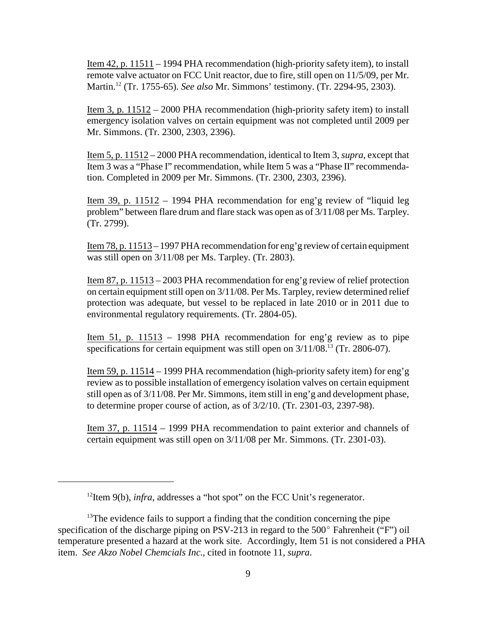Item 42, p. 11511 – 1994 PHA recommendation (high-priority safety item), to install remote valve actuator on FCC Unit reactor, due to fire, still open on 11/5/09, per Mr. Martin.12 (Tr. 1755-65). *See also* Mr. Simmons' testimony. (Tr. 2294-95, 2303).

 Item 3, p. 11512 – 2000 PHA recommendation (high-priority safety item) to install emergency isolation valves on certain equipment was not completed until 2009 per Mr. Simmons. (Tr. 2300, 2303, 2396).

Item 5, p. 11512 – 2000 PHA recommendation, identical to Item 3, *supra*, except that Item 3 was a "Phase I" recommendation, while Item 5 was a "Phase II" recommendation. Completed in 2009 per Mr. Simmons. (Tr. 2300, 2303, 2396).

Item 39, p. 11512 – 1994 PHA recommendation for eng'g review of "liquid leg problem" between flare drum and flare stack was open as of 3/11/08 per Ms. Tarpley. (Tr. 2799).

Item 78, p. 11513 – 1997 PHA recommendation for eng'g review of certain equipment was still open on 3/11/08 per Ms. Tarpley. (Tr. 2803).

Item 87, p. 11513 – 2003 PHA recommendation for eng'g review of relief protection on certain equipment still open on 3/11/08. Per Ms. Tarpley, review determined relief protection was adequate, but vessel to be replaced in late 2010 or in 2011 due to environmental regulatory requirements. (Tr. 2804-05).

Item 51, p. 11513 – 1998 PHA recommendation for eng'g review as to pipe specifications for certain equipment was still open on  $3/11/08$ .<sup>13</sup> (Tr. 2806-07).

 Item 59, p. 11514 – 1999 PHA recommendation (high-priority safety item) for eng'g review as to possible installation of emergency isolation valves on certain equipment still open as of 3/11/08. Per Mr. Simmons, item still in eng'g and development phase, to determine proper course of action, as of 3/2/10. (Tr. 2301-03, 2397-98).

Item 37, p. 11514 – 1999 PHA recommendation to paint exterior and channels of certain equipment was still open on 3/11/08 per Mr. Simmons. (Tr. 2301-03).

<sup>&</sup>lt;sup>12</sup>Item 9(b), *infra*, addresses a "hot spot" on the FCC Unit's regenerator.

 $13$ The evidence fails to support a finding that the condition concerning the pipe specification of the discharge piping on PSV-213 in regard to the 500º Fahrenheit ("F") oil temperature presented a hazard at the work site. Accordingly, Item 51 is not considered a PHA item. *See Akzo Nobel Chemcials Inc.*, cited in footnote 11, *supra*.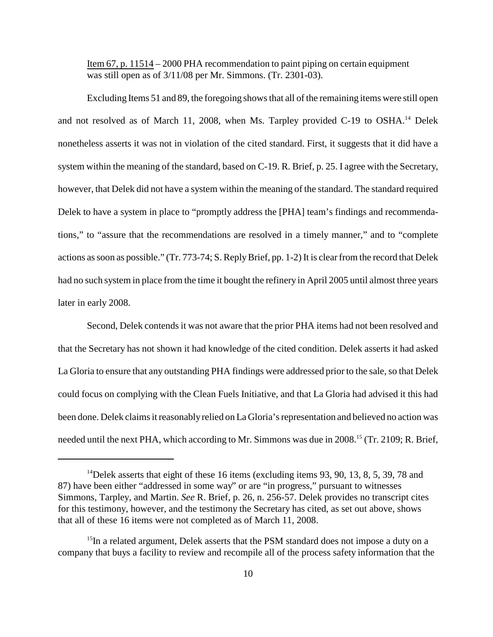Item 67, p. 11514 – 2000 PHA recommendation to paint piping on certain equipment was still open as of 3/11/08 per Mr. Simmons. (Tr. 2301-03).

 nonetheless asserts it was not in violation of the cited standard. First, it suggests that it did have a tions," to "assure that the recommendations are resolved in a timely manner," and to "complete Excluding Items 51 and 89, the foregoing shows that all of the remaining items were still open and not resolved as of March 11, 2008, when Ms. Tarpley provided C-19 to OSHA.<sup>14</sup> Delek system within the meaning of the standard, based on C-19. R. Brief, p. 25. I agree with the Secretary, however, that Delek did not have a system within the meaning of the standard. The standard required Delek to have a system in place to "promptly address the [PHA] team's findings and recommendaactions as soon as possible." (Tr. 773-74; S. Reply Brief, pp. 1-2) It is clear from the record that Delek had no such system in place from the time it bought the refinery in April 2005 until almost three years later in early 2008.

 La Gloria to ensure that any outstanding PHA findings were addressed prior to the sale, so that Delek Second, Delek contends it was not aware that the prior PHA items had not been resolved and that the Secretary has not shown it had knowledge of the cited condition. Delek asserts it had asked could focus on complying with the Clean Fuels Initiative, and that La Gloria had advised it this had been done. Delek claims it reasonablyrelied on La Gloria's representation and believed no action was needed until the next PHA, which according to Mr. Simmons was due in 2008.<sup>15</sup> (Tr. 2109; R. Brief,

<sup>&</sup>lt;sup>14</sup>Delek asserts that eight of these 16 items (excluding items 93, 90, 13, 8, 5, 39, 78 and 87) have been either "addressed in some way" or are "in progress," pursuant to witnesses Simmons, Tarpley, and Martin. *See* R. Brief, p. 26, n. 256-57. Delek provides no transcript cites for this testimony, however, and the testimony the Secretary has cited, as set out above, shows that all of these 16 items were not completed as of March 11, 2008.

<sup>&</sup>lt;sup>15</sup>In a related argument, Delek asserts that the PSM standard does not impose a duty on a company that buys a facility to review and recompile all of the process safety information that the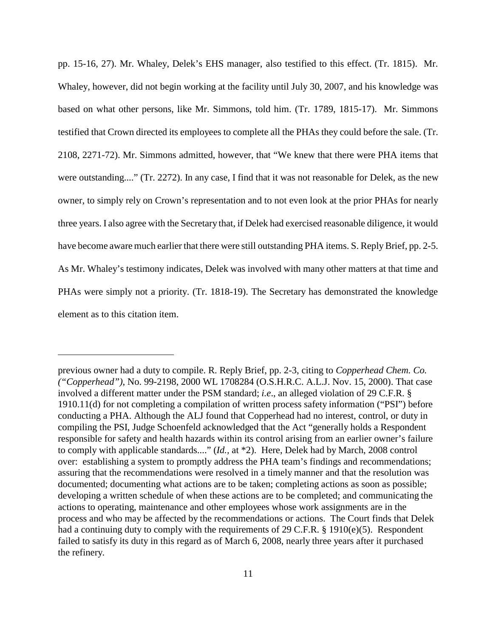pp. 15-16, 27). Mr. Whaley, Delek's EHS manager, also testified to this effect. (Tr. 1815). Mr. owner, to simply rely on Crown's representation and to not even look at the prior PHAs for nearly Whaley, however, did not begin working at the facility until July 30, 2007, and his knowledge was based on what other persons, like Mr. Simmons, told him. (Tr. 1789, 1815-17). Mr. Simmons testified that Crown directed its employees to complete all the PHAs they could before the sale. (Tr. 2108, 2271-72). Mr. Simmons admitted, however, that "We knew that there were PHA items that were outstanding...." (Tr. 2272). In any case, I find that it was not reasonable for Delek, as the new three years. I also agree with the Secretary that, if Delek had exercised reasonable diligence, it would have become aware much earlier that there were still outstanding PHA items. S. Reply Brief, pp. 2-5. As Mr. Whaley's testimony indicates, Delek was involved with many other matters at that time and PHAs were simply not a priority. (Tr. 1818-19). The Secretary has demonstrated the knowledge element as to this citation item.

 had a continuing duty to comply with the requirements of 29 C.F.R. § 1910(e)(5). Respondent previous owner had a duty to compile. R. Reply Brief, pp. 2-3, citing to *Copperhead Chem. Co. ("Copperhead")*, No. 99-2198, 2000 WL 1708284 (O.S.H.R.C. A.L.J. Nov. 15, 2000). That case involved a different matter under the PSM standard; *i.e*., an alleged violation of 29 C.F.R. § 1910.11(d) for not completing a compilation of written process safety information ("PSI") before conducting a PHA. Although the ALJ found that Copperhead had no interest, control, or duty in compiling the PSI, Judge Schoenfeld acknowledged that the Act "generally holds a Respondent responsible for safety and health hazards within its control arising from an earlier owner's failure to comply with applicable standards...." (*Id.,* at \*2). Here, Delek had by March, 2008 control over: establishing a system to promptly address the PHA team's findings and recommendations; assuring that the recommendations were resolved in a timely manner and that the resolution was documented; documenting what actions are to be taken; completing actions as soon as possible; developing a written schedule of when these actions are to be completed; and communicating the actions to operating, maintenance and other employees whose work assignments are in the process and who may be affected by the recommendations or actions. The Court finds that Delek failed to satisfy its duty in this regard as of March 6, 2008, nearly three years after it purchased the refinery.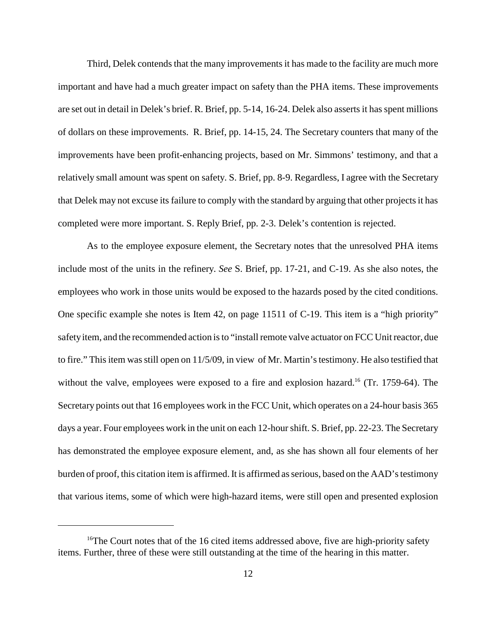that Delek may not excuse its failure to comply with the standard by arguing that other projects it has Third, Delek contends that the many improvements it has made to the facility are much more important and have had a much greater impact on safety than the PHA items. These improvements are set out in detail in Delek's brief. R. Brief, pp. 5-14, 16-24. Delek also asserts it has spent millions of dollars on these improvements. R. Brief, pp. 14-15, 24. The Secretary counters that many of the improvements have been profit-enhancing projects, based on Mr. Simmons' testimony, and that a relatively small amount was spent on safety. S. Brief, pp. 8-9. Regardless, I agree with the Secretary completed were more important. S. Reply Brief, pp. 2-3. Delek's contention is rejected.

 include most of the units in the refinery. *See* S. Brief, pp. 17-21, and C-19. As she also notes, the One specific example she notes is Item 42, on page 11511 of C-19. This item is a "high priority" has demonstrated the employee exposure element, and, as she has shown all four elements of her As to the employee exposure element, the Secretary notes that the unresolved PHA items employees who work in those units would be exposed to the hazards posed by the cited conditions. safetyitem, and the recommended action is to "install remote valve actuator on FCC Unit reactor, due to fire." This item was still open on 11/5/09, in view of Mr. Martin's testimony. He also testified that without the valve, employees were exposed to a fire and explosion hazard.<sup>16</sup> (Tr. 1759-64). The Secretary points out that 16 employees work in the FCC Unit, which operates on a 24-hour basis 365 days a year. Four employees work in the unit on each 12-hour shift. S. Brief, pp. 22-23. The Secretary burden of proof, this citation item is affirmed. It is affirmed as serious, based on the AAD's testimony that various items, some of which were high-hazard items, were still open and presented explosion

<sup>&</sup>lt;sup>16</sup>The Court notes that of the 16 cited items addressed above, five are high-priority safety items. Further, three of these were still outstanding at the time of the hearing in this matter.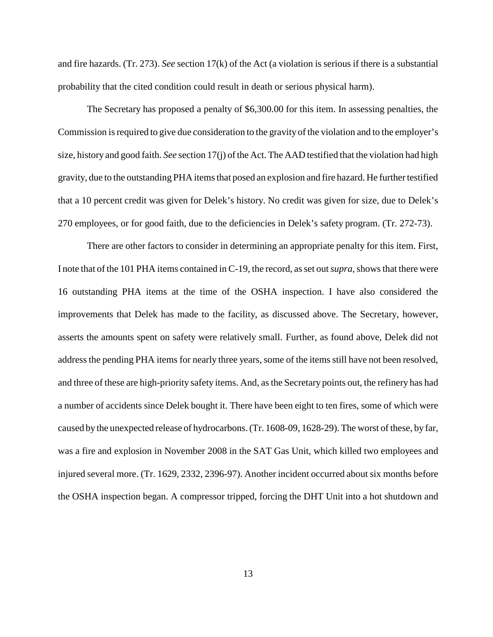and fire hazards. (Tr. 273). *See* section 17(k) of the Act (a violation is serious if there is a substantial probability that the cited condition could result in death or serious physical harm).

 The Secretary has proposed a penalty of \$6,300.00 for this item. In assessing penalties, the Commission is required to give due consideration to the gravity of the violation and to the employer's size, history and good faith. *See* section 17(j) of the Act. The AAD testified that the violation had high gravity, due to the outstanding PHA items that posed an explosion and fire hazard. He further testified that a 10 percent credit was given for Delek's history. No credit was given for size, due to Delek's 270 employees, or for good faith, due to the deficiencies in Delek's safety program. (Tr. 272-73).

 asserts the amounts spent on safety were relatively small. Further, as found above, Delek did not and three of these are high-priority safety items. And, as the Secretary points out, the refinery has had There are other factors to consider in determining an appropriate penalty for this item. First, I note that of the 101 PHA items contained in C-19, the record, as set out *supra*, shows that there were 16 outstanding PHA items at the time of the OSHA inspection. I have also considered the improvements that Delek has made to the facility, as discussed above. The Secretary, however, address the pending PHA items for nearly three years, some of the items still have not been resolved, a number of accidents since Delek bought it. There have been eight to ten fires, some of which were caused by the unexpected release of hydrocarbons. (Tr. 1608-09, 1628-29). The worst of these, by far, was a fire and explosion in November 2008 in the SAT Gas Unit, which killed two employees and injured several more. (Tr. 1629, 2332, 2396-97). Another incident occurred about six months before the OSHA inspection began. A compressor tripped, forcing the DHT Unit into a hot shutdown and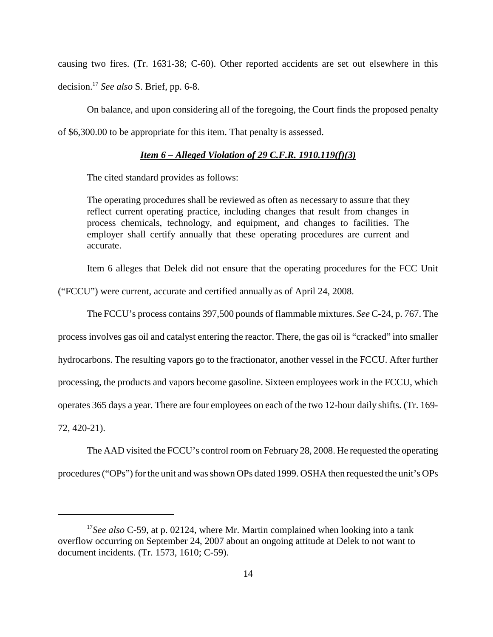causing two fires. (Tr. 1631-38; C-60). Other reported accidents are set out elsewhere in this decision.17 *See also* S. Brief, pp. 6-8.

On balance, and upon considering all of the foregoing, the Court finds the proposed penalty of \$6,300.00 to be appropriate for this item. That penalty is assessed.

# *Item 6 – Alleged Violation of 29 C.F.R. 1910.119(f)(3)*

The cited standard provides as follows:

 employer shall certify annually that these operating procedures are current and The operating procedures shall be reviewed as often as necessary to assure that they reflect current operating practice, including changes that result from changes in process chemicals, technology, and equipment, and changes to facilities. The accurate.

Item 6 alleges that Delek did not ensure that the operating procedures for the FCC Unit

("FCCU") were current, accurate and certified annually as of April 24, 2008.

The FCCU's process contains 397,500 pounds of flammable mixtures. *See* C-24, p. 767. The

process involves gas oil and catalyst entering the reactor. There, the gas oil is "cracked" into smaller hydrocarbons. The resulting vapors go to the fractionator, another vessel in the FCCU. After further processing, the products and vapors become gasoline. Sixteen employees work in the FCCU, which operates 365 days a year. There are four employees on each of the two 12-hour daily shifts. (Tr. 169 72, 420-21).

The AAD visited the FCCU's control room on February 28, 2008. He requested the operating procedures ("OPs") for the unit and was shown OPs dated 1999. OSHA then requested the unit's OPs

<sup>&</sup>lt;sup>17</sup>See also C-59, at p. 02124, where Mr. Martin complained when looking into a tank overflow occurring on September 24, 2007 about an ongoing attitude at Delek to not want to document incidents. (Tr. 1573, 1610; C-59).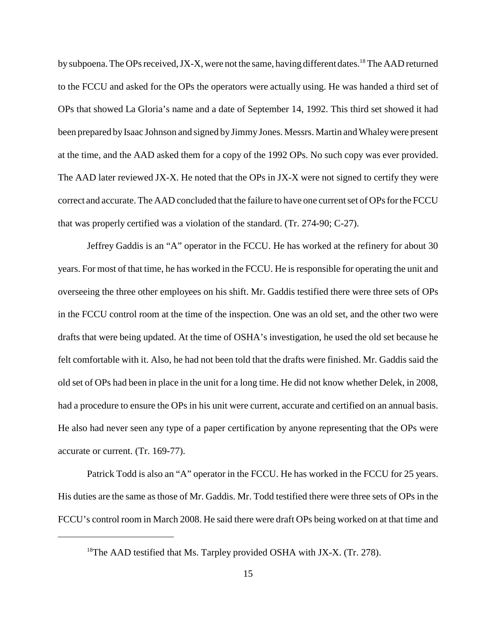been prepared by Isaac Johnson and signed by Jimmy Jones. Messrs. Martin and Whaleywere present The AAD later reviewed JX-X. He noted that the OPs in JX-X were not signed to certify they were by subpoena. The OPs received, JX-X, were not the same, having different dates.<sup>18</sup> The AAD returned to the FCCU and asked for the OPs the operators were actually using. He was handed a third set of OPs that showed La Gloria's name and a date of September 14, 1992. This third set showed it had at the time, and the AAD asked them for a copy of the 1992 OPs. No such copy was ever provided. correct and accurate. The AAD concluded that the failure to have one current set of OPs for the FCCU that was properly certified was a violation of the standard. (Tr. 274-90; C-27).

 He also had never seen any type of a paper certification by anyone representing that the OPs were Jeffrey Gaddis is an "A" operator in the FCCU. He has worked at the refinery for about 30 years. For most of that time, he has worked in the FCCU. He is responsible for operating the unit and overseeing the three other employees on his shift. Mr. Gaddis testified there were three sets of OPs in the FCCU control room at the time of the inspection. One was an old set, and the other two were drafts that were being updated. At the time of OSHA's investigation, he used the old set because he felt comfortable with it. Also, he had not been told that the drafts were finished. Mr. Gaddis said the old set of OPs had been in place in the unit for a long time. He did not know whether Delek, in 2008, had a procedure to ensure the OPs in his unit were current, accurate and certified on an annual basis. accurate or current. (Tr. 169-77).

Patrick Todd is also an "A" operator in the FCCU. He has worked in the FCCU for 25 years. His duties are the same as those of Mr. Gaddis. Mr. Todd testified there were three sets of OPs in the FCCU's control room in March 2008. He said there were draft OPs being worked on at that time and

<sup>&</sup>lt;sup>18</sup>The AAD testified that Ms. Tarpley provided OSHA with JX-X. (Tr. 278).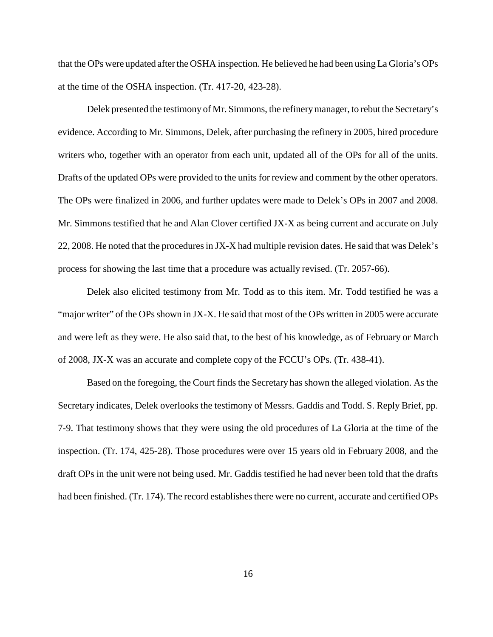that the OPs were updated after the OSHA inspection. He believed he had been using La Gloria's OPs at the time of the OSHA inspection. (Tr. 417-20, 423-28).

 evidence. According to Mr. Simmons, Delek, after purchasing the refinery in 2005, hired procedure writers who, together with an operator from each unit, updated all of the OPs for all of the units. Delek presented the testimony of Mr. Simmons, the refinery manager, to rebut the Secretary's Drafts of the updated OPs were provided to the units for review and comment by the other operators. The OPs were finalized in 2006, and further updates were made to Delek's OPs in 2007 and 2008. Mr. Simmons testified that he and Alan Clover certified JX-X as being current and accurate on July 22, 2008. He noted that the procedures in JX-X had multiple revision dates. He said that was Delek's process for showing the last time that a procedure was actually revised. (Tr. 2057-66).

Delek also elicited testimony from Mr. Todd as to this item. Mr. Todd testified he was a "major writer" of the OPs shown in JX-X. He said that most of the OPs written in 2005 were accurate and were left as they were. He also said that, to the best of his knowledge, as of February or March of 2008, JX-X was an accurate and complete copy of the FCCU's OPs. (Tr. 438-41).

 7-9. That testimony shows that they were using the old procedures of La Gloria at the time of the Based on the foregoing, the Court finds the Secretary has shown the alleged violation. As the Secretary indicates, Delek overlooks the testimony of Messrs. Gaddis and Todd. S. Reply Brief, pp. inspection. (Tr. 174, 425-28). Those procedures were over 15 years old in February 2008, and the draft OPs in the unit were not being used. Mr. Gaddis testified he had never been told that the drafts had been finished. (Tr. 174). The record establishes there were no current, accurate and certified OPs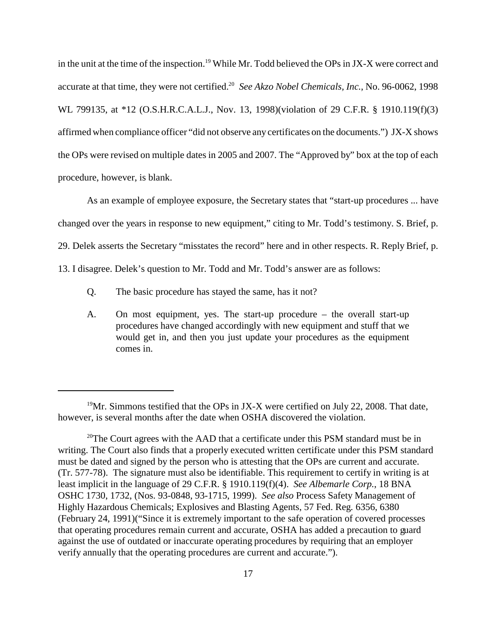accurate at that time, they were not certified.<sup>20</sup> *See Akzo Nobel Chemicals, Inc.*, No. 96-0062, 1998 WL 799135, at \*12 (O.S.H.R.C.A.L.J., Nov. 13, 1998)(violation of 29 C.F.R. § 1910.119(f)(3) in the unit at the time of the inspection.<sup>19</sup> While Mr. Todd believed the OPs in JX-X were correct and affirmed when compliance officer "did not observe any certificates on the documents.") JX-X shows the OPs were revised on multiple dates in 2005 and 2007. The "Approved by" box at the top of each procedure, however, is blank.

As an example of employee exposure, the Secretary states that "start-up procedures ... have changed over the years in response to new equipment," citing to Mr. Todd's testimony. S. Brief, p. 29. Delek asserts the Secretary "misstates the record" here and in other respects. R. Reply Brief, p. 13. I disagree. Delek's question to Mr. Todd and Mr. Todd's answer are as follows:

- Q. The basic procedure has stayed the same, has it not?
- A. On most equipment, yes. The start-up procedure the overall start-up procedures have changed accordingly with new equipment and stuff that we would get in, and then you just update your procedures as the equipment comes in.

<sup>&</sup>lt;sup>19</sup>Mr. Simmons testified that the OPs in JX-X were certified on July 22, 2008. That date, however, is several months after the date when OSHA discovered the violation.

<sup>&</sup>lt;sup>20</sup>The Court agrees with the AAD that a certificate under this PSM standard must be in writing. The Court also finds that a properly executed written certificate under this PSM standard must be dated and signed by the person who is attesting that the OPs are current and accurate. (Tr. 577-78). The signature must also be identifiable. This requirement to certify in writing is at least implicit in the language of 29 C.F.R. § 1910.119(f)(4). *See Albemarle Corp.*, 18 BNA OSHC 1730, 1732, (Nos. 93-0848, 93-1715, 1999). *See also* Process Safety Management of Highly Hazardous Chemicals; Explosives and Blasting Agents, 57 Fed. Reg*.* 6356, 6380 (February 24, 1991)("Since it is extremely important to the safe operation of covered processes that operating procedures remain current and accurate, OSHA has added a precaution to guard against the use of outdated or inaccurate operating procedures by requiring that an employer verify annually that the operating procedures are current and accurate.").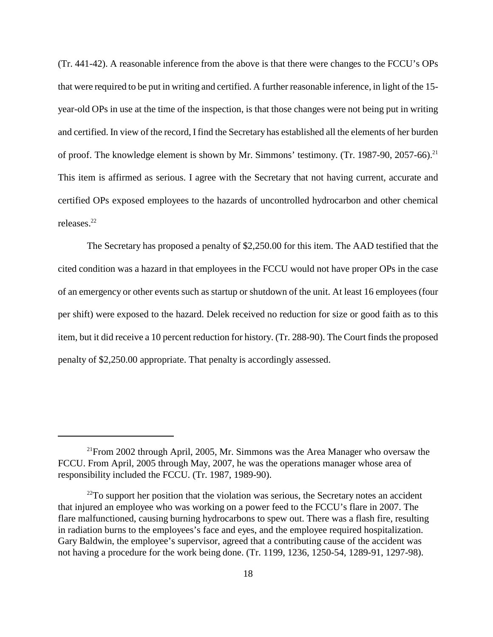(Tr. 441-42). A reasonable inference from the above is that there were changes to the FCCU's OPs that were required to be put in writing and certified. A further reasonable inference, in light of the 15 year-old OPs in use at the time of the inspection, is that those changes were not being put in writing and certified. In view of the record, I find the Secretary has established all the elements of her burden of proof. The knowledge element is shown by Mr. Simmons' testimony. (Tr. 1987-90, 2057-66).<sup>21</sup> This item is affirmed as serious. I agree with the Secretary that not having current, accurate and certified OPs exposed employees to the hazards of uncontrolled hydrocarbon and other chemical releases.22

 per shift) were exposed to the hazard. Delek received no reduction for size or good faith as to this The Secretary has proposed a penalty of \$2,250.00 for this item. The AAD testified that the cited condition was a hazard in that employees in the FCCU would not have proper OPs in the case of an emergency or other events such as startup or shutdown of the unit. At least 16 employees (four item, but it did receive a 10 percent reduction for history. (Tr. 288-90). The Court finds the proposed penalty of \$2,250.00 appropriate. That penalty is accordingly assessed.

 $2^{11}$ From 2002 through April, 2005, Mr. Simmons was the Area Manager who oversaw the FCCU. From April, 2005 through May, 2007, he was the operations manager whose area of responsibility included the FCCU. (Tr. 1987, 1989-90).

 $^{22}$ To support her position that the violation was serious, the Secretary notes an accident that injured an employee who was working on a power feed to the FCCU's flare in 2007. The flare malfunctioned, causing burning hydrocarbons to spew out. There was a flash fire, resulting in radiation burns to the employees's face and eyes, and the employee required hospitalization. Gary Baldwin, the employee's supervisor, agreed that a contributing cause of the accident was not having a procedure for the work being done. (Tr. 1199, 1236, 1250-54, 1289-91, 1297-98).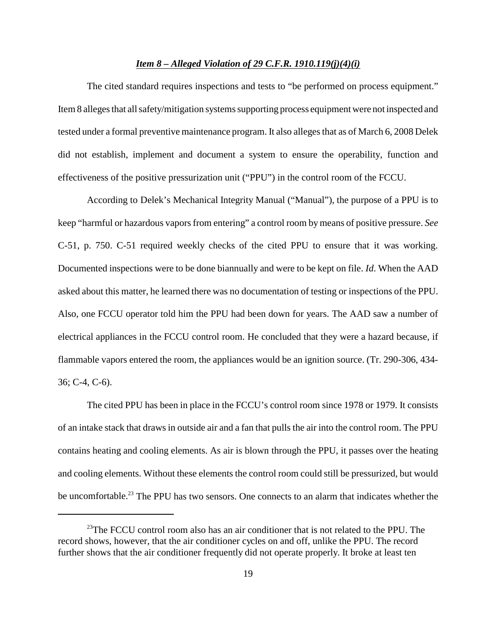#### *Item 8 – Alleged Violation of 29 C.F.R. 1910.119(j)(4)(i)*

The cited standard requires inspections and tests to "be performed on process equipment." Item 8 alleges that all safety/mitigation systems supporting process equipment were not inspected and tested under a formal preventive maintenance program. It also alleges that as of March 6, 2008 Delek did not establish, implement and document a system to ensure the operability, function and effectiveness of the positive pressurization unit ("PPU") in the control room of the FCCU.

 According to Delek's Mechanical Integrity Manual ("Manual"), the purpose of a PPU is to C-51, p. 750. C-51 required weekly checks of the cited PPU to ensure that it was working. keep "harmful or hazardous vapors from entering" a control room by means of positive pressure. *See*  Documented inspections were to be done biannually and were to be kept on file. *Id*. When the AAD asked about this matter, he learned there was no documentation of testing or inspections of the PPU. Also, one FCCU operator told him the PPU had been down for years. The AAD saw a number of electrical appliances in the FCCU control room. He concluded that they were a hazard because, if flammable vapors entered the room, the appliances would be an ignition source. (Tr. 290-306, 434 36; C-4, C-6).

The cited PPU has been in place in the FCCU's control room since 1978 or 1979. It consists of an intake stack that draws in outside air and a fan that pulls the air into the control room. The PPU contains heating and cooling elements. As air is blown through the PPU, it passes over the heating and cooling elements. Without these elements the control room could still be pressurized, but would be uncomfortable.<sup>23</sup> The PPU has two sensors. One connects to an alarm that indicates whether the

 $23$ The FCCU control room also has an air conditioner that is not related to the PPU. The record shows, however, that the air conditioner cycles on and off, unlike the PPU. The record further shows that the air conditioner frequently did not operate properly. It broke at least ten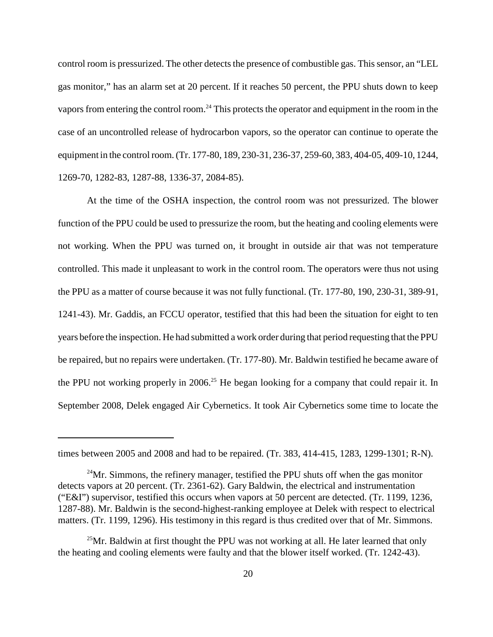gas monitor," has an alarm set at 20 percent. If it reaches 50 percent, the PPU shuts down to keep control room is pressurized. The other detects the presence of combustible gas. This sensor, an "LEL vapors from entering the control room.<sup>24</sup> This protects the operator and equipment in the room in the case of an uncontrolled release of hydrocarbon vapors, so the operator can continue to operate the equipment in the control room. (Tr. 177-80, 189, 230-31, 236-37, 259-60, 383, 404-05, 409-10, 1244, 1269-70, 1282-83, 1287-88, 1336-37, 2084-85).

 function of the PPU could be used to pressurize the room, but the heating and cooling elements were the PPU not working properly in 2006.<sup>25</sup> He began looking for a company that could repair it. In At the time of the OSHA inspection, the control room was not pressurized. The blower not working. When the PPU was turned on, it brought in outside air that was not temperature controlled. This made it unpleasant to work in the control room. The operators were thus not using the PPU as a matter of course because it was not fully functional. (Tr. 177-80, 190, 230-31, 389-91, 1241-43). Mr. Gaddis, an FCCU operator, testified that this had been the situation for eight to ten years before the inspection. He had submitted a work order during that period requesting that the PPU be repaired, but no repairs were undertaken. (Tr. 177-80). Mr. Baldwin testified he became aware of September 2008, Delek engaged Air Cybernetics. It took Air Cybernetics some time to locate the

times between 2005 and 2008 and had to be repaired. (Tr. 383, 414-415, 1283, 1299-1301; R-N).

 $24$ Mr. Simmons, the refinery manager, testified the PPU shuts off when the gas monitor detects vapors at 20 percent. (Tr. 2361-62). Gary Baldwin, the electrical and instrumentation ("E&I") supervisor, testified this occurs when vapors at 50 percent are detected. (Tr. 1199, 1236, 1287-88). Mr. Baldwin is the second-highest-ranking employee at Delek with respect to electrical matters. (Tr. 1199, 1296). His testimony in this regard is thus credited over that of Mr. Simmons.

<sup>&</sup>lt;sup>25</sup>Mr. Baldwin at first thought the PPU was not working at all. He later learned that only the heating and cooling elements were faulty and that the blower itself worked. (Tr. 1242-43).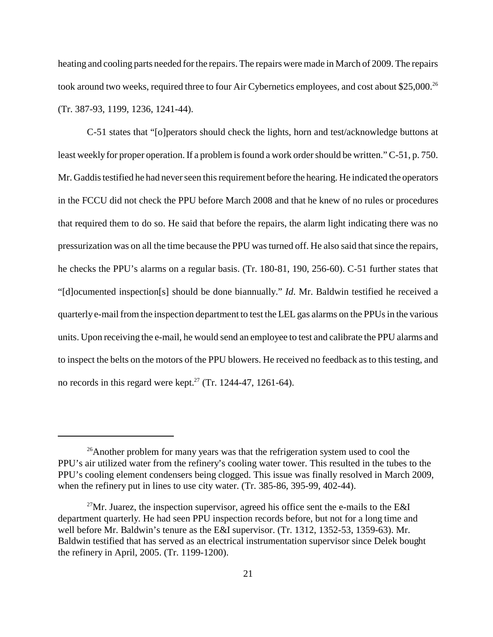heating and cooling parts needed for the repairs. The repairs were made in March of 2009. The repairs took around two weeks, required three to four Air Cybernetics employees, and cost about \$25,000.<sup>26</sup> (Tr. 387-93, 1199, 1236, 1241-44).

 that required them to do so. He said that before the repairs, the alarm light indicating there was no C-51 states that "[o]perators should check the lights, horn and test/acknowledge buttons at least weekly for proper operation. If a problem is found a work order should be written." C-51, p. 750. Mr. Gaddis testified he had never seen this requirement before the hearing. He indicated the operators in the FCCU did not check the PPU before March 2008 and that he knew of no rules or procedures pressurization was on all the time because the PPU was turned off. He also said that since the repairs, he checks the PPU's alarms on a regular basis. (Tr. 180-81, 190, 256-60). C-51 further states that "[d]ocumented inspection[s] should be done biannually." *Id*. Mr. Baldwin testified he received a quarterly e-mail from the inspection department to test the LEL gas alarms on the PPUs in the various units. Upon receiving the e-mail, he would send an employee to test and calibrate the PPU alarms and to inspect the belts on the motors of the PPU blowers. He received no feedback as to this testing, and no records in this regard were kept.<sup>27</sup> (Tr. 1244-47, 1261-64).

<sup>&</sup>lt;sup>26</sup>Another problem for many years was that the refrigeration system used to cool the PPU's air utilized water from the refinery's cooling water tower. This resulted in the tubes to the PPU's cooling element condensers being clogged. This issue was finally resolved in March 2009, when the refinery put in lines to use city water. (Tr. 385-86, 395-99, 402-44).

<sup>&</sup>lt;sup>27</sup>Mr. Juarez, the inspection supervisor, agreed his office sent the e-mails to the E&I department quarterly. He had seen PPU inspection records before, but not for a long time and well before Mr. Baldwin's tenure as the E&I supervisor. (Tr. 1312, 1352-53, 1359-63). Mr. Baldwin testified that has served as an electrical instrumentation supervisor since Delek bought the refinery in April, 2005. (Tr. 1199-1200).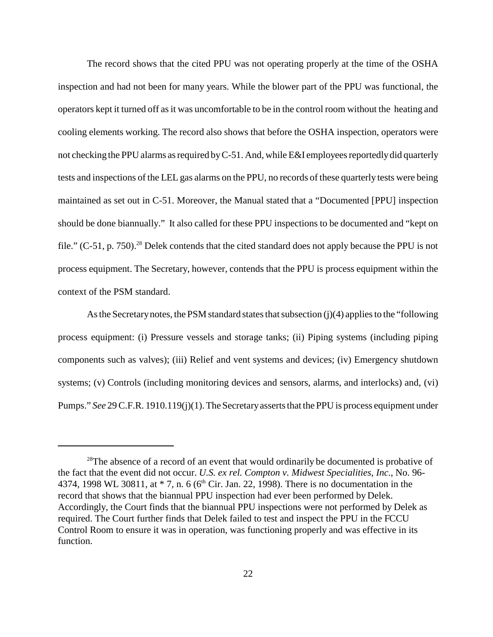The record shows that the cited PPU was not operating properly at the time of the OSHA operators kept it turned off as it was uncomfortable to be in the control room without the heating and inspection and had not been for many years. While the blower part of the PPU was functional, the cooling elements working. The record also shows that before the OSHA inspection, operators were not checking the PPU alarms as required by C-51. And, while E&I employees reportedlydid quarterly tests and inspections of the LEL gas alarms on the PPU, no records of these quarterly tests were being maintained as set out in C-51. Moreover, the Manual stated that a "Documented [PPU] inspection should be done biannually." It also called for these PPU inspections to be documented and "kept on file."  $(C-51, p. 750)$ .<sup>28</sup> Delek contends that the cited standard does not apply because the PPU is not process equipment. The Secretary, however, contends that the PPU is process equipment within the context of the PSM standard.

 systems; (v) Controls (including monitoring devices and sensors, alarms, and interlocks) and, (vi) As the Secretarynotes, the PSM standard states that subsection (j)(4) applies to the "following process equipment: (i) Pressure vessels and storage tanks; (ii) Piping systems (including piping components such as valves); (iii) Relief and vent systems and devices; (iv) Emergency shutdown Pumps." *See* 29 C.F.R. 1910.119(j)(1). The Secretaryasserts that the PPU is process equipment under

<sup>&</sup>lt;sup>28</sup>The absence of a record of an event that would ordinarily be documented is probative of the fact that the event did not occur. *U.S. ex rel. Compton v. Midwest Specialities, Inc.*, No. 96 4374, 1998 WL 30811, at  $*$  7, n. 6 (6<sup>th</sup> Cir. Jan. 22, 1998). There is no documentation in the record that shows that the biannual PPU inspection had ever been performed by Delek. Accordingly, the Court finds that the biannual PPU inspections were not performed by Delek as required. The Court further finds that Delek failed to test and inspect the PPU in the FCCU Control Room to ensure it was in operation, was functioning properly and was effective in its function.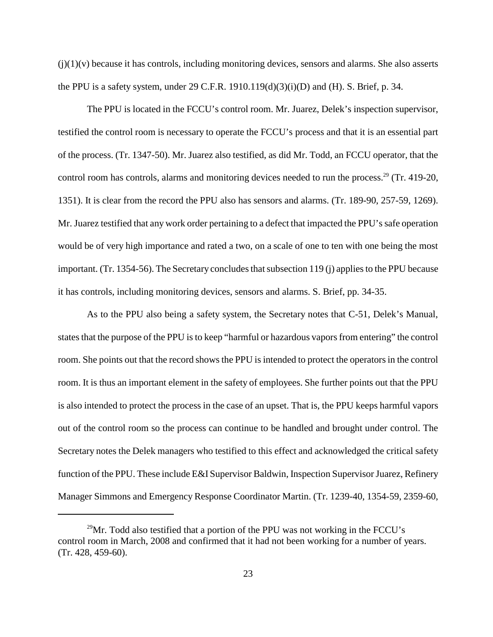$(j)(1)(v)$  because it has controls, including monitoring devices, sensors and alarms. She also asserts the PPU is a safety system, under 29 C.F.R.  $1910.119(d)(3)(i)(D)$  and (H). S. Brief, p. 34.

The PPU is located in the FCCU's control room. Mr. Juarez, Delek's inspection supervisor, testified the control room is necessary to operate the FCCU's process and that it is an essential part of the process. (Tr. 1347-50). Mr. Juarez also testified, as did Mr. Todd, an FCCU operator, that the control room has controls, alarms and monitoring devices needed to run the process.<sup>29</sup> (Tr. 419-20, 1351). It is clear from the record the PPU also has sensors and alarms. (Tr. 189-90, 257-59, 1269). Mr. Juarez testified that any work order pertaining to a defect that impacted the PPU's safe operation would be of very high importance and rated a two, on a scale of one to ten with one being the most important. (Tr. 1354-56). The Secretary concludes that subsection 119 (j) applies to the PPU because it has controls, including monitoring devices, sensors and alarms. S. Brief, pp. 34-35.

 As to the PPU also being a safety system, the Secretary notes that C-51, Delek's Manual, states that the purpose of the PPU is to keep "harmful or hazardous vapors from entering" the control room. She points out that the record shows the PPU is intended to protect the operators in the control room. It is thus an important element in the safety of employees. She further points out that the PPU is also intended to protect the process in the case of an upset. That is, the PPU keeps harmful vapors out of the control room so the process can continue to be handled and brought under control. The Secretary notes the Delek managers who testified to this effect and acknowledged the critical safety function of the PPU. These include E&I Supervisor Baldwin, Inspection Supervisor Juarez, Refinery Manager Simmons and Emergency Response Coordinator Martin. (Tr. 1239-40, 1354-59, 2359-60,

 $29$ Mr. Todd also testified that a portion of the PPU was not working in the FCCU's control room in March, 2008 and confirmed that it had not been working for a number of years. (Tr. 428, 459-60).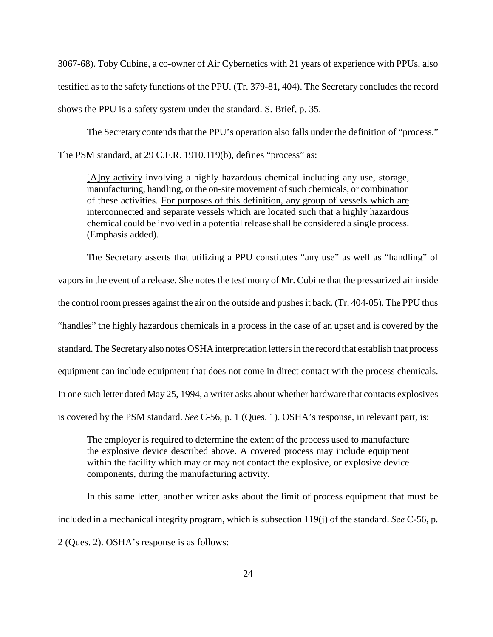3067-68). Toby Cubine, a co-owner of Air Cybernetics with 21 years of experience with PPUs, also testified as to the safety functions of the PPU. (Tr. 379-81, 404). The Secretary concludes the record shows the PPU is a safety system under the standard. S. Brief, p. 35.

The Secretary contends that the PPU's operation also falls under the definition of "process." The PSM standard, at 29 C.F.R. 1910.119(b), defines "process" as:

[A]ny activity involving a highly hazardous chemical including any use, storage, interconnected and separate vessels which are located such that a highly hazardous manufacturing, handling, or the on-site movement of such chemicals, or combination of these activities. For purposes of this definition, any group of vessels which are chemical could be involved in a potential release shall be considered a single process. (Emphasis added).

The Secretary asserts that utilizing a PPU constitutes "any use" as well as "handling" of vapors in the event of a release. She notes the testimony of Mr. Cubine that the pressurized air inside the control room presses against the air on the outside and pushes it back. (Tr. 404-05). The PPU thus "handles" the highly hazardous chemicals in a process in the case of an upset and is covered by the standard. The Secretaryalso notes OSHA interpretation letters in the record that establish that process equipment can include equipment that does not come in direct contact with the process chemicals. In one such letter dated May 25, 1994, a writer asks about whether hardware that contacts explosives is covered by the PSM standard. *See* C-56, p. 1 (Ques. 1). OSHA's response, in relevant part, is:

 the explosive device described above. A covered process may include equipment within the facility which may or may not contact the explosive, or explosive device The employer is required to determine the extent of the process used to manufacture components, during the manufacturing activity.

 In this same letter, another writer asks about the limit of process equipment that must be included in a mechanical integrity program, which is subsection 119(j) of the standard. *See* C-56, p. 2 (Ques. 2). OSHA's response is as follows: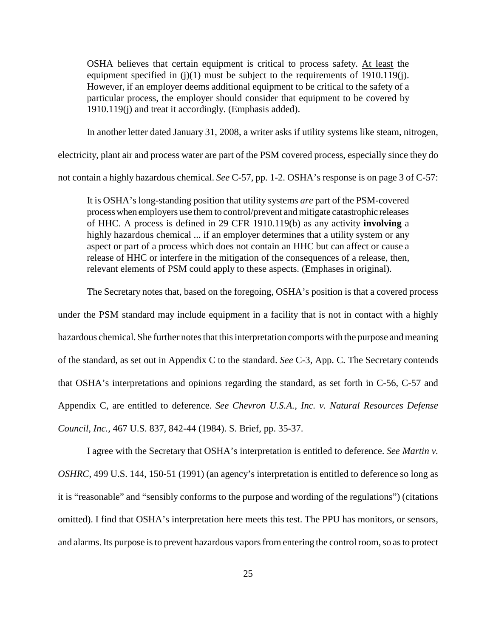OSHA believes that certain equipment is critical to process safety. At least the equipment specified in (j)(1) must be subject to the requirements of 1910.119(j). However, if an employer deems additional equipment to be critical to the safety of a particular process, the employer should consider that equipment to be covered by 1910.119(j) and treat it accordingly. (Emphasis added).

In another letter dated January 31, 2008, a writer asks if utility systems like steam, nitrogen,

electricity, plant air and process water are part of the PSM covered process, especially since they do

not contain a highly hazardous chemical. *See* C-57, pp. 1-2. OSHA's response is on page 3 of C-57:

 It is OSHA's long-standing position that utility systems *are* part of the PSM-covered process when employers use them to control/prevent and mitigate catastrophic releases of HHC. A process is defined in 29 CFR 1910.119(b) as any activity **involving** a highly hazardous chemical ... if an employer determines that a utility system or any aspect or part of a process which does not contain an HHC but can affect or cause a release of HHC or interfere in the mitigation of the consequences of a release, then, relevant elements of PSM could apply to these aspects. (Emphases in original).

The Secretary notes that, based on the foregoing, OSHA's position is that a covered process

 under the PSM standard may include equipment in a facility that is not in contact with a highly hazardous chemical. She further notes that this interpretation comports with the purpose and meaning of the standard, as set out in Appendix C to the standard. *See* C-3, App. C. The Secretary contends that OSHA's interpretations and opinions regarding the standard, as set forth in C-56, C-57 and Appendix C, are entitled to deference. *See Chevron U.S.A., Inc. v. Natural Resources Defense Council, Inc.,* 467 U.S. 837, 842-44 (1984). S. Brief, pp. 35-37.

I agree with the Secretary that OSHA's interpretation is entitled to deference. *See Martin v. OSHRC*, 499 U.S. 144, 150-51 (1991) (an agency's interpretation is entitled to deference so long as it is "reasonable" and "sensibly conforms to the purpose and wording of the regulations") (citations omitted). I find that OSHA's interpretation here meets this test. The PPU has monitors, or sensors, and alarms. Its purpose is to prevent hazardous vapors from entering the control room, so as to protect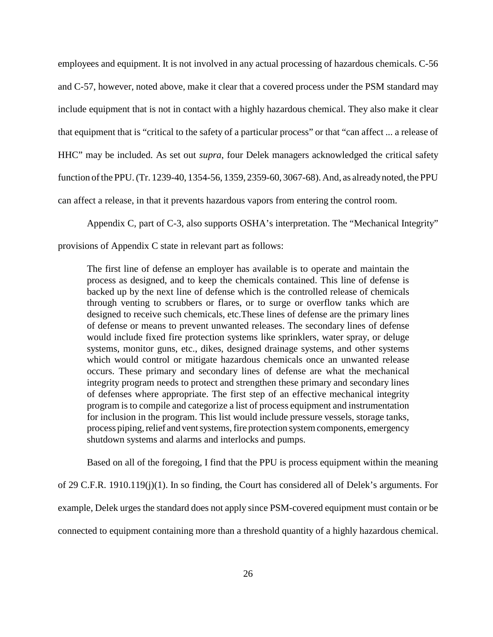that equipment that is "critical to the safety of a particular process" or that "can affect ... a release of employees and equipment. It is not involved in any actual processing of hazardous chemicals. C-56 and C-57, however, noted above, make it clear that a covered process under the PSM standard may include equipment that is not in contact with a highly hazardous chemical. They also make it clear HHC" may be included. As set out *supra*, four Delek managers acknowledged the critical safety function of the PPU. (Tr. 1239-40, 1354-56, 1359, 2359-60, 3067-68). And, as alreadynoted, the PPU can affect a release, in that it prevents hazardous vapors from entering the control room.

Appendix C, part of C-3, also supports OSHA's interpretation. The "Mechanical Integrity"

provisions of Appendix C state in relevant part as follows:

 process as designed, and to keep the chemicals contained. This line of defense is backed up by the next line of defense which is the controlled release of chemicals through venting to scrubbers or flares, or to surge or overflow tanks which are of defense or means to prevent unwanted releases. The secondary lines of defense systems, monitor guns, etc., dikes, designed drainage systems, and other systems process piping, relief and vent systems, fire protection system components, emergency The first line of defense an employer has available is to operate and maintain the designed to receive such chemicals, etc.These lines of defense are the primary lines would include fixed fire protection systems like sprinklers, water spray, or deluge which would control or mitigate hazardous chemicals once an unwanted release occurs. These primary and secondary lines of defense are what the mechanical integrity program needs to protect and strengthen these primary and secondary lines of defenses where appropriate. The first step of an effective mechanical integrity program is to compile and categorize a list of process equipment and instrumentation for inclusion in the program. This list would include pressure vessels, storage tanks, shutdown systems and alarms and interlocks and pumps.

Based on all of the foregoing, I find that the PPU is process equipment within the meaning

of 29 C.F.R. 1910.119(j)(1). In so finding, the Court has considered all of Delek's arguments. For example, Delek urges the standard does not apply since PSM-covered equipment must contain or be

connected to equipment containing more than a threshold quantity of a highly hazardous chemical.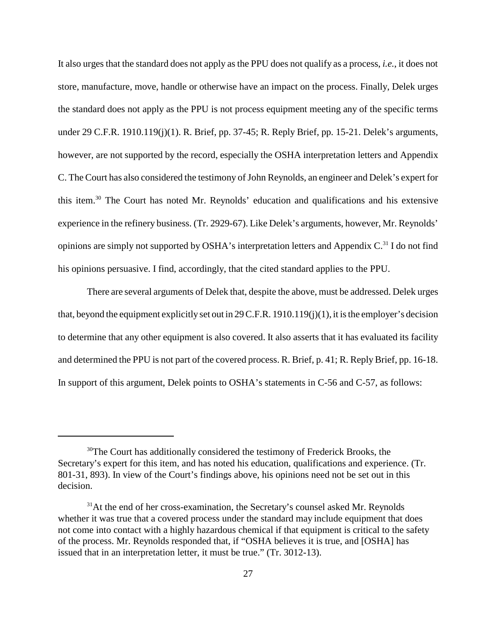It also urges that the standard does not apply as the PPU does not qualify as a process, *i.e.*, it does not the standard does not apply as the PPU is not process equipment meeting any of the specific terms opinions are simply not supported by OSHA's interpretation letters and Appendix C.<sup>31</sup> I do not find store, manufacture, move, handle or otherwise have an impact on the process. Finally, Delek urges under 29 C.F.R. 1910.119(j)(1). R. Brief, pp. 37-45; R. Reply Brief, pp. 15-21. Delek's arguments, however, are not supported by the record, especially the OSHA interpretation letters and Appendix C. The Court has also considered the testimony of John Reynolds, an engineer and Delek's expert for this item.30 The Court has noted Mr. Reynolds' education and qualifications and his extensive experience in the refinery business. (Tr. 2929-67). Like Delek's arguments, however, Mr. Reynolds' his opinions persuasive. I find, accordingly, that the cited standard applies to the PPU.

There are several arguments of Delek that, despite the above, must be addressed. Delek urges that, beyond the equipment explicitly set out in 29 C.F.R. 1910.119(j)(1), it is the employer's decision to determine that any other equipment is also covered. It also asserts that it has evaluated its facility and determined the PPU is not part of the covered process. R. Brief, p. 41; R. Reply Brief, pp. 16-18. In support of this argument, Delek points to OSHA's statements in C-56 and C-57, as follows:

<sup>&</sup>lt;sup>30</sup>The Court has additionally considered the testimony of Frederick Brooks, the Secretary's expert for this item, and has noted his education, qualifications and experience. (Tr. 801-31, 893). In view of the Court's findings above, his opinions need not be set out in this decision.

<sup>&</sup>lt;sup>31</sup>At the end of her cross-examination, the Secretary's counsel asked Mr. Reynolds whether it was true that a covered process under the standard may include equipment that does not come into contact with a highly hazardous chemical if that equipment is critical to the safety of the process. Mr. Reynolds responded that, if "OSHA believes it is true, and [OSHA] has issued that in an interpretation letter, it must be true." (Tr. 3012-13).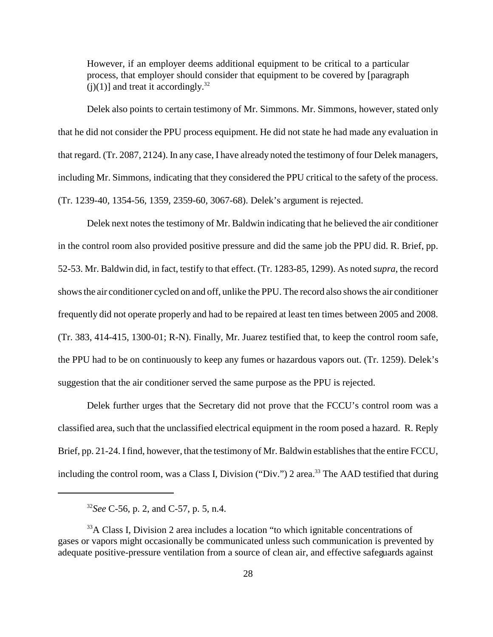However, if an employer deems additional equipment to be critical to a particular process, that employer should consider that equipment to be covered by [paragraph (i)(1)] and treat it accordingly.<sup>32</sup>

 that regard. (Tr. 2087, 2124). In any case, I have already noted the testimony of four Delek managers, including Mr. Simmons, indicating that they considered the PPU critical to the safety of the process. Delek also points to certain testimony of Mr. Simmons. Mr. Simmons, however, stated only that he did not consider the PPU process equipment. He did not state he had made any evaluation in (Tr. 1239-40, 1354-56, 1359, 2359-60, 3067-68). Delek's argument is rejected.

Delek next notes the testimony of Mr. Baldwin indicating that he believed the air conditioner in the control room also provided positive pressure and did the same job the PPU did. R. Brief, pp. 52-53. Mr. Baldwin did, in fact, testify to that effect. (Tr. 1283-85, 1299). As noted *supra*, the record shows the air conditioner cycled on and off, unlike the PPU. The record also shows the air conditioner frequently did not operate properly and had to be repaired at least ten times between 2005 and 2008. (Tr. 383, 414-415, 1300-01; R-N). Finally, Mr. Juarez testified that, to keep the control room safe, the PPU had to be on continuously to keep any fumes or hazardous vapors out. (Tr. 1259). Delek's suggestion that the air conditioner served the same purpose as the PPU is rejected.

Delek further urges that the Secretary did not prove that the FCCU's control room was a classified area, such that the unclassified electrical equipment in the room posed a hazard. R. Reply Brief, pp. 21-24. I find, however, that the testimony of Mr. Baldwin establishes that the entire FCCU, including the control room, was a Class I, Division ("Div.") 2 area.<sup>33</sup> The AAD testified that during

<sup>32</sup>*See* C-56, p. 2, and C-57, p. 5, n.4.

<sup>&</sup>lt;sup>33</sup>A Class I, Division 2 area includes a location "to which ignitable concentrations of gases or vapors might occasionally be communicated unless such communication is prevented by adequate positive-pressure ventilation from a source of clean air, and effective safeguards against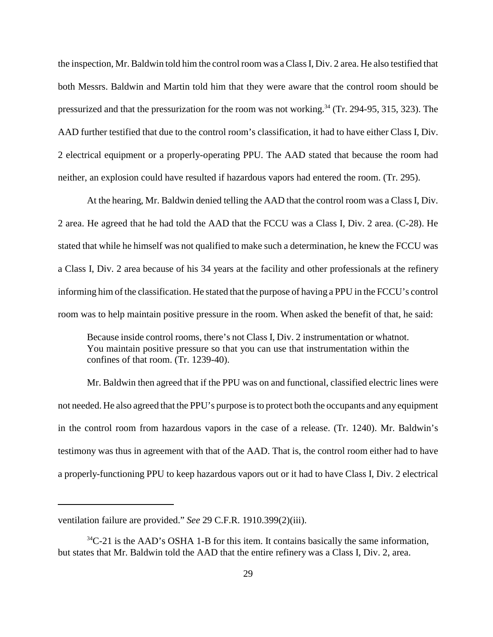both Messrs. Baldwin and Martin told him that they were aware that the control room should be the inspection, Mr. Baldwin told him the control room was a Class I, Div. 2 area. He also testified that pressurized and that the pressurization for the room was not working.<sup>34</sup> (Tr. 294-95, 315, 323). The AAD further testified that due to the control room's classification, it had to have either Class I, Div. 2 electrical equipment or a properly-operating PPU. The AAD stated that because the room had neither, an explosion could have resulted if hazardous vapors had entered the room. (Tr. 295).

 2 area. He agreed that he had told the AAD that the FCCU was a Class I, Div. 2 area. (C-28). He a Class I, Div. 2 area because of his 34 years at the facility and other professionals at the refinery At the hearing, Mr. Baldwin denied telling the AAD that the control room was a Class I, Div. stated that while he himself was not qualified to make such a determination, he knew the FCCU was informing him of the classification. He stated that the purpose of having a PPU in the FCCU's control room was to help maintain positive pressure in the room. When asked the benefit of that, he said:

Because inside control rooms, there's not Class I, Div. 2 instrumentation or whatnot. You maintain positive pressure so that you can use that instrumentation within the confines of that room. (Tr. 1239-40).

Mr. Baldwin then agreed that if the PPU was on and functional, classified electric lines were not needed. He also agreed that the PPU's purpose is to protect both the occupants and any equipment in the control room from hazardous vapors in the case of a release. (Tr. 1240). Mr. Baldwin's testimony was thus in agreement with that of the AAD. That is, the control room either had to have a properly-functioning PPU to keep hazardous vapors out or it had to have Class I, Div. 2 electrical

ventilation failure are provided." *See* 29 C.F.R. 1910.399(2)(iii).

 $34^{\circ}$ C-21 is the AAD's OSHA 1-B for this item. It contains basically the same information, but states that Mr. Baldwin told the AAD that the entire refinery was a Class I, Div. 2, area.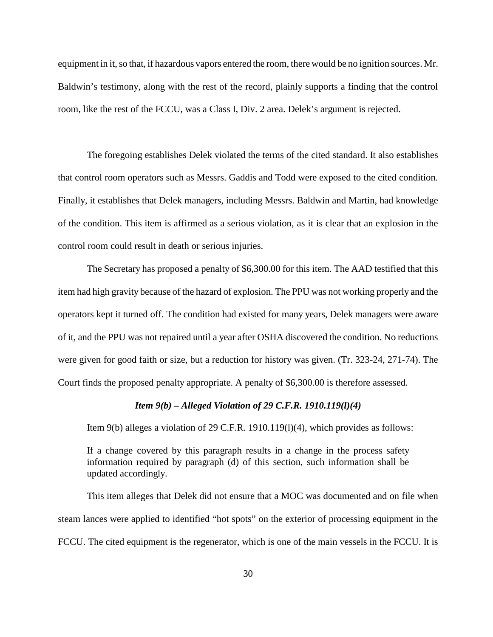Baldwin's testimony, along with the rest of the record, plainly supports a finding that the control equipment in it, so that, if hazardous vapors entered the room, there would be no ignition sources. Mr. room, like the rest of the FCCU, was a Class I, Div. 2 area. Delek's argument is rejected.

 of the condition. This item is affirmed as a serious violation, as it is clear that an explosion in the The foregoing establishes Delek violated the terms of the cited standard. It also establishes that control room operators such as Messrs. Gaddis and Todd were exposed to the cited condition. Finally, it establishes that Delek managers, including Messrs. Baldwin and Martin, had knowledge control room could result in death or serious injuries.

 item had high gravity because of the hazard of explosion. The PPU was not working properly and the The Secretary has proposed a penalty of \$6,300.00 for this item. The AAD testified that this operators kept it turned off. The condition had existed for many years, Delek managers were aware of it, and the PPU was not repaired until a year after OSHA discovered the condition. No reductions were given for good faith or size, but a reduction for history was given. (Tr. 323-24, 271-74). The Court finds the proposed penalty appropriate. A penalty of \$6,300.00 is therefore assessed.

#### *Item 9(b) – Alleged Violation of 29 C.F.R. 1910.119(l)(4)*

Item 9(b) alleges a violation of 29 C.F.R. 1910.119(l)(4), which provides as follows:

 If a change covered by this paragraph results in a change in the process safety information required by paragraph (d) of this section, such information shall be updated accordingly.

 This item alleges that Delek did not ensure that a MOC was documented and on file when steam lances were applied to identified "hot spots" on the exterior of processing equipment in the FCCU. The cited equipment is the regenerator, which is one of the main vessels in the FCCU. It is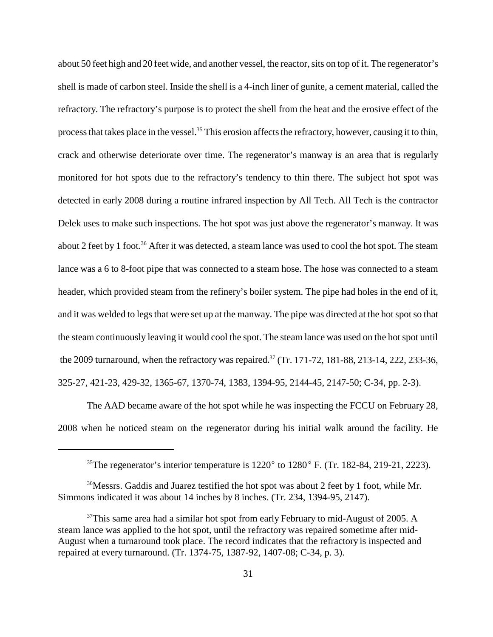crack and otherwise deteriorate over time. The regenerator's manway is an area that is regularly detected in early 2008 during a routine infrared inspection by All Tech. All Tech is the contractor about 2 feet by 1 foot.<sup>36</sup> After it was detected, a steam lance was used to cool the hot spot. The steam the steam continuously leaving it would cool the spot. The steam lance was used on the hot spot until about 50 feet high and 20 feet wide, and another vessel, the reactor, sits on top of it. The regenerator's shell is made of carbon steel. Inside the shell is a 4-inch liner of gunite, a cement material, called the refractory. The refractory's purpose is to protect the shell from the heat and the erosive effect of the process that takes place in the vessel.<sup>35</sup> This erosion affects the refractory, however, causing it to thin, monitored for hot spots due to the refractory's tendency to thin there. The subject hot spot was Delek uses to make such inspections. The hot spot was just above the regenerator's manway. It was lance was a 6 to 8-foot pipe that was connected to a steam hose. The hose was connected to a steam header, which provided steam from the refinery's boiler system. The pipe had holes in the end of it, and it was welded to legs that were set up at the manway. The pipe was directed at the hot spot so that the 2009 turnaround, when the refractory was repaired.<sup>37</sup> (Tr. 171-72, 181-88, 213-14, 222, 233-36, 325-27, 421-23, 429-32, 1365-67, 1370-74, 1383, 1394-95, 2144-45, 2147-50; C-34, pp. 2-3).

The AAD became aware of the hot spot while he was inspecting the FCCU on February 28, 2008 when he noticed steam on the regenerator during his initial walk around the facility. He

<sup>&</sup>lt;sup>35</sup>The regenerator's interior temperature is  $1220^\circ$  to  $1280^\circ$  F. (Tr. 182-84, 219-21, 2223).

 Simmons indicated it was about 14 inches by 8 inches. (Tr. 234, 1394-95, 2147). <sup>36</sup>Messrs. Gaddis and Juarez testified the hot spot was about 2 feet by 1 foot, while Mr.

 $37$ This same area had a similar hot spot from early February to mid-August of 2005. A steam lance was applied to the hot spot, until the refractory was repaired sometime after mid-August when a turnaround took place. The record indicates that the refractory is inspected and repaired at every turnaround. (Tr. 1374-75, 1387-92, 1407-08; C-34, p. 3).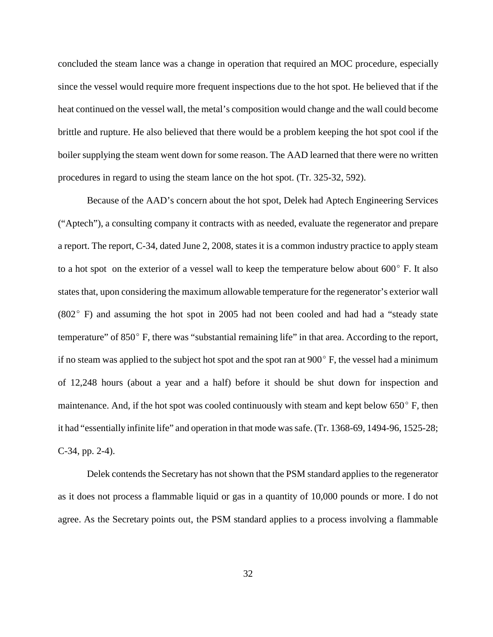concluded the steam lance was a change in operation that required an MOC procedure, especially since the vessel would require more frequent inspections due to the hot spot. He believed that if the heat continued on the vessel wall, the metal's composition would change and the wall could become brittle and rupture. He also believed that there would be a problem keeping the hot spot cool if the boiler supplying the steam went down for some reason. The AAD learned that there were no written procedures in regard to using the steam lance on the hot spot. (Tr. 325-32, 592).

 ("Aptech"), a consulting company it contracts with as needed, evaluate the regenerator and prepare to a hot spot on the exterior of a vessel wall to keep the temperature below about  $600^{\circ}$  F. It also (802º F) and assuming the hot spot in 2005 had not been cooled and had had a "steady state Because of the AAD's concern about the hot spot, Delek had Aptech Engineering Services a report. The report, C-34, dated June 2, 2008, states it is a common industry practice to apply steam states that, upon considering the maximum allowable temperature for the regenerator's exterior wall temperature" of 850º F, there was "substantial remaining life" in that area. According to the report, if no steam was applied to the subject hot spot and the spot ran at  $900^\circ$  F, the vessel had a minimum of 12,248 hours (about a year and a half) before it should be shut down for inspection and maintenance. And, if the hot spot was cooled continuously with steam and kept below  $650^{\circ}$  F, then it had "essentially infinite life" and operation in that mode was safe. (Tr. 1368-69, 1494-96, 1525-28; C-34, pp. 2-4).

 agree. As the Secretary points out, the PSM standard applies to a process involving a flammable Delek contends the Secretary has not shown that the PSM standard applies to the regenerator as it does not process a flammable liquid or gas in a quantity of 10,000 pounds or more. I do not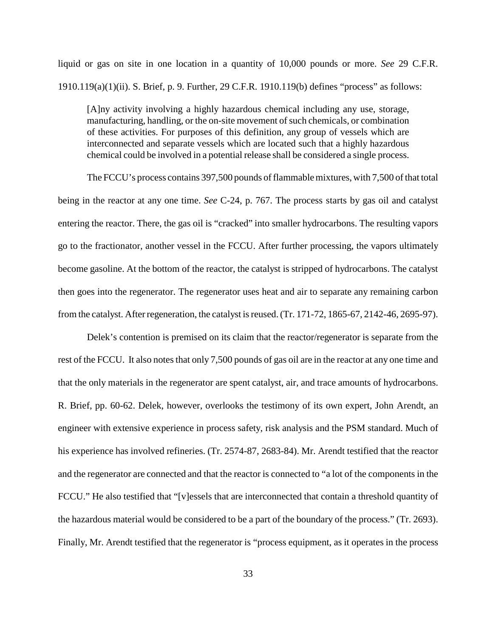liquid or gas on site in one location in a quantity of 10,000 pounds or more. *See* 29 C.F.R. 1910.119(a)(1)(ii). S. Brief, p. 9. Further, 29 C.F.R. 1910.119(b) defines "process" as follows:

 [A]ny activity involving a highly hazardous chemical including any use, storage, of these activities. For purposes of this definition, any group of vessels which are interconnected and separate vessels which are located such that a highly hazardous manufacturing, handling, or the on-site movement of such chemicals, or combination chemical could be involved in a potential release shall be considered a single process.

 being in the reactor at any one time. *See* C-24, p. 767. The process starts by gas oil and catalyst then goes into the regenerator. The regenerator uses heat and air to separate any remaining carbon The FCCU's process contains 397,500 pounds of flammable mixtures, with 7,500 of that total entering the reactor. There, the gas oil is "cracked" into smaller hydrocarbons. The resulting vapors go to the fractionator, another vessel in the FCCU. After further processing, the vapors ultimately become gasoline. At the bottom of the reactor, the catalyst is stripped of hydrocarbons. The catalyst from the catalyst. After regeneration, the catalyst is reused. (Tr. 171-72, 1865-67, 2142-46, 2695-97).

Delek's contention is premised on its claim that the reactor/regenerator is separate from the rest of the FCCU. It also notes that only 7,500 pounds of gas oil are in the reactor at any one time and that the only materials in the regenerator are spent catalyst, air, and trace amounts of hydrocarbons. R. Brief, pp. 60-62. Delek, however, overlooks the testimony of its own expert, John Arendt, an engineer with extensive experience in process safety, risk analysis and the PSM standard. Much of his experience has involved refineries. (Tr. 2574-87, 2683-84). Mr. Arendt testified that the reactor and the regenerator are connected and that the reactor is connected to "a lot of the components in the FCCU." He also testified that "[v]essels that are interconnected that contain a threshold quantity of the hazardous material would be considered to be a part of the boundary of the process." (Tr. 2693). Finally, Mr. Arendt testified that the regenerator is "process equipment, as it operates in the process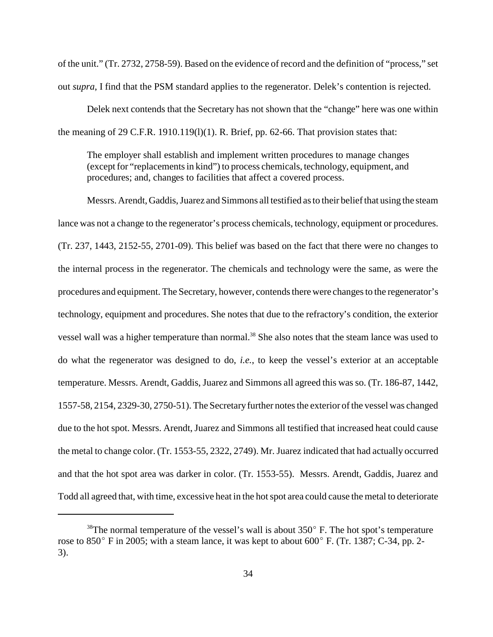of the unit." (Tr. 2732, 2758-59). Based on the evidence of record and the definition of "process," set out *supra*, I find that the PSM standard applies to the regenerator. Delek's contention is rejected.

Delek next contends that the Secretary has not shown that the "change" here was one within the meaning of 29 C.F.R. 1910.119(1)(1). R. Brief, pp. 62-66. That provision states that:

The employer shall establish and implement written procedures to manage changes (except for "replacements in kind") to process chemicals, technology, equipment, and procedures; and, changes to facilities that affect a covered process.

Messrs. Arendt, Gaddis, Juarez and Simmons all testified as to their belief that using the steam lance was not a change to the regenerator's process chemicals, technology, equipment or procedures. (Tr. 237, 1443, 2152-55, 2701-09). This belief was based on the fact that there were no changes to the internal process in the regenerator. The chemicals and technology were the same, as were the procedures and equipment. The Secretary, however, contends there were changes to the regenerator's technology, equipment and procedures. She notes that due to the refractory's condition, the exterior vessel wall was a higher temperature than normal.<sup>38</sup> She also notes that the steam lance was used to do what the regenerator was designed to do, *i.e.*, to keep the vessel's exterior at an acceptable temperature. Messrs. Arendt, Gaddis, Juarez and Simmons all agreed this was so. (Tr. 186-87, 1442, 1557-58, 2154, 2329-30, 2750-51). The Secretaryfurther notes the exterior of the vessel was changed due to the hot spot. Messrs. Arendt, Juarez and Simmons all testified that increased heat could cause the metal to change color. (Tr. 1553-55, 2322, 2749). Mr. Juarez indicated that had actually occurred and that the hot spot area was darker in color. (Tr. 1553-55). Messrs. Arendt, Gaddis, Juarez and Todd all agreed that, with time, excessive heat in the hot spot area could cause the metal to deteriorate

 $38$ The normal temperature of the vessel's wall is about  $350^\circ$  F. The hot spot's temperature rose to 850° F in 2005; with a steam lance, it was kept to about 600° F. (Tr. 1387; C-34, pp. 2-3).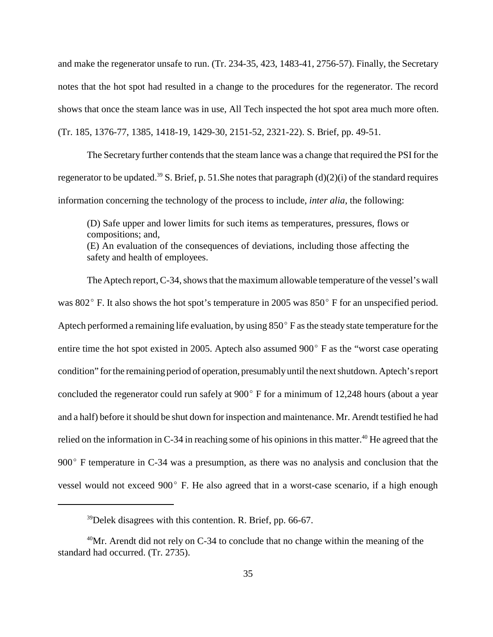and make the regenerator unsafe to run. (Tr. 234-35, 423, 1483-41, 2756-57). Finally, the Secretary notes that the hot spot had resulted in a change to the procedures for the regenerator. The record shows that once the steam lance was in use, All Tech inspected the hot spot area much more often. (Tr. 185, 1376-77, 1385, 1418-19, 1429-30, 2151-52, 2321-22). S. Brief, pp. 49-51.

The Secretary further contends that the steam lance was a change that required the PSI for the regenerator to be updated.<sup>39</sup> S. Brief, p. 51. She notes that paragraph (d)(2)(i) of the standard requires information concerning the technology of the process to include, *inter alia*, the following:

 (E) An evaluation of the consequences of deviations, including those affecting the (D) Safe upper and lower limits for such items as temperatures, pressures, flows or compositions; and, safety and health of employees.

was 802° F. It also shows the hot spot's temperature in 2005 was 850° F for an unspecified period. Aptech performed a remaining life evaluation, by using  $850^{\circ}$  F as the steady state temperature for the entire time the hot spot existed in 2005. Aptech also assumed 900° F as the "worst case operating condition" for the remaining period of operation, presumablyuntil the next shutdown. Aptech's report concluded the regenerator could run safely at 900º F for a minimum of 12,248 hours (about a year 900° F temperature in C-34 was a presumption, as there was no analysis and conclusion that the vessel would not exceed 900º F. He also agreed that in a worst-case scenario, if a high enough The Aptech report, C-34, shows that the maximum allowable temperature of the vessel's wall and a half) before it should be shut down for inspection and maintenance. Mr. Arendt testified he had relied on the information in C-34 in reaching some of his opinions in this matter.<sup>40</sup> He agreed that the

 $39$  Delek disagrees with this contention. R. Brief, pp. 66-67.

 $40$ Mr. Arendt did not rely on C-34 to conclude that no change within the meaning of the standard had occurred. (Tr. 2735).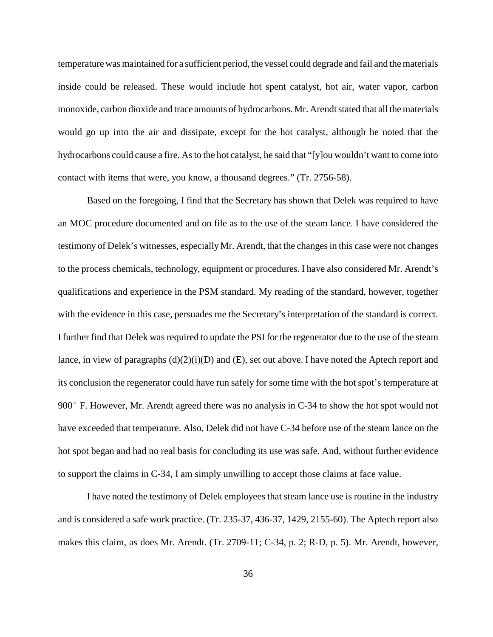would go up into the air and dissipate, except for the hot catalyst, although he noted that the temperature was maintained for a sufficient period, the vessel could degrade and fail and the materials inside could be released. These would include hot spent catalyst, hot air, water vapor, carbon monoxide, carbon dioxide and trace amounts of hydrocarbons. Mr. Arendt stated that all the materials hydrocarbons could cause a fire. As to the hot catalyst, he said that "[y]ou wouldn't want to come into contact with items that were, you know, a thousand degrees." (Tr. 2756-58).

 qualifications and experience in the PSM standard. My reading of the standard, however, together Based on the foregoing, I find that the Secretary has shown that Delek was required to have an MOC procedure documented and on file as to the use of the steam lance. I have considered the testimony of Delek's witnesses, especially Mr. Arendt, that the changes in this case were not changes to the process chemicals, technology, equipment or procedures. I have also considered Mr. Arendt's with the evidence in this case, persuades me the Secretary's interpretation of the standard is correct. I further find that Delek was required to update the PSI for the regenerator due to the use of the steam lance, in view of paragraphs (d)(2)(i)(D) and (E), set out above. I have noted the Aptech report and its conclusion the regenerator could have run safely for some time with the hot spot's temperature at 900º F. However, Mr. Arendt agreed there was no analysis in C-34 to show the hot spot would not have exceeded that temperature. Also, Delek did not have C-34 before use of the steam lance on the hot spot began and had no real basis for concluding its use was safe. And, without further evidence to support the claims in C-34, I am simply unwilling to accept those claims at face value.

 makes this claim, as does Mr. Arendt. (Tr. 2709-11; C-34, p. 2; R-D, p. 5). Mr. Arendt, however, I have noted the testimony of Delek employees that steam lance use is routine in the industry and is considered a safe work practice. (Tr. 235-37, 436-37, 1429, 2155-60). The Aptech report also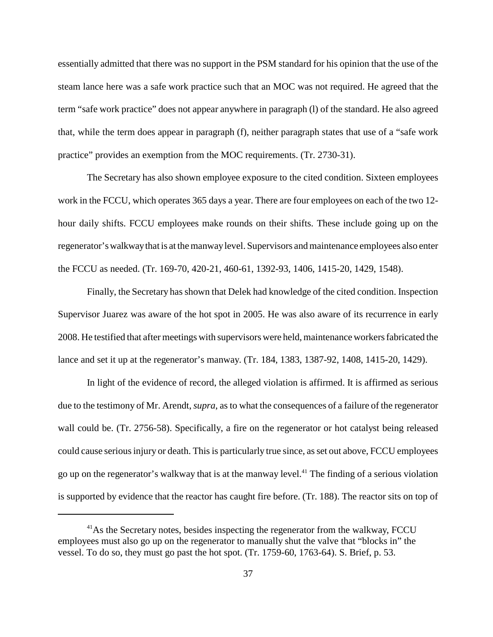steam lance here was a safe work practice such that an MOC was not required. He agreed that the that, while the term does appear in paragraph (f), neither paragraph states that use of a "safe work essentially admitted that there was no support in the PSM standard for his opinion that the use of the term "safe work practice" does not appear anywhere in paragraph (l) of the standard. He also agreed practice" provides an exemption from the MOC requirements. (Tr. 2730-31).

 hour daily shifts. FCCU employees make rounds on their shifts. These include going up on the The Secretary has also shown employee exposure to the cited condition. Sixteen employees work in the FCCU, which operates 365 days a year. There are four employees on each of the two 12 regenerator's walkwaythat is at the manwaylevel. Supervisors and maintenance employees also enter the FCCU as needed. (Tr. 169-70, 420-21, 460-61, 1392-93, 1406, 1415-20, 1429, 1548).

Finally, the Secretary has shown that Delek had knowledge of the cited condition. Inspection Supervisor Juarez was aware of the hot spot in 2005. He was also aware of its recurrence in early 2008. He testified that after meetings with supervisors were held, maintenance workers fabricated the lance and set it up at the regenerator's manway. (Tr. 184, 1383, 1387-92, 1408, 1415-20, 1429).

go up on the regenerator's walkway that is at the manway level.<sup>41</sup> The finding of a serious violation In light of the evidence of record, the alleged violation is affirmed. It is affirmed as serious due to the testimony of Mr. Arendt, *supra*, as to what the consequences of a failure of the regenerator wall could be. (Tr. 2756-58). Specifically, a fire on the regenerator or hot catalyst being released could cause serious injury or death. This is particularly true since, as set out above, FCCU employees is supported by evidence that the reactor has caught fire before. (Tr. 188). The reactor sits on top of

<sup>&</sup>lt;sup>41</sup>As the Secretary notes, besides inspecting the regenerator from the walkway, FCCU employees must also go up on the regenerator to manually shut the valve that "blocks in" the vessel. To do so, they must go past the hot spot. (Tr. 1759-60, 1763-64). S. Brief, p. 53.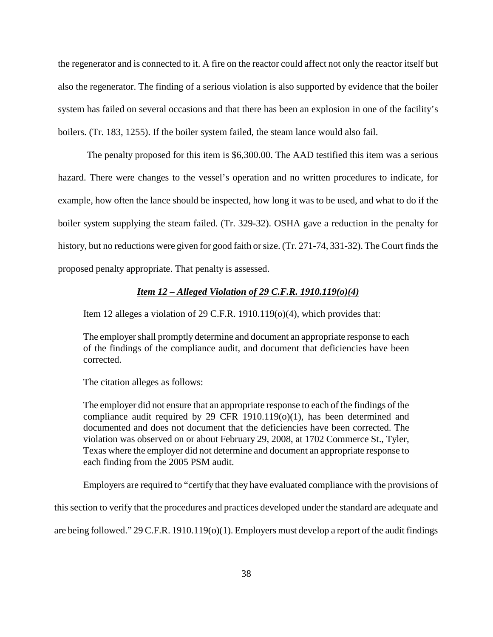system has failed on several occasions and that there has been an explosion in one of the facility's the regenerator and is connected to it. A fire on the reactor could affect not only the reactor itself but also the regenerator. The finding of a serious violation is also supported by evidence that the boiler boilers. (Tr. 183, 1255). If the boiler system failed, the steam lance would also fail.

 The penalty proposed for this item is \$6,300.00. The AAD testified this item was a serious hazard. There were changes to the vessel's operation and no written procedures to indicate, for example, how often the lance should be inspected, how long it was to be used, and what to do if the boiler system supplying the steam failed. (Tr. 329-32). OSHA gave a reduction in the penalty for history, but no reductions were given for good faith or size. (Tr. 271-74, 331-32). The Court finds the proposed penalty appropriate. That penalty is assessed.

# *Item 12 – Alleged Violation of 29 C.F.R. 1910.119(o)(4)*

Item 12 alleges a violation of 29 C.F.R. 1910.119(o)(4), which provides that:

The employer shall promptly determine and document an appropriate response to each of the findings of the compliance audit, and document that deficiencies have been corrected.

The citation alleges as follows:

The employer did not ensure that an appropriate response to each of the findings of the compliance audit required by 29 CFR 1910.119(o)(1), has been determined and documented and does not document that the deficiencies have been corrected. The violation was observed on or about February 29, 2008, at 1702 Commerce St., Tyler, Texas where the employer did not determine and document an appropriate response to each finding from the 2005 PSM audit.

Employers are required to "certify that they have evaluated compliance with the provisions of

this section to verify that the procedures and practices developed under the standard are adequate and

are being followed." 29 C.F.R. 1910.119(o)(1). Employers must develop a report of the audit findings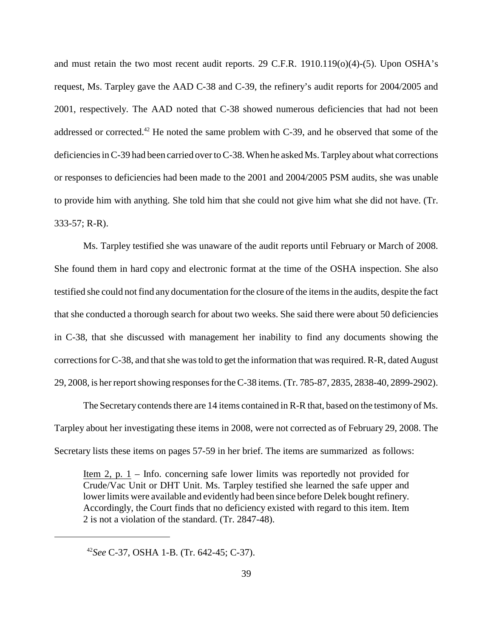2001, respectively. The AAD noted that C-38 showed numerous deficiencies that had not been addressed or corrected.<sup>42</sup> He noted the same problem with C-39, and he observed that some of the and must retain the two most recent audit reports. 29 C.F.R. 1910.119(o)(4)-(5). Upon OSHA's request, Ms. Tarpley gave the AAD C-38 and C-39, the refinery's audit reports for 2004/2005 and deficiencies in C-39 had been carried over to C-38. When he asked Ms. Tarpleyabout what corrections or responses to deficiencies had been made to the 2001 and 2004/2005 PSM audits, she was unable to provide him with anything. She told him that she could not give him what she did not have. (Tr. 333-57; R-R).

 in C-38, that she discussed with management her inability to find any documents showing the Ms. Tarpley testified she was unaware of the audit reports until February or March of 2008. She found them in hard copy and electronic format at the time of the OSHA inspection. She also testified she could not find any documentation for the closure of the items in the audits, despite the fact that she conducted a thorough search for about two weeks. She said there were about 50 deficiencies corrections for C-38, and that she was told to get the information that was required. R-R, dated August 29, 2008, is her report showing responses for the C-38 items. (Tr. 785-87, 2835, 2838-40, 2899-2902).

The Secretarycontends there are 14 items contained in R-R that, based on the testimony of Ms. Tarpley about her investigating these items in 2008, were not corrected as of February 29, 2008. The Secretary lists these items on pages 57-59 in her brief. The items are summarized as follows:

Item 2, p. 1 – Info. concerning safe lower limits was reportedly not provided for Crude/Vac Unit or DHT Unit. Ms. Tarpley testified she learned the safe upper and lower limits were available and evidently had been since before Delek bought refinery. Accordingly, the Court finds that no deficiency existed with regard to this item. Item 2 is not a violation of the standard. (Tr. 2847-48).

<sup>42</sup>*See* C-37, OSHA 1-B. (Tr. 642-45; C-37).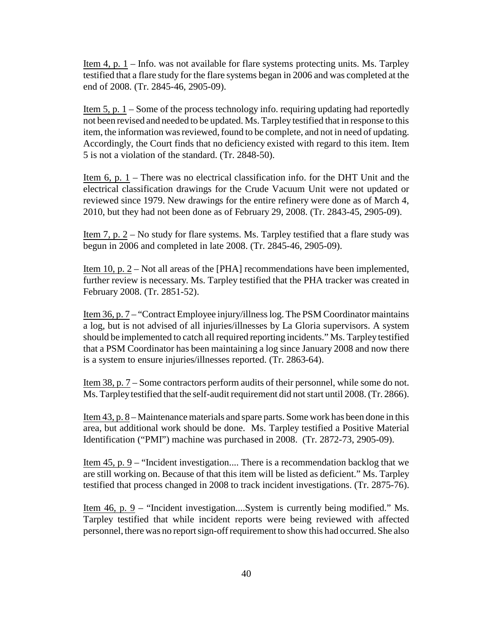Item 4, p. 1 – Info. was not available for flare systems protecting units. Ms. Tarpley testified that a flare study for the flare systems began in 2006 and was completed at the end of 2008. (Tr. 2845-46, 2905-09).

Item  $5$ , p.  $1$  – Some of the process technology info. requiring updating had reportedly not been revised and needed to be updated. Ms. Tarpley testified that in response to this item, the information was reviewed, found to be complete, and not in need of updating. Accordingly, the Court finds that no deficiency existed with regard to this item. Item 5 is not a violation of the standard. (Tr. 2848-50).

<u>Item 6, p. 1</u> – There was no electrical classification info. for the DHT Unit and the electrical classification drawings for the Crude Vacuum Unit were not updated or reviewed since 1979. New drawings for the entire refinery were done as of March 4, 2010, but they had not been done as of February 29, 2008. (Tr. 2843-45, 2905-09).

<u>Item 7, p. 2</u> – No study for flare systems. Ms. Tarpley testified that a flare study was begun in 2006 and completed in late 2008. (Tr. 2845-46, 2905-09).

Item 10, p. 2 – Not all areas of the [PHA] recommendations have been implemented, further review is necessary. Ms. Tarpley testified that the PHA tracker was created in February 2008. (Tr. 2851-52).

 a log, but is not advised of all injuries/illnesses by La Gloria supervisors. A system that a PSM Coordinator has been maintaining a log since January 2008 and now there Item 36, p. 7 – "Contract Employee injury/illness log. The PSM Coordinator maintains should be implemented to catch all required reporting incidents." Ms. Tarpley testified is a system to ensure injuries/illnesses reported. (Tr. 2863-64).

Item 38, p. 7 – Some contractors perform audits of their personnel, while some do not. Ms. Tarpley testified that the self-audit requirement did not start until 2008. (Tr. 2866).

 area, but additional work should be done. Ms. Tarpley testified a Positive Material Item 43, p. 8 – Maintenance materials and spare parts. Some work has been done in this Identification ("PMI") machine was purchased in 2008. (Tr. 2872-73, 2905-09).

Item 45, p. 9 – "Incident investigation.... There is a recommendation backlog that we are still working on. Because of that this item will be listed as deficient." Ms. Tarpley testified that process changed in 2008 to track incident investigations. (Tr. 2875-76).

Item 46, p. 9 – "Incident investigation....System is currently being modified." Ms. Tarpley testified that while incident reports were being reviewed with affected personnel, there was no report sign-off requirement to show this had occurred. She also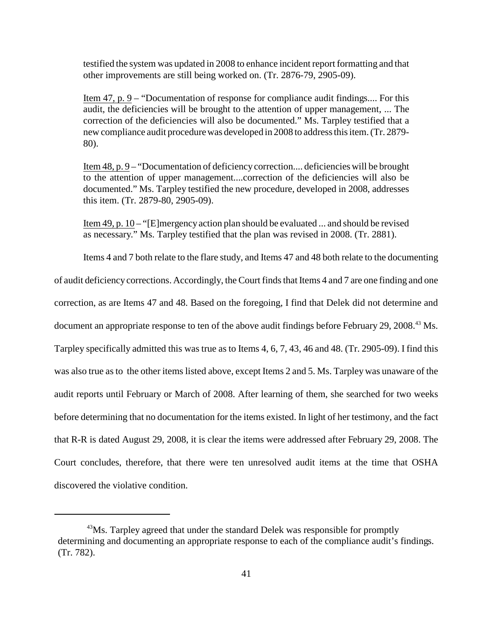testified the system was updated in 2008 to enhance incident report formatting and that other improvements are still being worked on. (Tr. 2876-79, 2905-09).

Item 47, p. 9 – "Documentation of response for compliance audit findings.... For this audit, the deficiencies will be brought to the attention of upper management, ... The correction of the deficiencies will also be documented." Ms. Tarpley testified that a new compliance audit procedure was developed in 2008 to address this item. (Tr. 2879 80).

Item 48, p. 9 – "Documentation of deficiency correction.... deficiencies will be brought to the attention of upper management....correction of the deficiencies will also be documented." Ms. Tarpley testified the new procedure, developed in 2008, addresses this item. (Tr. 2879-80, 2905-09).

Item 49, p. 10 – "[E]mergency action plan should be evaluated ... and should be revised as necessary." Ms. Tarpley testified that the plan was revised in 2008. (Tr. 2881).

Items 4 and 7 both relate to the flare study, and Items 47 and 48 both relate to the documenting

 correction, as are Items 47 and 48. Based on the foregoing, I find that Delek did not determine and document an appropriate response to ten of the above audit findings before February 29, 2008.<sup>43</sup> Ms. Tarpley specifically admitted this was true as to Items 4, 6, 7, 43, 46 and 48. (Tr. 2905-09). I find this of audit deficiency corrections. Accordingly, the Court finds that Items 4 and 7 are one finding and one was also true as to the other items listed above, except Items 2 and 5. Ms. Tarpley was unaware of the audit reports until February or March of 2008. After learning of them, she searched for two weeks before determining that no documentation for the items existed. In light of her testimony, and the fact that R-R is dated August 29, 2008, it is clear the items were addressed after February 29, 2008. The Court concludes, therefore, that there were ten unresolved audit items at the time that OSHA discovered the violative condition.

<sup>&</sup>lt;sup>43</sup>Ms. Tarpley agreed that under the standard Delek was responsible for promptly determining and documenting an appropriate response to each of the compliance audit's findings. (Tr. 782).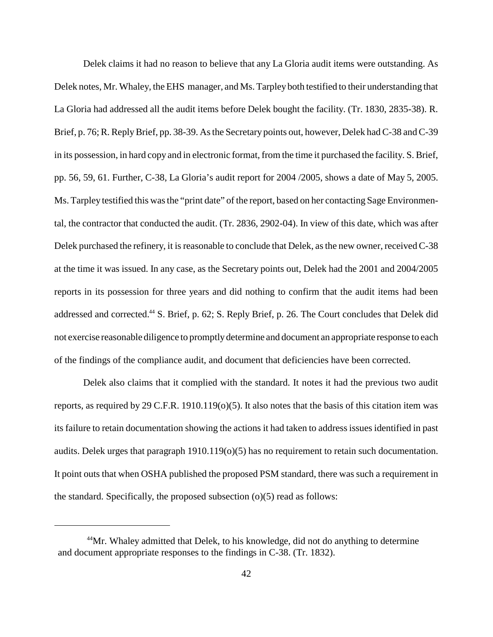reports in its possession for three years and did nothing to confirm that the audit items had been Delek claims it had no reason to believe that any La Gloria audit items were outstanding. As Delek notes, Mr. Whaley, the EHS manager, and Ms. Tarpley both testified to their understanding that La Gloria had addressed all the audit items before Delek bought the facility. (Tr. 1830, 2835-38). R. Brief, p. 76; R. Reply Brief, pp. 38-39. As the Secretarypoints out, however, Delek had C-38 and C-39 in its possession, in hard copy and in electronic format, from the time it purchased the facility. S. Brief, pp. 56, 59, 61. Further, C-38, La Gloria's audit report for 2004 /2005, shows a date of May 5, 2005. Ms. Tarpley testified this was the "print date" of the report, based on her contacting Sage Environmental, the contractor that conducted the audit. (Tr. 2836, 2902-04). In view of this date, which was after Delek purchased the refinery, it is reasonable to conclude that Delek, as the new owner, received C-38 at the time it was issued. In any case, as the Secretary points out, Delek had the 2001 and 2004/2005 addressed and corrected.44 S. Brief, p. 62; S. Reply Brief, p. 26. The Court concludes that Delek did not exercise reasonable diligence to promptlydetermine and document an appropriate response to each of the findings of the compliance audit, and document that deficiencies have been corrected.

 Delek also claims that it complied with the standard. It notes it had the previous two audit reports, as required by 29 C.F.R. 1910.119( $o(5)$ ). It also notes that the basis of this citation item was its failure to retain documentation showing the actions it had taken to address issues identified in past audits. Delek urges that paragraph 1910.119(o)(5) has no requirement to retain such documentation. It point outs that when OSHA published the proposed PSM standard, there was such a requirement in the standard. Specifically, the proposed subsection  $(o)(5)$  read as follows:

<sup>&</sup>lt;sup>44</sup>Mr. Whaley admitted that Delek, to his knowledge, did not do anything to determine and document appropriate responses to the findings in C-38. (Tr. 1832).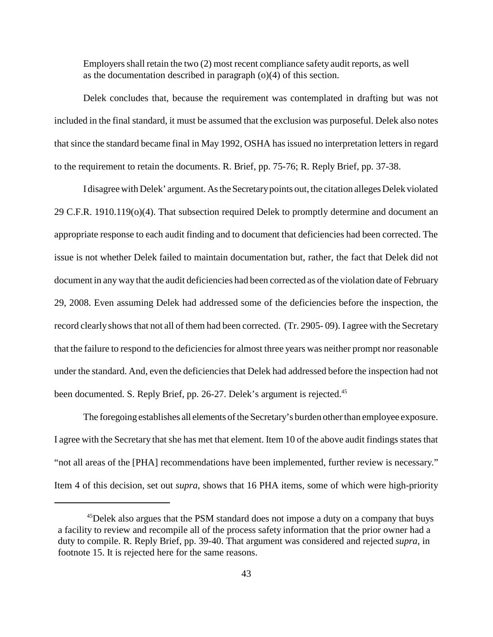Employers shall retain the two (2) most recent compliance safety audit reports, as well as the documentation described in paragraph (o)(4) of this section.

 Delek concludes that, because the requirement was contemplated in drafting but was not included in the final standard, it must be assumed that the exclusion was purposeful. Delek also notes that since the standard became final in May 1992, OSHA has issued no interpretation letters in regard to the requirement to retain the documents. R. Brief, pp. 75-76; R. Reply Brief, pp. 37-38.

 I disagree with Delek' argument. As the Secretarypoints out, the citation alleges Delek violated issue is not whether Delek failed to maintain documentation but, rather, the fact that Delek did not document in any way that the audit deficiencies had been corrected as of the violation date of February 29, 2008. Even assuming Delek had addressed some of the deficiencies before the inspection, the 29 C.F.R. 1910.119(o)(4). That subsection required Delek to promptly determine and document an appropriate response to each audit finding and to document that deficiencies had been corrected. The record clearly shows that not all of them had been corrected. (Tr. 2905- 09). I agree with the Secretary that the failure to respond to the deficiencies for almost three years was neither prompt nor reasonable under the standard. And, even the deficiencies that Delek had addressed before the inspection had not been documented. S. Reply Brief, pp. 26-27. Delek's argument is rejected.<sup>45</sup>

 Item 4 of this decision, set out *supra*, shows that 16 PHA items, some of which were high-priority The foregoing establishes all elements of the Secretary's burden other than employee exposure. I agree with the Secretary that she has met that element. Item 10 of the above audit findings states that "not all areas of the [PHA] recommendations have been implemented, further review is necessary."

<sup>&</sup>lt;sup>45</sup>Delek also argues that the PSM standard does not impose a duty on a company that buys a facility to review and recompile all of the process safety information that the prior owner had a duty to compile. R. Reply Brief, pp. 39-40. That argument was considered and rejected *supra*, in footnote 15. It is rejected here for the same reasons.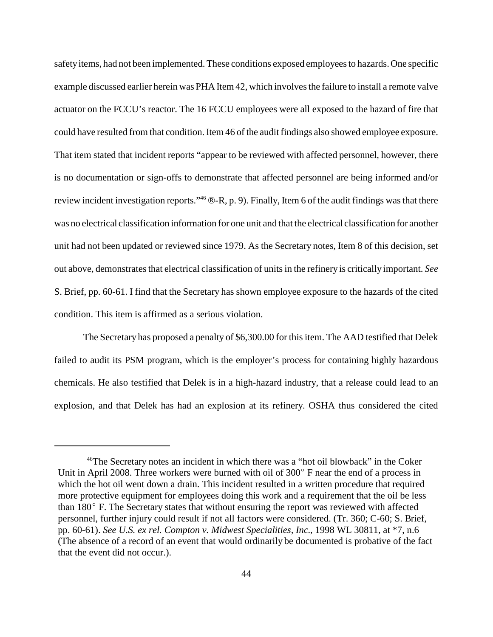out above, demonstrates that electrical classification of units in the refinery is critically important. *See*  safety items, had not been implemented. These conditions exposed employees to hazards. One specific example discussed earlier herein was PHA Item 42, which involves the failure to install a remote valve actuator on the FCCU's reactor. The 16 FCCU employees were all exposed to the hazard of fire that could have resulted from that condition. Item 46 of the audit findings also showed employee exposure. That item stated that incident reports "appear to be reviewed with affected personnel, however, there is no documentation or sign-offs to demonstrate that affected personnel are being informed and/or review incident investigation reports."46 ®-R, p. 9). Finally, Item 6 of the audit findings was that there was no electrical classification information for one unit and that the electrical classification for another unit had not been updated or reviewed since 1979. As the Secretary notes, Item 8 of this decision, set S. Brief, pp. 60-61. I find that the Secretary has shown employee exposure to the hazards of the cited condition. This item is affirmed as a serious violation.

 The Secretary has proposed a penalty of \$6,300.00 for this item. The AAD testified that Delek failed to audit its PSM program, which is the employer's process for containing highly hazardous chemicals. He also testified that Delek is in a high-hazard industry, that a release could lead to an explosion, and that Delek has had an explosion at its refinery. OSHA thus considered the cited

<sup>46</sup>The Secretary notes an incident in which there was a "hot oil blowback" in the Coker Unit in April 2008. Three workers were burned with oil of 300º F near the end of a process in which the hot oil went down a drain. This incident resulted in a written procedure that required more protective equipment for employees doing this work and a requirement that the oil be less than 180º F. The Secretary states that without ensuring the report was reviewed with affected personnel, further injury could result if not all factors were considered. (Tr. 360; C-60; S. Brief, pp. 60-61). *See U.S. ex rel. Compton v. Midwest Specialities, Inc.*, 1998 WL 30811, at \*7, n.6 (The absence of a record of an event that would ordinarily be documented is probative of the fact that the event did not occur.).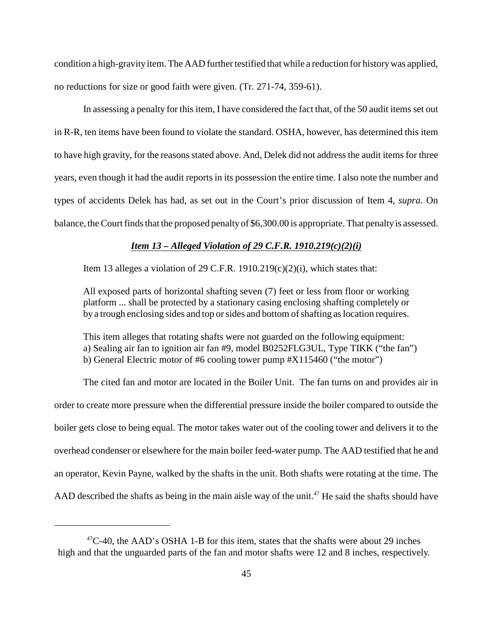condition a high-gravity item. The AAD further testified that while a reduction for history was applied, no reductions for size or good faith were given. (Tr. 271-74, 359-61).

 In assessing a penalty for this item, I have considered the fact that, of the 50 audit items set out to have high gravity, for the reasons stated above. And, Delek did not address the audit items for three in R-R, ten items have been found to violate the standard. OSHA, however, has determined this item years, even though it had the audit reports in its possession the entire time. I also note the number and types of accidents Delek has had, as set out in the Court's prior discussion of Item 4, *supra*. On balance, the Court finds that the proposed penalty of \$6,300.00 is appropriate. That penaltyis assessed.

### *Item 13 – Alleged Violation of 29 C.F.R. 1910.219(c)(2)(i)*

Item 13 alleges a violation of 29 C.F.R. 1910.219 $(c)(2)(i)$ , which states that:

 All exposed parts of horizontal shafting seven (7) feet or less from floor or working platform ... shall be protected by a stationary casing enclosing shafting completely or by a trough enclosing sides and top or sides and bottom of shafting as location requires.

This item alleges that rotating shafts were not guarded on the following equipment: a) Sealing air fan to ignition air fan #9, model B0252FLG3UL, Type TIKK ("the fan") b) General Electric motor of #6 cooling tower pump #X115460 ("the motor")

The cited fan and motor are located in the Boiler Unit. The fan turns on and provides air in order to create more pressure when the differential pressure inside the boiler compared to outside the boiler gets close to being equal. The motor takes water out of the cooling tower and delivers it to the overhead condenser or elsewhere for the main boiler feed-water pump. The AAD testified that he and an operator, Kevin Payne, walked by the shafts in the unit. Both shafts were rotating at the time. The AAD described the shafts as being in the main aisle way of the unit.<sup>47</sup> He said the shafts should have

 $^{47}$ C-40, the AAD's OSHA 1-B for this item, states that the shafts were about 29 inches high and that the unguarded parts of the fan and motor shafts were 12 and 8 inches, respectively.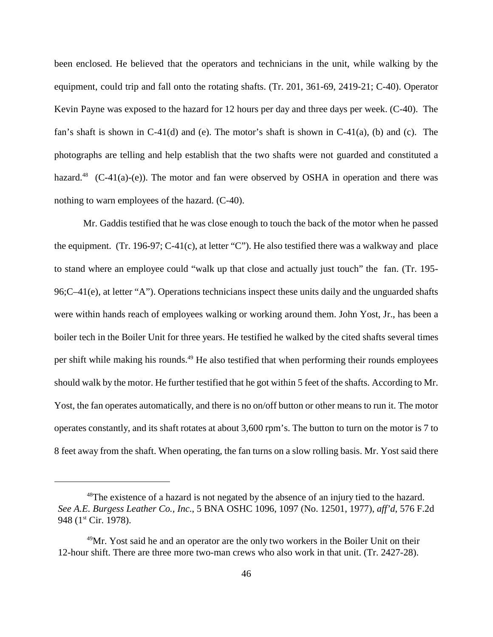been enclosed. He believed that the operators and technicians in the unit, while walking by the photographs are telling and help establish that the two shafts were not guarded and constituted a hazard.<sup>48</sup> (C-41(a)-(e)). The motor and fan were observed by OSHA in operation and there was equipment, could trip and fall onto the rotating shafts. (Tr. 201, 361-69, 2419-21; C-40). Operator Kevin Payne was exposed to the hazard for 12 hours per day and three days per week. (C-40). The fan's shaft is shown in  $C-41(d)$  and (e). The motor's shaft is shown in  $C-41(a)$ , (b) and (c). The nothing to warn employees of the hazard. (C-40).

 the equipment. (Tr. 196-97; C-41(c), at letter "C"). He also testified there was a walkway and place to stand where an employee could "walk up that close and actually just touch" the fan. (Tr. 195 per shift while making his rounds.<sup>49</sup> He also testified that when performing their rounds employees Mr. Gaddis testified that he was close enough to touch the back of the motor when he passed 96;C–41(e), at letter "A"). Operations technicians inspect these units daily and the unguarded shafts were within hands reach of employees walking or working around them. John Yost, Jr., has been a boiler tech in the Boiler Unit for three years. He testified he walked by the cited shafts several times should walk by the motor. He further testified that he got within 5 feet of the shafts. According to Mr. Yost, the fan operates automatically, and there is no on/off button or other means to run it. The motor operates constantly, and its shaft rotates at about 3,600 rpm's. The button to turn on the motor is 7 to 8 feet away from the shaft. When operating, the fan turns on a slow rolling basis. Mr. Yost said there

<sup>&</sup>lt;sup>48</sup>The existence of a hazard is not negated by the absence of an injury tied to the hazard. *See A.E. Burgess Leather Co., Inc.*, 5 BNA OSHC 1096, 1097 (No. 12501, 1977), *aff'd*, 576 F.2d 948 (1<sup>st</sup> Cir. 1978).

 $^{49}$ Mr. Yost said he and an operator are the only two workers in the Boiler Unit on their 12-hour shift. There are three more two-man crews who also work in that unit. (Tr. 2427-28).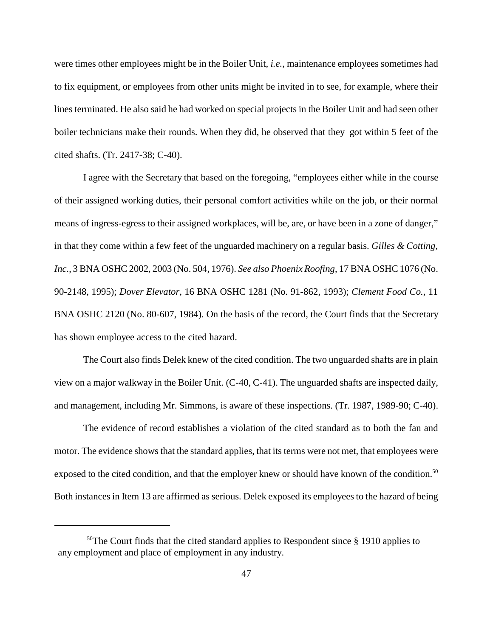boiler technicians make their rounds. When they did, he observed that they got within 5 feet of the were times other employees might be in the Boiler Unit, *i.e.*, maintenance employees sometimes had to fix equipment, or employees from other units might be invited in to see, for example, where their lines terminated. He also said he had worked on special projects in the Boiler Unit and had seen other cited shafts. (Tr. 2417-38; C-40).

I agree with the Secretary that based on the foregoing, "employees either while in the course of their assigned working duties, their personal comfort activities while on the job, or their normal means of ingress-egress to their assigned workplaces, will be, are, or have been in a zone of danger," in that they come within a few feet of the unguarded machinery on a regular basis. *Gilles & Cotting, Inc.*, 3 BNA OSHC 2002, 2003 (No. 504, 1976). *See also Phoenix Roofing*, 17 BNA OSHC 1076 (No. 90-2148, 1995); *Dover Elevator*, 16 BNA OSHC 1281 (No. 91-862, 1993); *Clement Food Co.*, 11 BNA OSHC 2120 (No. 80-607, 1984). On the basis of the record, the Court finds that the Secretary has shown employee access to the cited hazard.

The Court also finds Delek knew of the cited condition. The two unguarded shafts are in plain view on a major walkway in the Boiler Unit. (C-40, C-41). The unguarded shafts are inspected daily, and management, including Mr. Simmons, is aware of these inspections. (Tr. 1987, 1989-90; C-40).

 The evidence of record establishes a violation of the cited standard as to both the fan and motor. The evidence shows that the standard applies, that its terms were not met, that employees were exposed to the cited condition, and that the employer knew or should have known of the condition.<sup>50</sup> Both instances in Item 13 are affirmed as serious. Delek exposed its employees to the hazard of being

 $50$ The Court finds that the cited standard applies to Respondent since § 1910 applies to any employment and place of employment in any industry.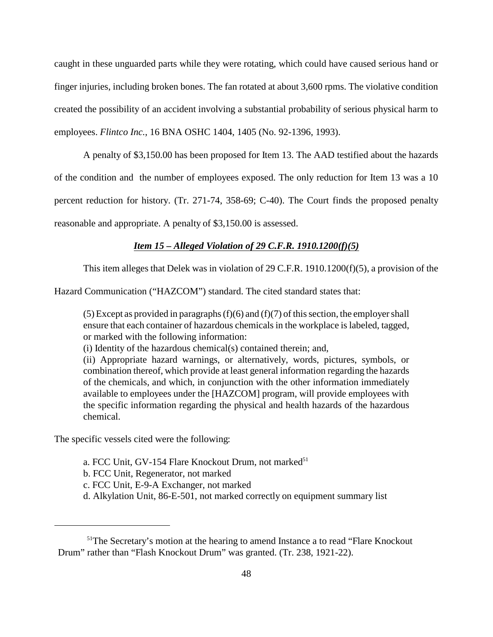created the possibility of an accident involving a substantial probability of serious physical harm to caught in these unguarded parts while they were rotating, which could have caused serious hand or finger injuries, including broken bones. The fan rotated at about 3,600 rpms. The violative condition employees. *Flintco Inc.*, 16 BNA OSHC 1404, 1405 (No. 92-1396, 1993).

A penalty of \$3,150.00 has been proposed for Item 13. The AAD testified about the hazards of the condition and the number of employees exposed. The only reduction for Item 13 was a 10 percent reduction for history. (Tr. 271-74, 358-69; C-40). The Court finds the proposed penalty reasonable and appropriate. A penalty of \$3,150.00 is assessed.

# *Item 15 – Alleged Violation of 29 C.F.R. 1910.1200(f)(5)*

This item alleges that Delek was in violation of 29 C.F.R. 1910.1200(f)(5), a provision of the

Hazard Communication ("HAZCOM") standard. The cited standard states that:

(5) Except as provided in paragraphs  $(f)(6)$  and  $(f)(7)$  of this section, the employer shall ensure that each container of hazardous chemicals in the workplace is labeled, tagged, or marked with the following information:

(i) Identity of the hazardous chemical(s) contained therein; and,

(ii) Appropriate hazard warnings, or alternatively, words, pictures, symbols, or combination thereof, which provide at least general information regarding the hazards of the chemicals, and which, in conjunction with the other information immediately available to employees under the [HAZCOM] program, will provide employees with the specific information regarding the physical and health hazards of the hazardous chemical.

The specific vessels cited were the following:

- a. FCC Unit, GV-154 Flare Knockout Drum, not marked<sup>51</sup>
- b. FCC Unit, Regenerator, not marked
- c. FCC Unit, E-9-A Exchanger, not marked
- d. Alkylation Unit, 86-E-501, not marked correctly on equipment summary list

<sup>&</sup>lt;sup>51</sup>The Secretary's motion at the hearing to amend Instance a to read "Flare Knockout" Drum" rather than "Flash Knockout Drum" was granted. (Tr. 238, 1921-22).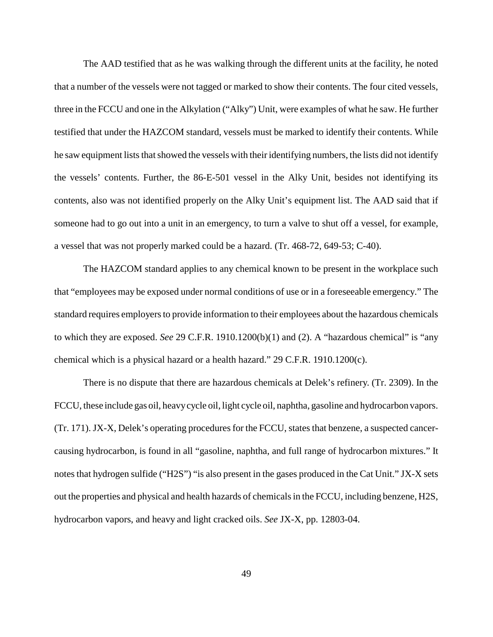contents, also was not identified properly on the Alky Unit's equipment list. The AAD said that if The AAD testified that as he was walking through the different units at the facility, he noted that a number of the vessels were not tagged or marked to show their contents. The four cited vessels, three in the FCCU and one in the Alkylation ("Alky") Unit, were examples of what he saw. He further testified that under the HAZCOM standard, vessels must be marked to identify their contents. While he saw equipment lists that showed the vessels with their identifying numbers, the lists did not identify the vessels' contents. Further, the 86-E-501 vessel in the Alky Unit, besides not identifying its someone had to go out into a unit in an emergency, to turn a valve to shut off a vessel, for example, a vessel that was not properly marked could be a hazard. (Tr. 468-72, 649-53; C-40).

The HAZCOM standard applies to any chemical known to be present in the workplace such that "employees may be exposed under normal conditions of use or in a foreseeable emergency." The standard requires employers to provide information to their employees about the hazardous chemicals to which they are exposed. *See* 29 C.F.R. 1910.1200(b)(1) and (2). A "hazardous chemical" is "any chemical which is a physical hazard or a health hazard."  $29$  C.F.R. 1910.1200(c).

There is no dispute that there are hazardous chemicals at Delek's refinery. (Tr. 2309). In the FCCU, these include gas oil, heavycycle oil, light cycle oil, naphtha, gasoline and hydrocarbon vapors. (Tr. 171). JX-X, Delek's operating procedures for the FCCU, states that benzene, a suspected cancercausing hydrocarbon, is found in all "gasoline, naphtha, and full range of hydrocarbon mixtures." It notes that hydrogen sulfide ("H2S") "is also present in the gases produced in the Cat Unit." JX-X sets out the properties and physical and health hazards of chemicals in the FCCU, including benzene, H2S, hydrocarbon vapors, and heavy and light cracked oils. *See* JX-X, pp. 12803-04.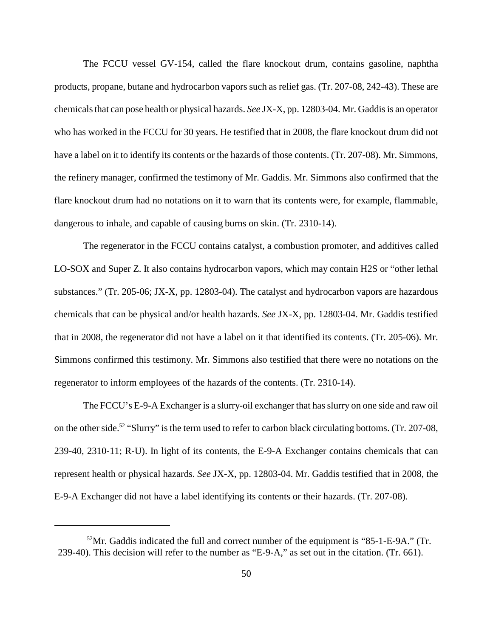The FCCU vessel GV-154, called the flare knockout drum, contains gasoline, naphtha products, propane, butane and hydrocarbon vapors such as relief gas. (Tr. 207-08, 242-43). These are chemicals that can pose health or physical hazards. *See* JX-X, pp. 12803-04. Mr. Gaddis is an operator who has worked in the FCCU for 30 years. He testified that in 2008, the flare knockout drum did not have a label on it to identify its contents or the hazards of those contents. (Tr. 207-08). Mr. Simmons, the refinery manager, confirmed the testimony of Mr. Gaddis. Mr. Simmons also confirmed that the flare knockout drum had no notations on it to warn that its contents were, for example, flammable, dangerous to inhale, and capable of causing burns on skin. (Tr. 2310-14).

 that in 2008, the regenerator did not have a label on it that identified its contents. (Tr. 205-06). Mr. The regenerator in the FCCU contains catalyst, a combustion promoter, and additives called LO-SOX and Super Z. It also contains hydrocarbon vapors, which may contain H2S or "other lethal substances." (Tr. 205-06; JX-X, pp. 12803-04). The catalyst and hydrocarbon vapors are hazardous chemicals that can be physical and/or health hazards. *See* JX-X, pp. 12803-04. Mr. Gaddis testified Simmons confirmed this testimony. Mr. Simmons also testified that there were no notations on the regenerator to inform employees of the hazards of the contents. (Tr. 2310-14).

 239-40, 2310-11; R-U). In light of its contents, the E-9-A Exchanger contains chemicals that can The FCCU's E-9-A Exchanger is a slurry-oil exchanger that has slurry on one side and raw oil on the other side.<sup>52</sup> "Slurry" is the term used to refer to carbon black circulating bottoms. (Tr. 207-08, represent health or physical hazards. *See* JX-X, pp. 12803-04. Mr. Gaddis testified that in 2008, the E-9-A Exchanger did not have a label identifying its contents or their hazards. (Tr. 207-08).

 $52\text{Mr}$ . Gaddis indicated the full and correct number of the equipment is "85-1-E-9A." (Tr. 239-40). This decision will refer to the number as "E-9-A," as set out in the citation. (Tr. 661).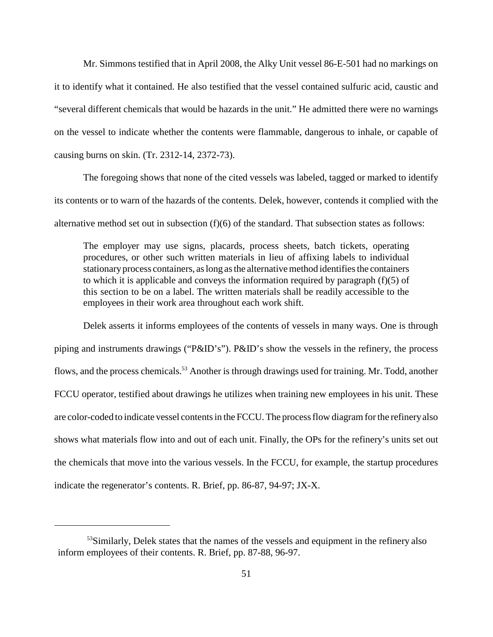Mr. Simmons testified that in April 2008, the Alky Unit vessel 86-E-501 had no markings on it to identify what it contained. He also testified that the vessel contained sulfuric acid, caustic and "several different chemicals that would be hazards in the unit." He admitted there were no warnings on the vessel to indicate whether the contents were flammable, dangerous to inhale, or capable of causing burns on skin. (Tr. 2312-14, 2372-73).

The foregoing shows that none of the cited vessels was labeled, tagged or marked to identify its contents or to warn of the hazards of the contents. Delek, however, contends it complied with the alternative method set out in subsection  $(f)(6)$  of the standard. That subsection states as follows:

 The employer may use signs, placards, process sheets, batch tickets, operating this section to be on a label. The written materials shall be readily accessible to the procedures, or other such written materials in lieu of affixing labels to individual stationaryprocess containers, as long as the alternative method identifies the containers to which it is applicable and conveys the information required by paragraph (f)(5) of employees in their work area throughout each work shift.

 piping and instruments drawings ("P&ID's"). P&ID's show the vessels in the refinery, the process Delek asserts it informs employees of the contents of vessels in many ways. One is through flows, and the process chemicals.<sup>53</sup> Another is through drawings used for training. Mr. Todd, another FCCU operator, testified about drawings he utilizes when training new employees in his unit. These are color-coded to indicate vessel contents in the FCCU. The process flow diagram for the refineryalso shows what materials flow into and out of each unit. Finally, the OPs for the refinery's units set out the chemicals that move into the various vessels. In the FCCU, for example, the startup procedures indicate the regenerator's contents. R. Brief, pp. 86-87, 94-97; JX-X.

<sup>&</sup>lt;sup>53</sup>Similarly, Delek states that the names of the vessels and equipment in the refinery also inform employees of their contents. R. Brief, pp. 87-88, 96-97.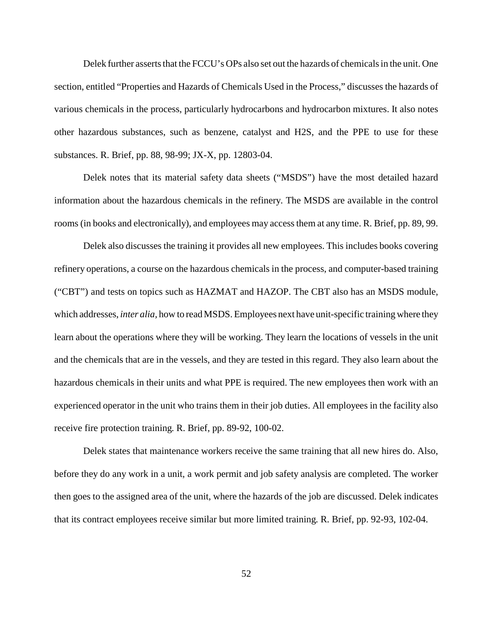Delek further asserts that the FCCU's OPs also set out the hazards of chemicals in the unit. One section, entitled "Properties and Hazards of Chemicals Used in the Process," discusses the hazards of various chemicals in the process, particularly hydrocarbons and hydrocarbon mixtures. It also notes other hazardous substances, such as benzene, catalyst and H2S, and the PPE to use for these substances. R. Brief, pp. 88, 98-99; JX-X, pp. 12803-04.

 information about the hazardous chemicals in the refinery. The MSDS are available in the control Delek notes that its material safety data sheets ("MSDS") have the most detailed hazard rooms (in books and electronically), and employees may access them at any time. R. Brief, pp. 89, 99.

Delek also discusses the training it provides all new employees. This includes books covering refinery operations, a course on the hazardous chemicals in the process, and computer-based training ("CBT") and tests on topics such as HAZMAT and HAZOP. The CBT also has an MSDS module, which addresses, *inter alia,* how to read MSDS. Employees next have unit-specific training where they learn about the operations where they will be working. They learn the locations of vessels in the unit and the chemicals that are in the vessels, and they are tested in this regard. They also learn about the hazardous chemicals in their units and what PPE is required. The new employees then work with an experienced operator in the unit who trains them in their job duties. All employees in the facility also receive fire protection training. R. Brief, pp. 89-92, 100-02.

 before they do any work in a unit, a work permit and job safety analysis are completed. The worker Delek states that maintenance workers receive the same training that all new hires do. Also, then goes to the assigned area of the unit, where the hazards of the job are discussed. Delek indicates that its contract employees receive similar but more limited training. R. Brief, pp. 92-93, 102-04.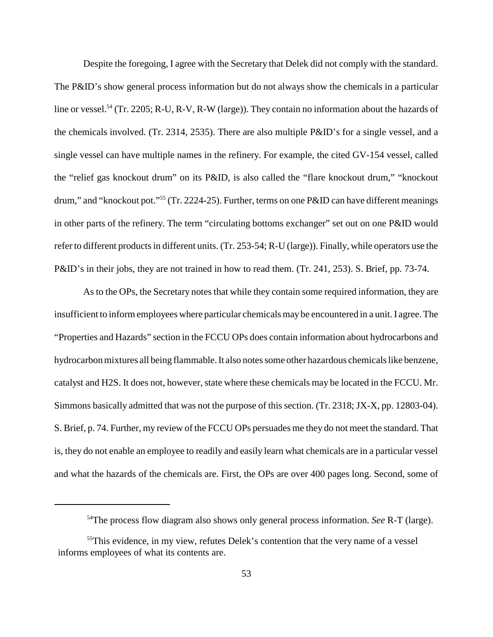Despite the foregoing, I agree with the Secretary that Delek did not comply with the standard. The P&ID's show general process information but do not always show the chemicals in a particular line or vessel.<sup>54</sup> (Tr. 2205; R-U, R-V, R-W (large)). They contain no information about the hazards of the chemicals involved. (Tr. 2314, 2535). There are also multiple P&ID's for a single vessel, and a single vessel can have multiple names in the refinery. For example, the cited GV-154 vessel, called the "relief gas knockout drum" on its P&ID, is also called the "flare knockout drum," "knockout drum," and "knockout pot."<sup>55</sup> (Tr. 2224-25). Further, terms on one P&ID can have different meanings in other parts of the refinery. The term "circulating bottoms exchanger" set out on one P&ID would refer to different products in different units. (Tr. 253-54; R-U (large)). Finally, while operators use the P&ID's in their jobs, they are not trained in how to read them. (Tr. 241, 253). S. Brief, pp. 73-74.

 is, they do not enable an employee to readily and easily learn what chemicals are in a particular vessel As to the OPs, the Secretary notes that while they contain some required information, they are insufficient to inform employees where particular chemicals maybe encountered in a unit. I agree. The "Properties and Hazards" section in the FCCU OPs does contain information about hydrocarbons and hydrocarbon mixtures all being flammable. It also notes some other hazardous chemicals like benzene, catalyst and H2S. It does not, however, state where these chemicals may be located in the FCCU. Mr. Simmons basically admitted that was not the purpose of this section. (Tr. 2318; JX-X, pp. 12803-04). S. Brief, p. 74. Further, my review of the FCCU OPs persuades me they do not meet the standard. That and what the hazards of the chemicals are. First, the OPs are over 400 pages long. Second, some of

<sup>54</sup>The process flow diagram also shows only general process information. *See* R-T (large).

<sup>&</sup>lt;sup>55</sup>This evidence, in my view, refutes Delek's contention that the very name of a vessel informs employees of what its contents are.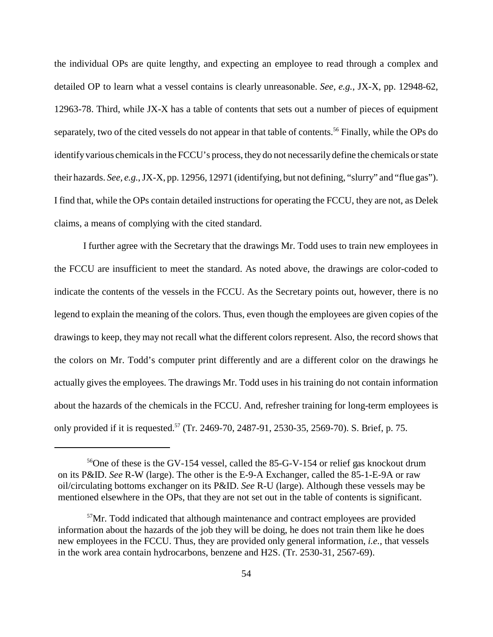the individual OPs are quite lengthy, and expecting an employee to read through a complex and detailed OP to learn what a vessel contains is clearly unreasonable. *See, e.g.*, JX-X, pp. 12948-62, separately, two of the cited vessels do not appear in that table of contents.<sup>56</sup> Finally, while the OPs do 12963-78. Third, while JX-X has a table of contents that sets out a number of pieces of equipment identify various chemicals in the FCCU's process, they do not necessarily define the chemicals or state their hazards. *See, e.g.*, JX-X, pp. 12956, 12971 (identifying, but not defining, "slurry" and "flue gas"). I find that, while the OPs contain detailed instructions for operating the FCCU, they are not, as Delek claims, a means of complying with the cited standard.

 indicate the contents of the vessels in the FCCU. As the Secretary points out, however, there is no drawings to keep, they may not recall what the different colors represent. Also, the record shows that the colors on Mr. Todd's computer print differently and are a different color on the drawings he I further agree with the Secretary that the drawings Mr. Todd uses to train new employees in the FCCU are insufficient to meet the standard. As noted above, the drawings are color-coded to legend to explain the meaning of the colors. Thus, even though the employees are given copies of the actually gives the employees. The drawings Mr. Todd uses in his training do not contain information about the hazards of the chemicals in the FCCU. And, refresher training for long-term employees is only provided if it is requested.<sup>57</sup> (Tr. 2469-70, 2487-91, 2530-35, 2569-70). S. Brief, p. 75.

 on its P&ID. *See* R-W (large). The other is the E-9-A Exchanger, called the 85-1-E-9A or raw <sup>56</sup>One of these is the GV-154 vessel, called the 85-G-V-154 or relief gas knockout drum oil/circulating bottoms exchanger on its P&ID. *See* R-U (large). Although these vessels may be mentioned elsewhere in the OPs, that they are not set out in the table of contents is significant.

 $57$ Mr. Todd indicated that although maintenance and contract employees are provided information about the hazards of the job they will be doing, he does not train them like he does new employees in the FCCU. Thus, they are provided only general information, *i.e.*, that vessels in the work area contain hydrocarbons, benzene and H2S. (Tr. 2530-31, 2567-69).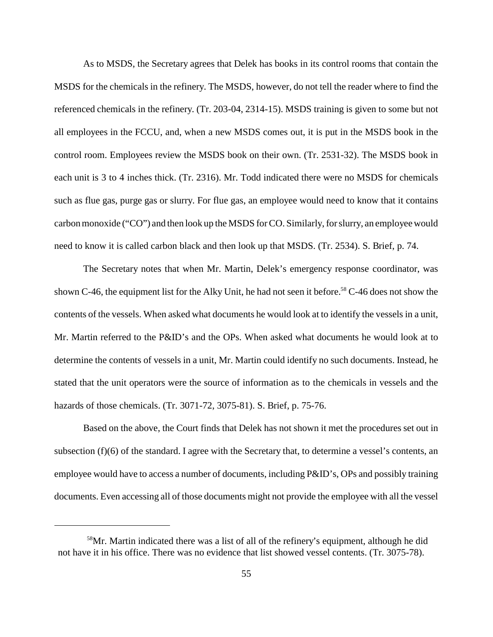each unit is 3 to 4 inches thick. (Tr. 2316). Mr. Todd indicated there were no MSDS for chemicals As to MSDS, the Secretary agrees that Delek has books in its control rooms that contain the MSDS for the chemicals in the refinery. The MSDS, however, do not tell the reader where to find the referenced chemicals in the refinery. (Tr. 203-04, 2314-15). MSDS training is given to some but not all employees in the FCCU, and, when a new MSDS comes out, it is put in the MSDS book in the control room. Employees review the MSDS book on their own. (Tr. 2531-32). The MSDS book in such as flue gas, purge gas or slurry. For flue gas, an employee would need to know that it contains carbon monoxide ("CO") and then look up the MSDS for CO. Similarly, for slurry, an employee would need to know it is called carbon black and then look up that MSDS. (Tr. 2534). S. Brief, p. 74.

 The Secretary notes that when Mr. Martin, Delek's emergency response coordinator, was stated that the unit operators were the source of information as to the chemicals in vessels and the shown C-46, the equipment list for the Alky Unit, he had not seen it before.<sup>58</sup> C-46 does not show the contents of the vessels. When asked what documents he would look at to identify the vessels in a unit, Mr. Martin referred to the P&ID's and the OPs. When asked what documents he would look at to determine the contents of vessels in a unit, Mr. Martin could identify no such documents. Instead, he hazards of those chemicals. (Tr. 3071-72, 3075-81). S. Brief, p. 75-76.

Based on the above, the Court finds that Delek has not shown it met the procedures set out in subsection (f)(6) of the standard. I agree with the Secretary that, to determine a vessel's contents, an employee would have to access a number of documents, including P&ID's, OPs and possibly training documents. Even accessing all of those documents might not provide the employee with all the vessel

<sup>&</sup>lt;sup>58</sup>Mr. Martin indicated there was a list of all of the refinery's equipment, although he did not have it in his office. There was no evidence that list showed vessel contents. (Tr. 3075-78).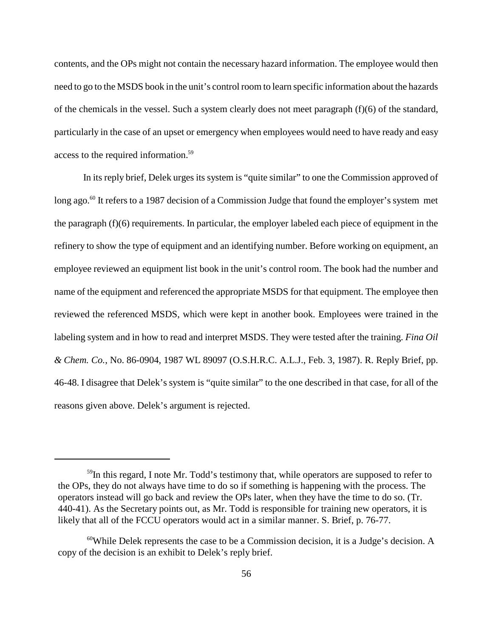contents, and the OPs might not contain the necessary hazard information. The employee would then need to go to the MSDS book in the unit's control room to learn specific information about the hazards of the chemicals in the vessel. Such a system clearly does not meet paragraph (f)(6) of the standard, particularly in the case of an upset or emergency when employees would need to have ready and easy access to the required information.59

long ago.<sup>60</sup> It refers to a 1987 decision of a Commission Judge that found the employer's system met In its reply brief, Delek urges its system is "quite similar" to one the Commission approved of the paragraph (f)(6) requirements. In particular, the employer labeled each piece of equipment in the refinery to show the type of equipment and an identifying number. Before working on equipment, an employee reviewed an equipment list book in the unit's control room. The book had the number and name of the equipment and referenced the appropriate MSDS for that equipment. The employee then reviewed the referenced MSDS, which were kept in another book. Employees were trained in the labeling system and in how to read and interpret MSDS. They were tested after the training. *Fina Oil & Chem. Co.*, No. 86-0904, 1987 WL 89097 (O.S.H.R.C. A.L.J., Feb. 3, 1987). R. Reply Brief, pp. 46-48. I disagree that Delek's system is "quite similar" to the one described in that case, for all of the reasons given above. Delek's argument is rejected.

<sup>&</sup>lt;sup>59</sup>In this regard, I note Mr. Todd's testimony that, while operators are supposed to refer to the OPs, they do not always have time to do so if something is happening with the process. The operators instead will go back and review the OPs later, when they have the time to do so. (Tr. 440-41). As the Secretary points out, as Mr. Todd is responsible for training new operators, it is likely that all of the FCCU operators would act in a similar manner. S. Brief, p. 76-77.

 $60$ While Delek represents the case to be a Commission decision, it is a Judge's decision. A copy of the decision is an exhibit to Delek's reply brief.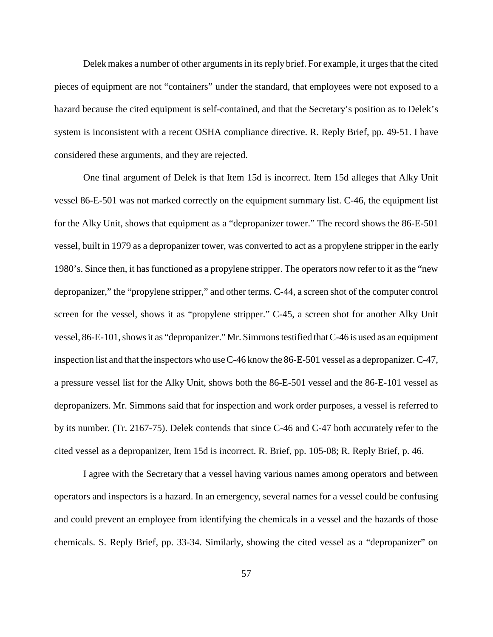pieces of equipment are not "containers" under the standard, that employees were not exposed to a system is inconsistent with a recent OSHA compliance directive. R. Reply Brief, pp. 49-51. I have Delek makes a number of other arguments in its reply brief. For example, it urges that the cited hazard because the cited equipment is self-contained, and that the Secretary's position as to Delek's considered these arguments, and they are rejected.

 a pressure vessel list for the Alky Unit, shows both the 86-E-501 vessel and the 86-E-101 vessel as by its number. (Tr. 2167-75). Delek contends that since C-46 and C-47 both accurately refer to the One final argument of Delek is that Item 15d is incorrect. Item 15d alleges that Alky Unit vessel 86-E-501 was not marked correctly on the equipment summary list. C-46, the equipment list for the Alky Unit, shows that equipment as a "depropanizer tower." The record shows the 86-E-501 vessel, built in 1979 as a depropanizer tower, was converted to act as a propylene stripper in the early 1980's. Since then, it has functioned as a propylene stripper. The operators now refer to it as the "new depropanizer," the "propylene stripper," and other terms. C-44, a screen shot of the computer control screen for the vessel, shows it as "propylene stripper." C-45, a screen shot for another Alky Unit vessel, 86-E-101, shows it as "depropanizer." Mr. Simmons testified that C-46 is used as an equipment inspection list and that the inspectors who use C-46 know the 86-E-501 vessel as a depropanizer. C-47, depropanizers. Mr. Simmons said that for inspection and work order purposes, a vessel is referred to cited vessel as a depropanizer, Item 15d is incorrect. R. Brief, pp. 105-08; R. Reply Brief, p. 46.

 I agree with the Secretary that a vessel having various names among operators and between operators and inspectors is a hazard. In an emergency, several names for a vessel could be confusing and could prevent an employee from identifying the chemicals in a vessel and the hazards of those chemicals. S. Reply Brief, pp. 33-34. Similarly, showing the cited vessel as a "depropanizer" on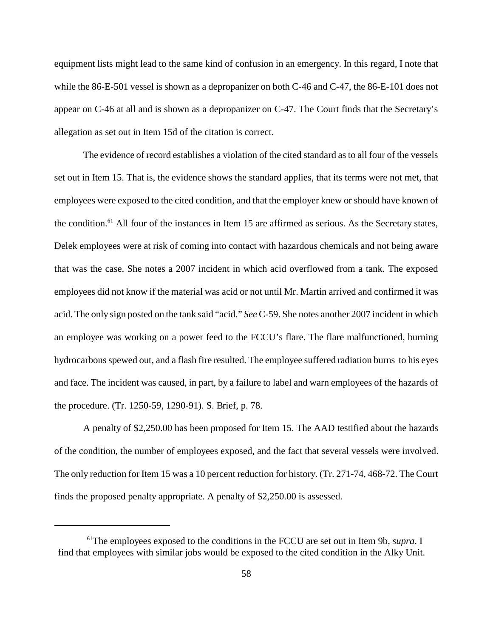equipment lists might lead to the same kind of confusion in an emergency. In this regard, I note that while the 86-E-501 vessel is shown as a depropanizer on both C-46 and C-47, the 86-E-101 does not appear on C-46 at all and is shown as a depropanizer on C-47. The Court finds that the Secretary's allegation as set out in Item 15d of the citation is correct.

the condition.<sup>61</sup> All four of the instances in Item 15 are affirmed as serious. As the Secretary states, The evidence of record establishes a violation of the cited standard as to all four of the vessels set out in Item 15. That is, the evidence shows the standard applies, that its terms were not met, that employees were exposed to the cited condition, and that the employer knew or should have known of Delek employees were at risk of coming into contact with hazardous chemicals and not being aware that was the case. She notes a 2007 incident in which acid overflowed from a tank. The exposed employees did not know if the material was acid or not until Mr. Martin arrived and confirmed it was acid. The only sign posted on the tank said "acid." *See* C-59. She notes another 2007 incident in which an employee was working on a power feed to the FCCU's flare. The flare malfunctioned, burning hydrocarbons spewed out, and a flash fire resulted. The employee suffered radiation burns to his eyes and face. The incident was caused, in part, by a failure to label and warn employees of the hazards of the procedure. (Tr. 1250-59, 1290-91). S. Brief, p. 78.

A penalty of \$2,250.00 has been proposed for Item 15. The AAD testified about the hazards of the condition, the number of employees exposed, and the fact that several vessels were involved. The only reduction for Item 15 was a 10 percent reduction for history. (Tr. 271-74, 468-72. The Court finds the proposed penalty appropriate. A penalty of \$2,250.00 is assessed.

<sup>61</sup>The employees exposed to the conditions in the FCCU are set out in Item 9b, *supra*. I find that employees with similar jobs would be exposed to the cited condition in the Alky Unit.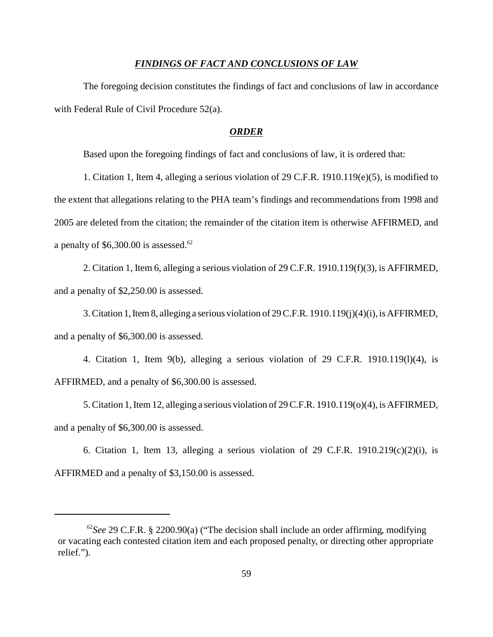### *FINDINGS OF FACT AND CONCLUSIONS OF LAW*

The foregoing decision constitutes the findings of fact and conclusions of law in accordance with Federal Rule of Civil Procedure 52(a).

### *ORDER*

Based upon the foregoing findings of fact and conclusions of law, it is ordered that:

1. Citation 1, Item 4, alleging a serious violation of 29 C.F.R. 1910.119(e)(5), is modified to the extent that allegations relating to the PHA team's findings and recommendations from 1998 and 2005 are deleted from the citation; the remainder of the citation item is otherwise AFFIRMED, and a penalty of  $$6,300.00$  is assessed.<sup>62</sup>

2. Citation 1, Item 6, alleging a serious violation of 29 C.F.R. 1910.119(f)(3), is AFFIRMED, and a penalty of \$2,250.00 is assessed.

 3. Citation 1, Item 8, alleging a serious violation of 29 C.F.R. 1910.119(j)(4)(i), is AFFIRMED, and a penalty of \$6,300.00 is assessed.

4. Citation 1, Item 9(b), alleging a serious violation of 29 C.F.R. 1910.119(l)(4), is AFFIRMED, and a penalty of \$6,300.00 is assessed.

5. Citation 1, Item 12, alleging a serious violation of 29 C.F.R. 1910.119(o)(4), is AFFIRMED, and a penalty of \$6,300.00 is assessed.

6. Citation 1, Item 13, alleging a serious violation of 29 C.F.R.  $1910.219(c)(2)(i)$ , is AFFIRMED and a penalty of \$3,150.00 is assessed.

<sup>62</sup>*See* 29 C.F.R. § 2200.90(a) ("The decision shall include an order affirming, modifying or vacating each contested citation item and each proposed penalty, or directing other appropriate relief.").